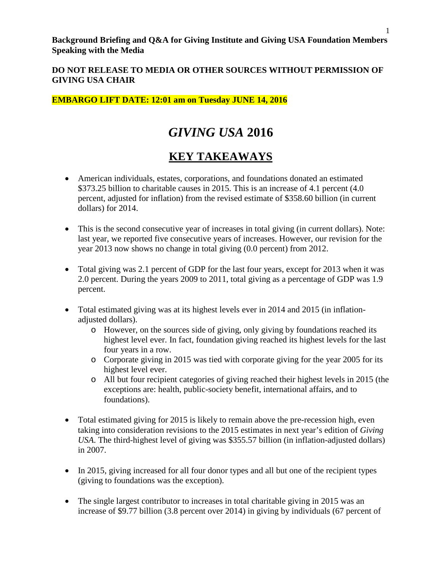### **EMBARGO LIFT DATE: 12:01 am on Tuesday JUNE 14, 2016**

# *GIVING USA* **2016**

# **KEY TAKEAWAYS**

- American individuals, estates, corporations, and foundations donated an estimated \$373.25 billion to charitable causes in 2015. This is an increase of 4.1 percent (4.0 percent, adjusted for inflation) from the revised estimate of \$358.60 billion (in current dollars) for 2014.
- This is the second consecutive year of increases in total giving (in current dollars). Note: last year, we reported five consecutive years of increases. However, our revision for the year 2013 now shows no change in total giving (0.0 percent) from 2012.
- Total giving was 2.1 percent of GDP for the last four years, except for 2013 when it was 2.0 percent. During the years 2009 to 2011, total giving as a percentage of GDP was 1.9 percent.
- Total estimated giving was at its highest levels ever in 2014 and 2015 (in inflationadjusted dollars).
	- o However, on the sources side of giving, only giving by foundations reached its highest level ever. In fact, foundation giving reached its highest levels for the last four years in a row.
	- o Corporate giving in 2015 was tied with corporate giving for the year 2005 for its highest level ever.
	- o All but four recipient categories of giving reached their highest levels in 2015 (the exceptions are: health, public-society benefit, international affairs, and to foundations).
- Total estimated giving for 2015 is likely to remain above the pre-recession high, even taking into consideration revisions to the 2015 estimates in next year's edition of *Giving USA*. The third-highest level of giving was \$355.57 billion (in inflation-adjusted dollars) in 2007.
- In 2015, giving increased for all four donor types and all but one of the recipient types (giving to foundations was the exception).
- The single largest contributor to increases in total charitable giving in 2015 was an increase of \$9.77 billion (3.8 percent over 2014) in giving by individuals (67 percent of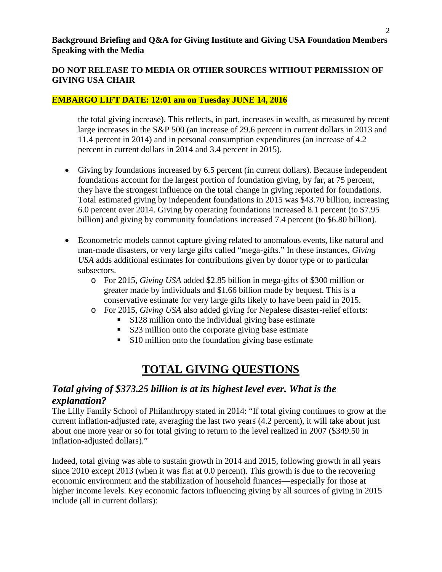#### **DO NOT RELEASE TO MEDIA OR OTHER SOURCES WITHOUT PERMISSION OF GIVING USA CHAIR**

#### **EMBARGO LIFT DATE: 12:01 am on Tuesday JUNE 14, 2016**

the total giving increase). This reflects, in part, increases in wealth, as measured by recent large increases in the S&P 500 (an increase of 29.6 percent in current dollars in 2013 and 11.4 percent in 2014) and in personal consumption expenditures (an increase of 4.2 percent in current dollars in 2014 and 3.4 percent in 2015).

- Giving by foundations increased by 6.5 percent (in current dollars). Because independent foundations account for the largest portion of foundation giving, by far, at 75 percent, they have the strongest influence on the total change in giving reported for foundations. Total estimated giving by independent foundations in 2015 was \$43.70 billion, increasing 6.0 percent over 2014. Giving by operating foundations increased 8.1 percent (to \$7.95 billion) and giving by community foundations increased 7.4 percent (to \$6.80 billion).
- Econometric models cannot capture giving related to anomalous events, like natural and man-made disasters, or very large gifts called "mega-gifts." In these instances, *Giving USA* adds additional estimates for contributions given by donor type or to particular subsectors.
	- o For 2015, *Giving USA* added \$2.85 billion in mega-gifts of \$300 million or greater made by individuals and \$1.66 billion made by bequest. This is a conservative estimate for very large gifts likely to have been paid in 2015.
	- o For 2015, *Giving USA* also added giving for Nepalese disaster-relief efforts:
		- **S128** million onto the individual giving base estimate
		- **\$23 million onto the corporate giving base estimate**
		- **S10 million onto the foundation giving base estimate**

# **TOTAL GIVING QUESTIONS**

### *Total giving of \$373.25 billion is at its highest level ever. What is the explanation?*

The Lilly Family School of Philanthropy stated in 2014: "If total giving continues to grow at the current inflation-adjusted rate, averaging the last two years (4.2 percent), it will take about just about one more year or so for total giving to return to the level realized in 2007 (\$349.50 in inflation-adjusted dollars)."

Indeed, total giving was able to sustain growth in 2014 and 2015, following growth in all years since 2010 except 2013 (when it was flat at 0.0 percent). This growth is due to the recovering economic environment and the stabilization of household finances—especially for those at higher income levels. Key economic factors influencing giving by all sources of giving in 2015 include (all in current dollars):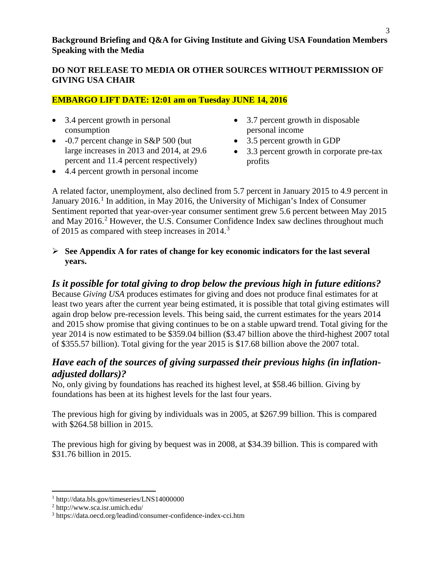#### **DO NOT RELEASE TO MEDIA OR OTHER SOURCES WITHOUT PERMISSION OF GIVING USA CHAIR**

### **EMBARGO LIFT DATE: 12:01 am on Tuesday JUNE 14, 2016**

- 3.4 percent growth in personal consumption
- -0.7 percent change in S&P 500 (but large increases in 2013 and 2014, at 29.6 percent and 11.4 percent respectively)
- 3.7 percent growth in disposable personal income
- 3.5 percent growth in GDP
- 3.3 percent growth in corporate pre-tax profits
- 4.4 percent growth in personal income

A related factor, unemployment, also declined from 5.7 percent in January 2015 to 4.9 percent in January 20[1](#page-2-0)6.<sup>1</sup> In addition, in May 2016, the University of Michigan's Index of Consumer Sentiment reported that year-over-year consumer sentiment grew 5.6 percent between May 2015 and May [2](#page-2-1)016.<sup>2</sup> However, the U.S. Consumer Confidence Index saw declines throughout much of 2015 as compared with steep increases in 2014.<sup>[3](#page-2-2)</sup>

#### **See Appendix A for rates of change for key economic indicators for the last several years.**

### *Is it possible for total giving to drop below the previous high in future editions?*

Because *Giving USA* produces estimates for giving and does not produce final estimates for at least two years after the current year being estimated, it is possible that total giving estimates will again drop below pre-recession levels. This being said, the current estimates for the years 2014 and 2015 show promise that giving continues to be on a stable upward trend. Total giving for the year 2014 is now estimated to be \$359.04 billion (\$3.47 billion above the third-highest 2007 total of \$355.57 billion). Total giving for the year 2015 is \$17.68 billion above the 2007 total.

## *Have each of the sources of giving surpassed their previous highs (in inflationadjusted dollars)?*

No, only giving by foundations has reached its highest level, at \$58.46 billion. Giving by foundations has been at its highest levels for the last four years.

The previous high for giving by individuals was in 2005, at \$267.99 billion. This is compared with \$264.58 billion in 2015.

The previous high for giving by bequest was in 2008, at \$34.39 billion. This is compared with \$31.76 billion in 2015.

 $\overline{\phantom{a}}$ 

<span id="page-2-0"></span><sup>1</sup> http://data.bls.gov/timeseries/LNS14000000

<span id="page-2-1"></span><sup>2</sup> http://www.sca.isr.umich.edu/

<span id="page-2-2"></span><sup>3</sup> https://data.oecd.org/leadind/consumer-confidence-index-cci.htm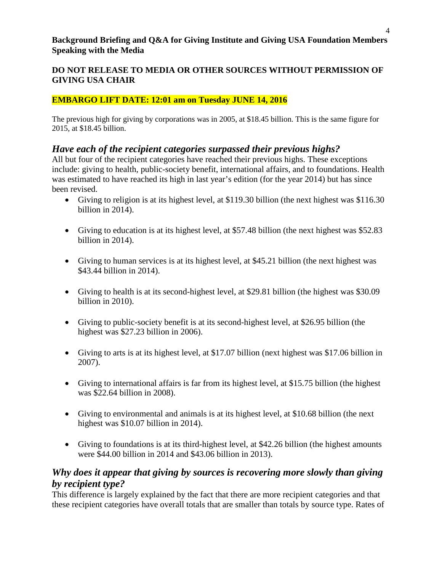### **DO NOT RELEASE TO MEDIA OR OTHER SOURCES WITHOUT PERMISSION OF GIVING USA CHAIR**

### **EMBARGO LIFT DATE: 12:01 am on Tuesday JUNE 14, 2016**

The previous high for giving by corporations was in 2005, at \$18.45 billion. This is the same figure for 2015, at \$18.45 billion.

## *Have each of the recipient categories surpassed their previous highs?*

All but four of the recipient categories have reached their previous highs. These exceptions include: giving to health, public-society benefit, international affairs, and to foundations. Health was estimated to have reached its high in last year's edition (for the year 2014) but has since been revised.

- Giving to religion is at its highest level, at \$119.30 billion (the next highest was \$116.30) billion in 2014).
- Giving to education is at its highest level, at \$57.48 billion (the next highest was \$52.83) billion in 2014).
- Giving to human services is at its highest level, at \$45.21 billion (the next highest was \$43.44 billion in 2014).
- Giving to health is at its second-highest level, at \$29.81 billion (the highest was \$30.09 billion in 2010).
- Giving to public-society benefit is at its second-highest level, at \$26.95 billion (the highest was \$27.23 billion in 2006).
- Giving to arts is at its highest level, at \$17.07 billion (next highest was \$17.06 billion in 2007).
- Giving to international affairs is far from its highest level, at \$15.75 billion (the highest was \$22.64 billion in 2008).
- Giving to environmental and animals is at its highest level, at \$10.68 billion (the next highest was \$10.07 billion in 2014).
- Giving to foundations is at its third-highest level, at \$42.26 billion (the highest amounts were \$44.00 billion in 2014 and \$43.06 billion in 2013).

## *Why does it appear that giving by sources is recovering more slowly than giving by recipient type?*

This difference is largely explained by the fact that there are more recipient categories and that these recipient categories have overall totals that are smaller than totals by source type. Rates of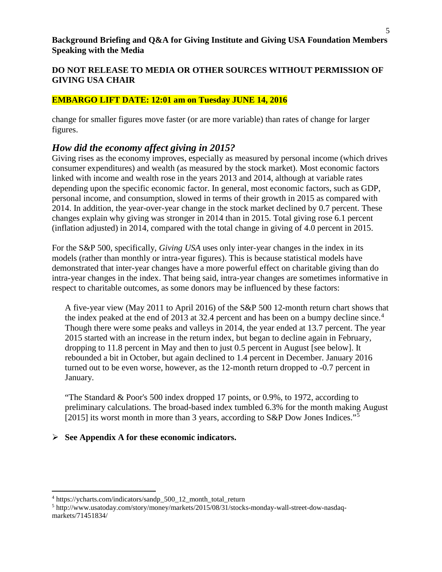#### **DO NOT RELEASE TO MEDIA OR OTHER SOURCES WITHOUT PERMISSION OF GIVING USA CHAIR**

#### **EMBARGO LIFT DATE: 12:01 am on Tuesday JUNE 14, 2016**

change for smaller figures move faster (or are more variable) than rates of change for larger figures.

### *How did the economy affect giving in 2015?*

Giving rises as the economy improves, especially as measured by personal income (which drives consumer expenditures) and wealth (as measured by the stock market). Most economic factors linked with income and wealth rose in the years 2013 and 2014, although at variable rates depending upon the specific economic factor. In general, most economic factors, such as GDP, personal income, and consumption, slowed in terms of their growth in 2015 as compared with 2014. In addition, the year-over-year change in the stock market declined by 0.7 percent. These changes explain why giving was stronger in 2014 than in 2015. Total giving rose 6.1 percent (inflation adjusted) in 2014, compared with the total change in giving of 4.0 percent in 2015.

For the S&P 500, specifically, *Giving USA* uses only inter-year changes in the index in its models (rather than monthly or intra-year figures). This is because statistical models have demonstrated that inter-year changes have a more powerful effect on charitable giving than do intra-year changes in the index. That being said, intra-year changes are sometimes informative in respect to charitable outcomes, as some donors may be influenced by these factors:

A five-year view (May 2011 to April 2016) of the S&P 500 12-month return chart shows that the index peaked at the end of 2013 at 32.[4](#page-4-0) percent and has been on a bumpy decline since.<sup>4</sup> Though there were some peaks and valleys in 2014, the year ended at 13.7 percent. The year 2015 started with an increase in the return index, but began to decline again in February, dropping to 11.8 percent in May and then to just 0.5 percent in August [see below]. It rebounded a bit in October, but again declined to 1.4 percent in December. January 2016 turned out to be even worse, however, as the 12-month return dropped to -0.7 percent in January.

"The Standard & Poor's 500 index dropped 17 points, or 0.9%, to 1972, according to preliminary calculations. The broad-based index tumbled 6.3% for the month making August [201[5](#page-4-1)] its worst month in more than 3 years, according to S&P Dow Jones Indices."<sup>5</sup>

#### **See Appendix A for these economic indicators.**

 $\overline{\phantom{a}}$ 

<span id="page-4-0"></span><sup>&</sup>lt;sup>4</sup> https://ycharts.com/indicators/sandp\_500\_12\_month\_total\_return

<span id="page-4-1"></span><sup>5</sup> http://www.usatoday.com/story/money/markets/2015/08/31/stocks-monday-wall-street-dow-nasdaqmarkets/71451834/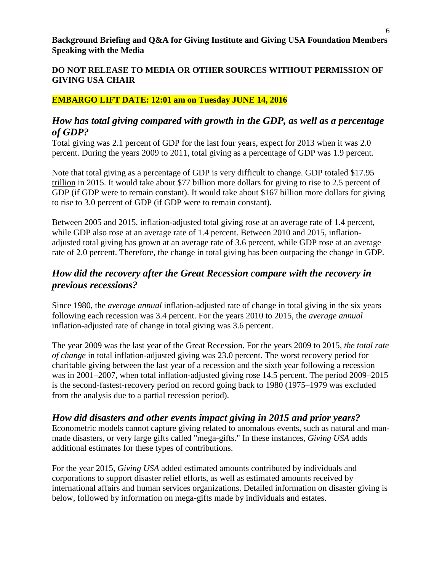#### **DO NOT RELEASE TO MEDIA OR OTHER SOURCES WITHOUT PERMISSION OF GIVING USA CHAIR**

#### **EMBARGO LIFT DATE: 12:01 am on Tuesday JUNE 14, 2016**

### *How has total giving compared with growth in the GDP, as well as a percentage of GDP?*

Total giving was 2.1 percent of GDP for the last four years, expect for 2013 when it was 2.0 percent. During the years 2009 to 2011, total giving as a percentage of GDP was 1.9 percent.

Note that total giving as a percentage of GDP is very difficult to change. GDP totaled \$17.95 trillion in 2015. It would take about \$77 billion more dollars for giving to rise to 2.5 percent of GDP (if GDP were to remain constant). It would take about \$167 billion more dollars for giving to rise to 3.0 percent of GDP (if GDP were to remain constant).

Between 2005 and 2015, inflation-adjusted total giving rose at an average rate of 1.4 percent, while GDP also rose at an average rate of 1.4 percent. Between 2010 and 2015, inflationadjusted total giving has grown at an average rate of 3.6 percent, while GDP rose at an average rate of 2.0 percent. Therefore, the change in total giving has been outpacing the change in GDP.

## *How did the recovery after the Great Recession compare with the recovery in previous recessions?*

Since 1980, the *average annual* inflation-adjusted rate of change in total giving in the six years following each recession was 3.4 percent. For the years 2010 to 2015, the *average annual* inflation-adjusted rate of change in total giving was 3.6 percent.

The year 2009 was the last year of the Great Recession. For the years 2009 to 2015, *the total rate of change* in total inflation-adjusted giving was 23.0 percent. The worst recovery period for charitable giving between the last year of a recession and the sixth year following a recession was in 2001–2007, when total inflation-adjusted giving rose 14.5 percent. The period 2009–2015 is the second-fastest-recovery period on record going back to 1980 (1975–1979 was excluded from the analysis due to a partial recession period).

*How did disasters and other events impact giving in 2015 and prior years?* Econometric models cannot capture giving related to anomalous events, such as natural and manmade disasters, or very large gifts called "mega-gifts." In these instances, *Giving USA* adds additional estimates for these types of contributions.

For the year 2015, *Giving USA* added estimated amounts contributed by individuals and corporations to support disaster relief efforts, as well as estimated amounts received by international affairs and human services organizations. Detailed information on disaster giving is below, followed by information on mega-gifts made by individuals and estates.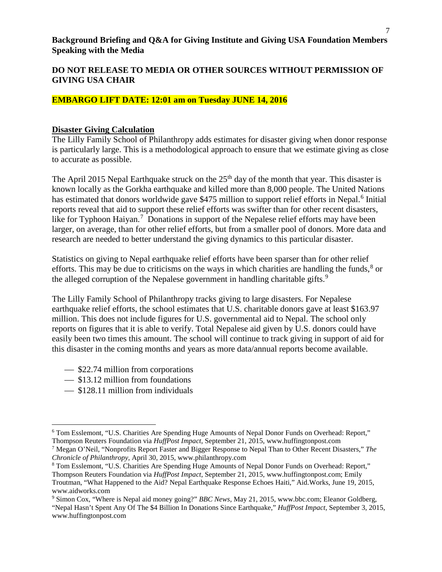#### **DO NOT RELEASE TO MEDIA OR OTHER SOURCES WITHOUT PERMISSION OF GIVING USA CHAIR**

#### **EMBARGO LIFT DATE: 12:01 am on Tuesday JUNE 14, 2016**

#### **Disaster Giving Calculation**

The Lilly Family School of Philanthropy adds estimates for disaster giving when donor response is particularly large. This is a methodological approach to ensure that we estimate giving as close to accurate as possible.

The April 2015 Nepal Earthquake struck on the  $25<sup>th</sup>$  day of the month that year. This disaster is known locally as the Gorkha earthquake and killed more than 8,000 people. The United Nations has estimated that donors worldwide gave \$475 million to support relief efforts in Nepal.<sup>[6](#page-6-0)</sup> Initial reports reveal that aid to support these relief efforts was swifter than for other recent disasters, like for Typhoon Haiyan.<sup>[7](#page-6-1)</sup> Donations in support of the Nepalese relief efforts may have been larger, on average, than for other relief efforts, but from a smaller pool of donors. More data and research are needed to better understand the giving dynamics to this particular disaster.

Statistics on giving to Nepal earthquake relief efforts have been sparser than for other relief efforts. This may be due to criticisms on the ways in which charities are handling the funds, $\delta$  or the alleged corruption of the Nepalese government in handling charitable gifts.<sup>[9](#page-6-3)</sup>

The Lilly Family School of Philanthropy tracks giving to large disasters. For Nepalese earthquake relief efforts, the school estimates that U.S. charitable donors gave at least \$163.97 million. This does not include figures for U.S. governmental aid to Nepal. The school only reports on figures that it is able to verify. Total Nepalese aid given by U.S. donors could have easily been two times this amount. The school will continue to track giving in support of aid for this disaster in the coming months and years as more data/annual reports become available.

- \$22.74 million from corporations
- $\sim$  \$13.12 million from foundations
- $\sim$  \$128.11 million from individuals

l

<span id="page-6-0"></span><sup>6</sup> Tom Esslemont, "U.S. Charities Are Spending Huge Amounts of Nepal Donor Funds on Overhead: Report," Thompson Reuters Foundation via *HuffPost Impact*, September 21, 2015, www.huffingtonpost.com

<span id="page-6-1"></span><sup>7</sup> Megan O'Neil, "Nonprofits Report Faster and Bigger Response to Nepal Than to Other Recent Disasters," *The Chronicle of Philanthropy,* April 30, 2015, www.philanthropy.com

<span id="page-6-2"></span><sup>8</sup> Tom Esslemont, "U.S. Charities Are Spending Huge Amounts of Nepal Donor Funds on Overhead: Report," Thompson Reuters Foundation via *HuffPost Impact*, September 21, 2015, www.huffingtonpost.com; Emily Troutman, "What Happened to the Aid? Nepal Earthquake Response Echoes Haiti," Aid.Works, June 19, 2015, www.aidworks.com

<span id="page-6-3"></span><sup>9</sup> Simon Cox, "Where is Nepal aid money going?" *BBC News,* May 21, 2015, www.bbc.com; Eleanor Goldberg, "Nepal Hasn't Spent Any Of The \$4 Billion In Donations Since Earthquake," *HuffPost Impact,* September 3, 2015, www.huffingtonpost.com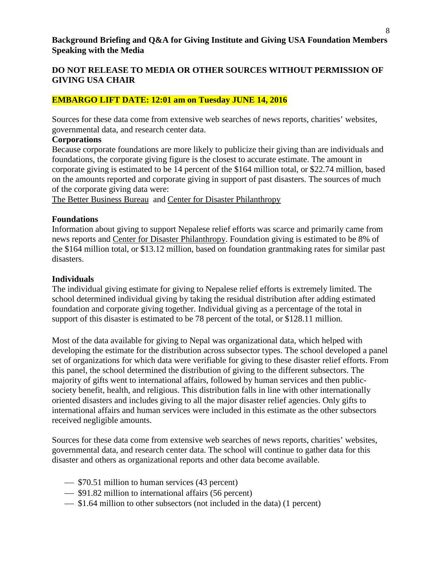#### **DO NOT RELEASE TO MEDIA OR OTHER SOURCES WITHOUT PERMISSION OF GIVING USA CHAIR**

#### **EMBARGO LIFT DATE: 12:01 am on Tuesday JUNE 14, 2016**

Sources for these data come from extensive web searches of news reports, charities' websites, governmental data, and research center data.

#### **Corporations**

Because corporate foundations are more likely to publicize their giving than are individuals and foundations, the corporate giving figure is the closest to accurate estimate. The amount in corporate giving is estimated to be 14 percent of the \$164 million total, or \$22.74 million, based on the amounts reported and corporate giving in support of past disasters. The sources of much of the corporate giving data were:

[The Better Business Bureau](http://www.bbb.org/charlotte/news-events/news-releases/2015/nepal-relief-organization-donaations/) and [Center for Disaster Philanthropy](http://disasterphilanthropy.org/disasters/earthquake-rocks-nepal/)

#### **Foundations**

Information about giving to support Nepalese relief efforts was scarce and primarily came from news reports and [Center for Disaster Philanthropy.](http://disasterphilanthropy.org/disasters/earthquake-rocks-nepal/) Foundation giving is estimated to be 8% of the \$164 million total, or \$13.12 million, based on foundation grantmaking rates for similar past disasters.

#### **Individuals**

The individual giving estimate for giving to Nepalese relief efforts is extremely limited. The school determined individual giving by taking the residual distribution after adding estimated foundation and corporate giving together. Individual giving as a percentage of the total in support of this disaster is estimated to be 78 percent of the total, or \$128.11 million.

Most of the data available for giving to Nepal was organizational data, which helped with developing the estimate for the distribution across subsector types. The school developed a panel set of organizations for which data were verifiable for giving to these disaster relief efforts. From this panel, the school determined the distribution of giving to the different subsectors. The majority of gifts went to international affairs, followed by human services and then publicsociety benefit, health, and religious. This distribution falls in line with other internationally oriented disasters and includes giving to all the major disaster relief agencies. Only gifts to international affairs and human services were included in this estimate as the other subsectors received negligible amounts.

Sources for these data come from extensive web searches of news reports, charities' websites, governmental data, and research center data. The school will continue to gather data for this disaster and others as organizational reports and other data become available.

- $\sim$  \$70.51 million to human services (43 percent)
- $\frac{1}{10}$  \$91.82 million to international affairs (56 percent)
- $\sim$  \$1.64 million to other subsectors (not included in the data) (1 percent)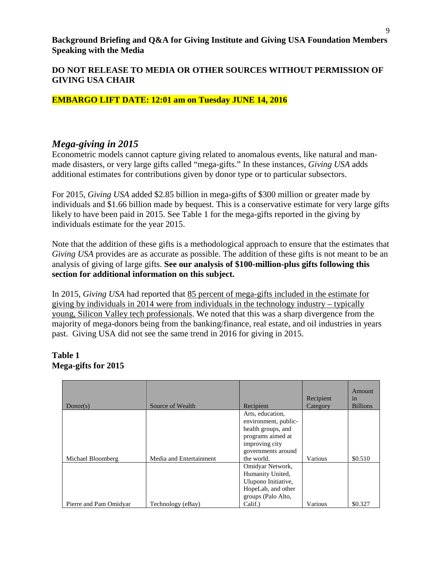**DO NOT RELEASE TO MEDIA OR OTHER SOURCES WITHOUT PERMISSION OF GIVING USA CHAIR**

#### **EMBARGO LIFT DATE: 12:01 am on Tuesday JUNE 14, 2016**

### *Mega-giving in 2015*

Econometric models cannot capture giving related to anomalous events, like natural and manmade disasters, or very large gifts called "mega-gifts." In these instances, *Giving USA* adds additional estimates for contributions given by donor type or to particular subsectors.

For 2015, *Giving USA* added \$2.85 billion in mega-gifts of \$300 million or greater made by individuals and \$1.66 billion made by bequest. This is a conservative estimate for very large gifts likely to have been paid in 2015. See Table 1 for the mega-gifts reported in the giving by individuals estimate for the year 2015.

Note that the addition of these gifts is a methodological approach to ensure that the estimates that *Giving USA* provides are as accurate as possible. The addition of these gifts is not meant to be an analysis of giving of large gifts. **See our analysis of \$100-million-plus gifts following this section for additional information on this subject.** 

In 2015, *Giving USA* had reported that 85 percent of mega-gifts included in the estimate for giving by individuals in 2014 were from individuals in the technology industry – typically young, Silicon Valley tech professionals. We noted that this was a sharp divergence from the majority of mega-donors being from the banking/finance, real estate, and oil industries in years past. Giving USA did not see the same trend in 2016 for giving in 2015.

#### **Table 1 Mega-gifts for 2015**

| Donor(s)               | Source of Wealth        | Recipient                                                                                               | Recipient<br>Category | Amount<br>1n<br><b>Billions</b> |
|------------------------|-------------------------|---------------------------------------------------------------------------------------------------------|-----------------------|---------------------------------|
|                        |                         | Arts, education,<br>environment, public-<br>health groups, and<br>programs aimed at<br>improving city   |                       |                                 |
| Michael Bloomberg      | Media and Entertainment | governments around<br>the world.                                                                        | Various               | \$0.510                         |
|                        |                         | Omidyar Network,<br>Humanity United,<br>Ulupono Initiative,<br>HopeLab, and other<br>groups (Palo Alto, |                       |                                 |
| Pierre and Pam Omidyar | Technology (eBay)       | Calif.)                                                                                                 | Various               | \$0.327                         |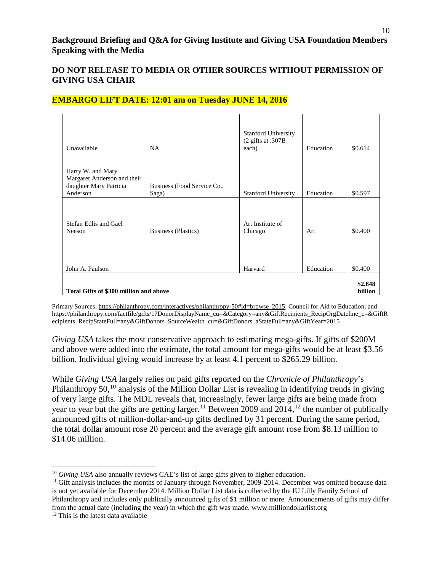| Unavailable                                                                            | <b>NA</b>                            | <b>Stanford University</b><br>$(2$ gifts at .307B<br>each) | Education | \$0.614 |  |
|----------------------------------------------------------------------------------------|--------------------------------------|------------------------------------------------------------|-----------|---------|--|
| Harry W. and Mary<br>Margaret Anderson and their<br>daughter Mary Patricia<br>Anderson | Business (Food Service Co.,<br>Saga) | <b>Stanford University</b>                                 | Education | \$0.597 |  |
| Stefan Edlis and Gael<br>Neeson                                                        | <b>Business (Plastics)</b>           | Art Institute of<br>Chicago                                | Art       | \$0.400 |  |
| John A. Paulson                                                                        |                                      | Harvard                                                    | Education | \$0.400 |  |
| \$2.848<br>Total Gifts of \$300 million and above<br>billion                           |                                      |                                                            |           |         |  |

#### **EMBARGO LIFT DATE: 12:01 am on Tuesday JUNE 14, 2016**

Primary Sources[: https://philanthropy.com/interactives/philanthropy-50#id=browse\\_2015;](https://philanthropy.com/interactives/philanthropy-50%23id=browse_2015) Council for Aid to Education; and https://philanthropy.com/factfile/gifts/1?DonorDisplayName\_cu=&Category=any&GiftRecipients\_RecipOrgDateline\_c=&GiftR ecipients\_RecipStateFull=any&GiftDonors\_SourceWealth\_cu=&GiftDonors\_aStateFull=any&GiftYear=2015

*Giving USA* takes the most conservative approach to estimating mega-gifts. If gifts of \$200M and above were added into the estimate, the total amount for mega-gifts would be at least \$3.56 billion. Individual giving would increase by at least 4.1 percent to \$265.29 billion.

While *Giving USA* largely relies on paid gifts reported on the *Chronicle of Philanthropy*'s Philanthropy 50,<sup>[10](#page-9-0)</sup> analysis of the Million Dollar List is revealing in identifying trends in giving of very large gifts. The MDL reveals that, increasingly, fewer large gifts are being made from year to year but the gifts are getting larger.<sup>[11](#page-9-1)</sup> Between 2009 and  $2014$ ,<sup>[12](#page-9-2)</sup> the number of publically announced gifts of million-dollar-and-up gifts declined by 31 percent. During the same period, the total dollar amount rose 20 percent and the average gift amount rose from \$8.13 million to \$14.06 million.

 $\overline{\phantom{a}}$ 

<span id="page-9-1"></span><span id="page-9-0"></span><sup>&</sup>lt;sup>10</sup> *Giving USA* also annually reviews CAE's list of large gifts given to higher education.<br><sup>11</sup> Gift analysis includes the months of January through November, 2009-2014. December was omitted because data is not yet available for December 2014. Million Dollar List data is collected by the IU Lilly Family School of Philanthropy and includes only publically announced gifts of \$1 million or more. Announcements of gifts may differ from the actual date (including the year) in which the gift was made. www.milliondollarlist.org

<span id="page-9-2"></span><sup>&</sup>lt;sup>12</sup> This is the latest data available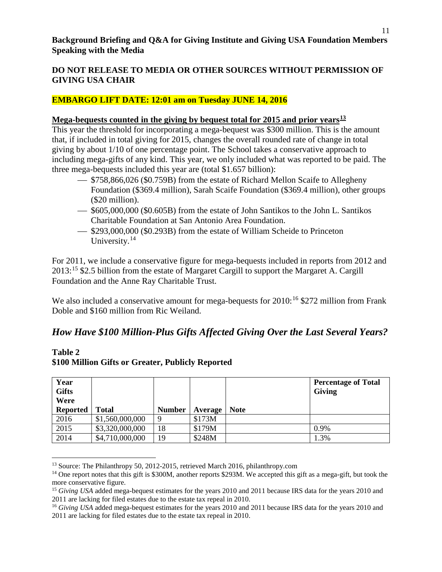### **EMBARGO LIFT DATE: 12:01 am on Tuesday JUNE 14, 2016**

#### **Mega-bequests counted in the giving by bequest total for 2015 and prior years[13](#page-10-0)**

This year the threshold for incorporating a mega-bequest was \$300 million. This is the amount that, if included in total giving for 2015, changes the overall rounded rate of change in total giving by about 1/10 of one percentage point. The School takes a conservative approach to including mega-gifts of any kind. This year, we only included what was reported to be paid. The three mega-bequests included this year are (total \$1.657 billion):

- $-$  \$758,866,026 (\$0.759B) from the estate of Richard Mellon Scaife to Allegheny Foundation (\$369.4 million), Sarah Scaife Foundation (\$369.4 million), other groups (\$20 million).
- \$605,000,000 (\$0.605B) from the estate of John Santikos to the John L. Santikos Charitable Foundation at San Antonio Area Foundation.
- $\sim$  \$293,000,000 (\$0.293B) from the estate of William Scheide to Princeton University.<sup>[14](#page-10-1)</sup>

For 2011, we include a conservative figure for mega-bequests included in reports from 2012 and 2013:[15](#page-10-2) \$2.5 billion from the estate of Margaret Cargill to support the Margaret A. Cargill Foundation and the Anne Ray Charitable Trust.

We also included a conservative amount for mega-bequests for  $2010$ :<sup>[16](#page-10-3)</sup> \$272 million from Frank Doble and \$160 million from Ric Weiland.

## *How Have \$100 Million-Plus Gifts Affected Giving Over the Last Several Years?*

| Year<br><b>Gifts</b><br>Were |                 |               |         |             | <b>Percentage of Total</b><br><b>Giving</b> |
|------------------------------|-----------------|---------------|---------|-------------|---------------------------------------------|
| <b>Reported</b>              | <b>Total</b>    | <b>Number</b> | Average | <b>Note</b> |                                             |
| 2016                         | \$1,560,000,000 | Q             | \$173M  |             |                                             |
| 2015                         | \$3,320,000,000 | 18            | \$179M  |             | 0.9%                                        |
| 2014                         | \$4,710,000,000 | 19            | \$248M  |             | .3%                                         |

#### **Table 2 \$100 Million Gifts or Greater, Publicly Reported**

<span id="page-10-1"></span><span id="page-10-0"></span><sup>&</sup>lt;sup>13</sup> Source: The Philanthropy 50, 2012-2015, retrieved March 2016, philanthropy.com <sup>14</sup> One report notes that this gift is \$300M, another reports \$293M. We accepted this gift as a mega-gift, but took the more conservative figure.

<span id="page-10-2"></span><sup>&</sup>lt;sup>15</sup> *Giving USA* added mega-bequest estimates for the years 2010 and 2011 because IRS data for the years 2010 and 2011 are lacking for filed estates due to the estate tax repeal in 2010.

<span id="page-10-3"></span><sup>&</sup>lt;sup>16</sup> *Giving USA* added mega-bequest estimates for the years 2010 and 2011 because IRS data for the years 2010 and 2011 are lacking for filed estates due to the estate tax repeal in 2010.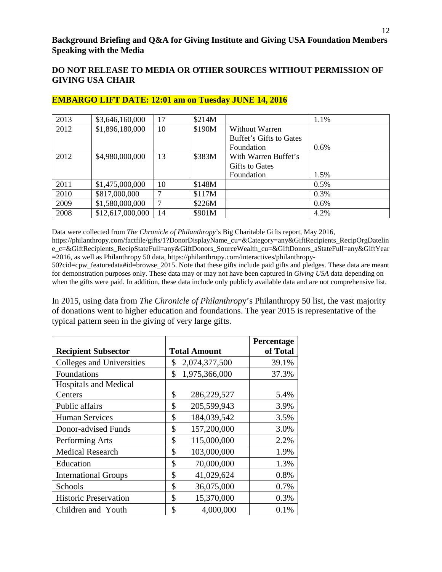| 2013 | \$3,646,160,000  | 17 | \$214M |                         | 1.1% |
|------|------------------|----|--------|-------------------------|------|
| 2012 | \$1,896,180,000  | 10 | \$190M | Without Warren          |      |
|      |                  |    |        | Buffet's Gifts to Gates |      |
|      |                  |    |        | Foundation              | 0.6% |
| 2012 | \$4,980,000,000  | 13 | \$383M | With Warren Buffet's    |      |
|      |                  |    |        | Gifts to Gates          |      |
|      |                  |    |        | Foundation              | 1.5% |
| 2011 | \$1,475,000,000  | 10 | \$148M |                         | 0.5% |
| 2010 | \$817,000,000    |    | \$117M |                         | 0.3% |
| 2009 | \$1,580,000,000  |    | \$226M |                         | 0.6% |
| 2008 | \$12,617,000,000 | 14 | \$901M |                         | 4.2% |

#### **EMBARGO LIFT DATE: 12:01 am on Tuesday JUNE 14, 2016**

Data were collected from *The Chronicle of Philanthropy*'s Big Charitable Gifts report, May 2016, https://philanthropy.com/factfile/gifts/1?DonorDisplayName\_cu=&Category=any&GiftRecipients\_RecipOrgDatelin e\_c=&GiftRecipients\_RecipStateFull=any&GiftDonors\_SourceWealth\_cu=&GiftDonors\_aStateFull=any&GiftYear =2016, as well as Philanthropy 50 data, https://philanthropy.com/interactives/philanthropy-

50?cid=cpw\_featuredata#id=browse\_2015. Note that these gifts include paid gifts and pledges. These data are meant for demonstration purposes only. These data may or may not have been captured in *Giving USA* data depending on when the gifts were paid. In addition, these data include only publicly available data and are not comprehensive list.

In 2015, using data from *The Chronicle of Philanthrop*y's Philanthropy 50 list, the vast majority of donations went to higher education and foundations. The year 2015 is representative of the typical pattern seen in the giving of very large gifts.

|                              |                     | Percentage |
|------------------------------|---------------------|------------|
| <b>Recipient Subsector</b>   | <b>Total Amount</b> | of Total   |
| Colleges and Universities    | \$<br>2,074,377,500 | 39.1%      |
| Foundations                  | \$<br>1,975,366,000 | 37.3%      |
| <b>Hospitals and Medical</b> |                     |            |
| Centers                      | \$<br>286,229,527   | 5.4%       |
| Public affairs               | \$<br>205,599,943   | 3.9%       |
| <b>Human Services</b>        | \$<br>184,039,542   | 3.5%       |
| Donor-advised Funds          | \$<br>157,200,000   | 3.0%       |
| Performing Arts              | \$<br>115,000,000   | 2.2%       |
| <b>Medical Research</b>      | \$<br>103,000,000   | 1.9%       |
| Education                    | \$<br>70,000,000    | 1.3%       |
| <b>International Groups</b>  | \$<br>41,029,624    | 0.8%       |
| Schools                      | \$<br>36,075,000    | 0.7%       |
| <b>Historic Preservation</b> | \$<br>15,370,000    | 0.3%       |
| Children and Youth           | \$<br>4,000,000     | $0.1\%$    |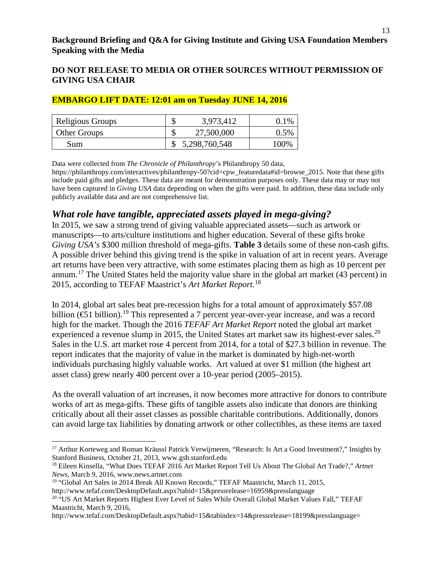| Religious Groups    | ጦ<br>۲D  | 3,973,412     | 1%   |
|---------------------|----------|---------------|------|
| <b>Other Groups</b> | ╓<br>ΝIJ | 27,500,000    | 0.5% |
| Sum                 |          | 5,298,760,548 | 100% |

#### **EMBARGO LIFT DATE: 12:01 am on Tuesday JUNE 14, 2016**

Data were collected from *The Chronicle of Philanthropy*'s Philanthropy 50 data,

https://philanthropy.com/interactives/philanthropy-50?cid=cpw\_featuredata#id=browse\_2015. Note that these gifts include paid gifts and pledges. These data are meant for demonstration purposes only. These data may or may not have been captured in *Giving USA* data depending on when the gifts were paid. In addition, these data include only publicly available data and are not comprehensive list.

## *What role have tangible, appreciated assets played in mega-giving?*

In 2015, we saw a strong trend of giving valuable appreciated assets—such as artwork or manuscripts—to arts/culture institutions and higher education. Several of these gifts broke *Giving USA's* \$300 million threshold of mega-gifts. **Table 3** details some of these non-cash gifts. A possible driver behind this giving trend is the spike in valuation of art in recent years. Average art returns have been very attractive, with some estimates placing them as high as 10 percent per annum.[17](#page-12-0) The United States held the majority value share in the global art market (43 percent) in 2015, according to TEFAF Maastrict's *Art Market Report.*[18](#page-12-1)

In 2014, global art sales beat pre-recession highs for a total amount of approximately \$57.08 billion (€51 billion).[19](#page-12-2) This represented a 7 percent year-over-year increase, and was a record high for the market. Though the 2016 *TEFAF Art Market Report* noted the global art market experienced a revenue slump in [20](#page-12-3)15, the United States art market saw its highest-ever sales.<sup>20</sup> Sales in the U.S. art market rose 4 percent from 2014, for a total of \$27.3 billion in revenue. The report indicates that the majority of value in the market is dominated by high-net-worth individuals purchasing highly valuable works. Art valued at over \$1 million (the highest art asset class) grew nearly 400 percent over a 10-year period (2005–2015).

As the overall valuation of art increases, it now becomes more attractive for donors to contribute works of art as mega-gifts. These gifts of tangible assets also indicate that donors are thinking critically about all their asset classes as possible charitable contributions. Additionally, donors can avoid large tax liabilities by donating artwork or other collectibles, as these items are taxed

 $\overline{\phantom{a}}$ 

<span id="page-12-0"></span><sup>&</sup>lt;sup>17</sup> Arthur Korteweg and Roman Kräussl Patrick Verwijmeren, "Research: Is Art a Good Investment?," Insights by Stanford Business, October 21, 2013, www.gsb.stanford.edu

<span id="page-12-1"></span><sup>18</sup> Eileen Kinsella, "What Does TEFAF 2016 Art Market Report Tell Us About The Global Art Trade?," *Artnet News,* March 9, 2016, www.news.artnet.com

<span id="page-12-2"></span><sup>19</sup> "Global Art Sales in 2014 Break All Known Records," TEFAF Maastricht, March 11, 2015,

http://www.tefaf.com/DesktopDefault.aspx?tabid=15&pressrelease=16959&presslanguage

<span id="page-12-3"></span><sup>&</sup>lt;sup>20 "</sup>US Art Market Reports Highest Ever Level of Sales While Overall Global Market Values Fall," TEFAF Maastricht, March 9, 2016,

http://www.tefaf.com/DesktopDefault.aspx?tabid=15&tabindex=14&pressrelease=18199&presslanguage=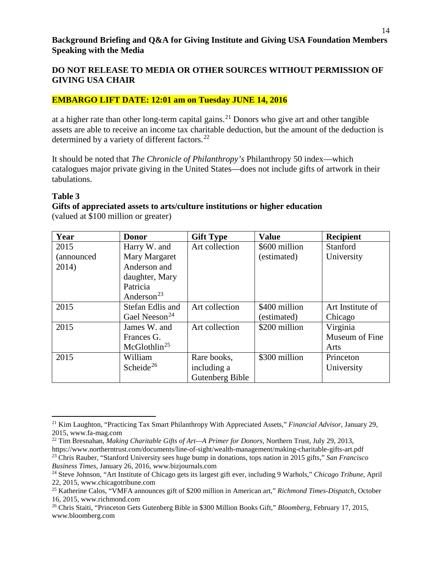#### **DO NOT RELEASE TO MEDIA OR OTHER SOURCES WITHOUT PERMISSION OF GIVING USA CHAIR**

#### **EMBARGO LIFT DATE: 12:01 am on Tuesday JUNE 14, 2016**

at a higher rate than other long-term capital gains.<sup>[21](#page-13-0)</sup> Donors who give art and other tangible assets are able to receive an income tax charitable deduction, but the amount of the deduction is determined by a variety of different factors.<sup>[22](#page-13-1)</sup>

It should be noted that *The Chronicle of Philanthropy's* Philanthropy 50 index—which catalogues major private giving in the United States—does not include gifts of artwork in their tabulations.

#### **Table 3**

#### **Gifts of appreciated assets to arts/culture institutions or higher education**  (valued at \$100 million or greater)

| Year        | <b>Donor</b>                | <b>Gift Type</b> | <b>Value</b>  | <b>Recipient</b> |
|-------------|-----------------------------|------------------|---------------|------------------|
| 2015        | Harry W. and                | Art collection   | \$600 million | Stanford         |
| (announced) | Mary Margaret               |                  | (estimated)   | University       |
| 2014)       | Anderson and                |                  |               |                  |
|             | daughter, Mary              |                  |               |                  |
|             | Patricia                    |                  |               |                  |
|             | Anderson <sup>23</sup>      |                  |               |                  |
| 2015        | Stefan Edlis and            | Art collection   | \$400 million | Art Institute of |
|             | Gael Neeson <sup>24</sup>   |                  | (estimated)   | Chicago          |
| 2015        | James W. and                | Art collection   | \$200 million | Virginia         |
|             | Frances G.                  |                  |               | Museum of Fine   |
|             | $McG$ lothlin <sup>25</sup> |                  |               | Arts             |
| 2015        | William                     | Rare books,      | \$300 million | Princeton        |
|             | Scheide <sup>26</sup>       | including a      |               | University       |
|             |                             | Gutenberg Bible  |               |                  |

<span id="page-13-0"></span> $\overline{\phantom{a}}$ <sup>21</sup> Kim Laughton, "Practicing Tax Smart Philanthropy With Appreciated Assets," *Financial Advisor,* January 29, 2015, www.fa-mag.com

<span id="page-13-1"></span><sup>22</sup> Tim Bresnahan, *Making Charitable Gifts of Art—A Primer for Donors,* Northern Trust, July 29, 2013, https://www.northerntrust.com/documents/line-of-sight/wealth-management/making-charitable-gifts-art.pdf <sup>23</sup> Chris Rauber, "Stanford University sees huge bump in donations, tops nation in 2015 gifts," *San Francisco Business Times*, January 26, 2016, www.bizjournals.com

<span id="page-13-3"></span><span id="page-13-2"></span><sup>24</sup> Steve Johnson, "Art Institute of Chicago gets its largest gift ever, including 9 Warhols," *Chicago Tribune,* April 22, 2015, www.chicagotribune.com

<span id="page-13-4"></span><sup>25</sup> Katherine Calos, "VMFA announces gift of \$200 million in American art," *Richmond Times-Dispatch,* October 16, 2015, www.richmond.com

<span id="page-13-5"></span><sup>26</sup> Chris Staiti, "Princeton Gets Gutenberg Bible in \$300 Million Books Gift," *Bloomberg,* February 17, 2015, www.bloomberg.com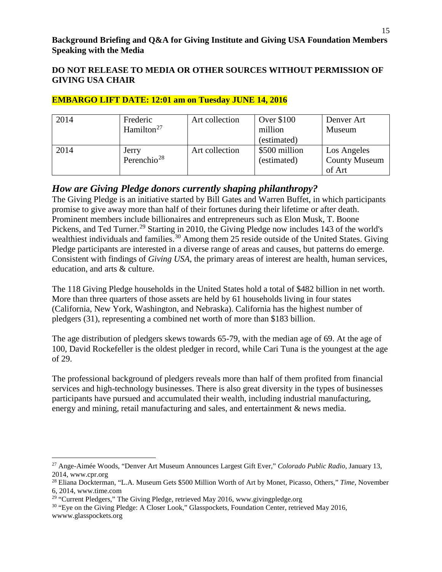| 2014 | Frederic<br>Hamilton <sup>27</sup> | Art collection | Over \$100<br>million<br>(estimated) | Denver Art<br>Museum                          |
|------|------------------------------------|----------------|--------------------------------------|-----------------------------------------------|
| 2014 | Jerry<br>Perenchio <sup>28</sup>   | Art collection | \$500 million<br>(estimated)         | Los Angeles<br><b>County Museum</b><br>of Art |

### **EMBARGO LIFT DATE: 12:01 am on Tuesday JUNE 14, 2016**

### *How are Giving Pledge donors currently shaping philanthropy?*

The Giving Pledge is an initiative started by Bill Gates and Warren Buffet, in which participants promise to give away more than half of their fortunes during their lifetime or after death. Prominent members include billionaires and entrepreneurs such as Elon Musk, T. Boone Pickens, and Ted Turner.<sup>[29](#page-14-2)</sup> Starting in 2010, the Giving Pledge now includes 143 of the world's wealthiest individuals and families.<sup>[30](#page-14-3)</sup> Among them 25 reside outside of the United States. Giving Pledge participants are interested in a diverse range of areas and causes, but patterns do emerge. Consistent with findings of *Giving USA*, the primary areas of interest are health, human services, education, and arts & culture.

The 118 Giving Pledge households in the United States hold a total of \$482 billion in net worth. More than three quarters of those assets are held by 61 households living in four states (California, New York, Washington, and Nebraska). California has the highest number of pledgers (31), representing a combined net worth of more than \$183 billion.

The age distribution of pledgers skews towards 65-79, with the median age of 69. At the age of 100, David Rockefeller is the oldest pledger in record, while Cari Tuna is the youngest at the age of 29.

The professional background of pledgers reveals more than half of them profited from financial services and high-technology businesses. There is also great diversity in the types of businesses participants have pursued and accumulated their wealth, including industrial manufacturing, energy and mining, retail manufacturing and sales, and entertainment & news media.

<span id="page-14-0"></span> $\overline{a}$ <sup>27</sup> Ange-Aimée Woods, "Denver Art Museum Announces Largest Gift Ever," *Colorado Public Radio,* January 13, 2014, www.cpr.org

<span id="page-14-1"></span><sup>28</sup> Eliana Dockterman, "L.A. Museum Gets \$500 Million Worth of Art by Monet, Picasso, Others," *Time*, November 6, 2014, www.time.com

<span id="page-14-2"></span><sup>&</sup>lt;sup>29</sup> "Current Pledgers," The Giving Pledge, retrieved May 2016, www.givingpledge.org

<span id="page-14-3"></span><sup>&</sup>lt;sup>30</sup> "Eye on the Giving Pledge: A Closer Look," Glasspockets, Foundation Center, retrieved May 2016, wwww.glasspockets.org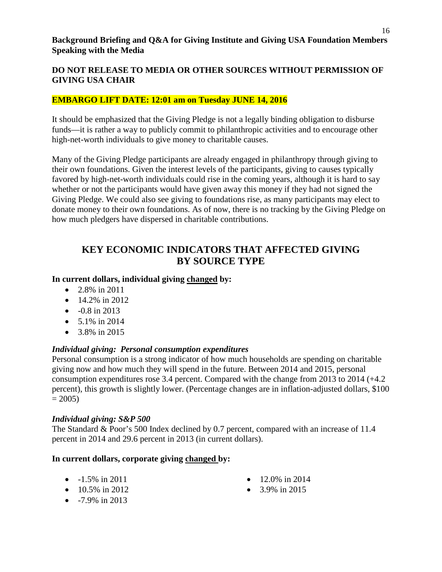#### **EMBARGO LIFT DATE: 12:01 am on Tuesday JUNE 14, 2016**

It should be emphasized that the Giving Pledge is not a legally binding obligation to disburse funds—it is rather a way to publicly commit to philanthropic activities and to encourage other high-net-worth individuals to give money to charitable causes.

Many of the Giving Pledge participants are already engaged in philanthropy through giving to their own foundations. Given the interest levels of the participants, giving to causes typically favored by high-net-worth individuals could rise in the coming years, although it is hard to say whether or not the participants would have given away this money if they had not signed the Giving Pledge. We could also see giving to foundations rise, as many participants may elect to donate money to their own foundations. As of now, there is no tracking by the Giving Pledge on how much pledgers have dispersed in charitable contributions.

## **KEY ECONOMIC INDICATORS THAT AFFECTED GIVING BY SOURCE TYPE**

#### **In current dollars, individual giving changed by:**

- 2.8% in 2011
- 14.2% in 2012
- $\bullet$  -0.8 in 2013
- 5.1% in 2014
- 3.8% in 2015

#### *Individual giving: Personal consumption expenditures*

Personal consumption is a strong indicator of how much households are spending on charitable giving now and how much they will spend in the future. Between 2014 and 2015, personal consumption expenditures rose 3.4 percent. Compared with the change from 2013 to 2014 (+4.2 percent), this growth is slightly lower. (Percentage changes are in inflation-adjusted dollars, \$100  $= 2005$ )

#### *Individual giving: S&P 500*

The Standard & Poor's 500 Index declined by 0.7 percent, compared with an increase of 11.4 percent in 2014 and 29.6 percent in 2013 (in current dollars).

#### **In current dollars, corporate giving changed by:**

- $-1.5\%$  in 2011
- $10.5\%$  in 2012
- $-7.9\%$  in 2013
- $12.0\%$  in 2014
- $3.9\%$  in 2015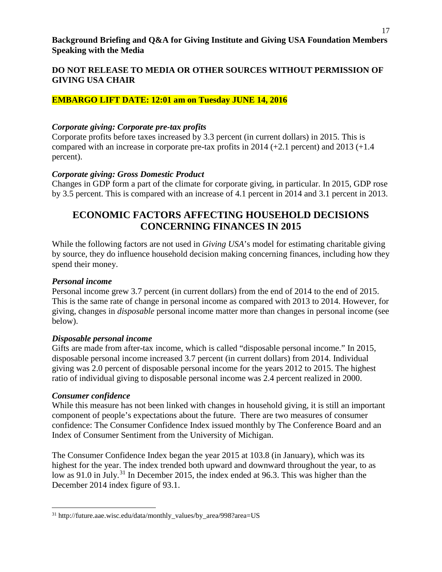#### **EMBARGO LIFT DATE: 12:01 am on Tuesday JUNE 14, 2016**

#### *Corporate giving: Corporate pre-tax profits*

Corporate profits before taxes increased by 3.3 percent (in current dollars) in 2015. This is compared with an increase in corporate pre-tax profits in  $2014 (+2.1)$  percent) and  $2013 (+1.4)$ percent).

### *Corporate giving: Gross Domestic Product*

Changes in GDP form a part of the climate for corporate giving, in particular. In 2015, GDP rose by 3.5 percent. This is compared with an increase of 4.1 percent in 2014 and 3.1 percent in 2013.

## **ECONOMIC FACTORS AFFECTING HOUSEHOLD DECISIONS CONCERNING FINANCES IN 2015**

While the following factors are not used in *Giving USA*'s model for estimating charitable giving by source, they do influence household decision making concerning finances, including how they spend their money.

#### *Personal income*

Personal income grew 3.7 percent (in current dollars) from the end of 2014 to the end of 2015. This is the same rate of change in personal income as compared with 2013 to 2014. However, for giving, changes in *disposable* personal income matter more than changes in personal income (see below).

#### *Disposable personal income*

Gifts are made from after-tax income, which is called "disposable personal income." In 2015, disposable personal income increased 3.7 percent (in current dollars) from 2014. Individual giving was 2.0 percent of disposable personal income for the years 2012 to 2015. The highest ratio of individual giving to disposable personal income was 2.4 percent realized in 2000.

#### *Consumer confidence*

While this measure has not been linked with changes in household giving, it is still an important component of people's expectations about the future. There are two measures of consumer confidence: The Consumer Confidence Index issued monthly by The Conference Board and an Index of Consumer Sentiment from the University of Michigan.

The Consumer Confidence Index began the year 2015 at 103.8 (in January), which was its highest for the year. The index trended both upward and downward throughout the year, to as low as 91.0 in July.<sup>[31](#page-16-0)</sup> In December 2015, the index ended at 96.3. This was higher than the December 2014 index figure of 93.1.

<span id="page-16-0"></span> $\overline{a}$  $^{31}$ http://future.aae.wisc.edu/data/monthly\_values/by\_area/998?area=US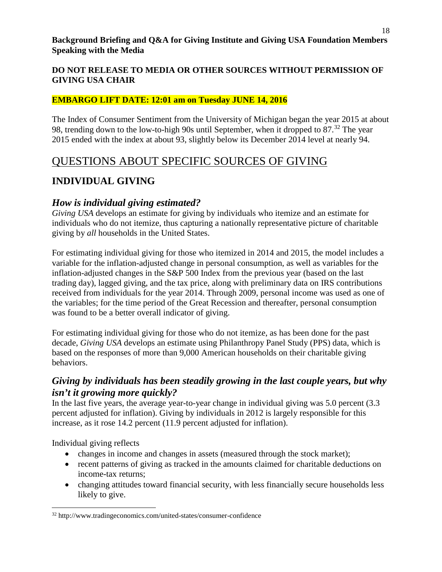18

### **DO NOT RELEASE TO MEDIA OR OTHER SOURCES WITHOUT PERMISSION OF GIVING USA CHAIR**

### **EMBARGO LIFT DATE: 12:01 am on Tuesday JUNE 14, 2016**

The Index of Consumer Sentiment from the University of Michigan began the year 2015 at about 98, trending down to the low-to-high 90s until September, when it dropped to  $87<sup>32</sup>$  $87<sup>32</sup>$  $87<sup>32</sup>$ . The year 2015 ended with the index at about 93, slightly below its December 2014 level at nearly 94.

## QUESTIONS ABOUT SPECIFIC SOURCES OF GIVING

## **INDIVIDUAL GIVING**

### *How is individual giving estimated?*

*Giving USA* develops an estimate for giving by individuals who itemize and an estimate for individuals who do not itemize, thus capturing a nationally representative picture of charitable giving by *all* households in the United States.

For estimating individual giving for those who itemized in 2014 and 2015, the model includes a variable for the inflation-adjusted change in personal consumption, as well as variables for the inflation-adjusted changes in the S&P 500 Index from the previous year (based on the last trading day), lagged giving, and the tax price, along with preliminary data on IRS contributions received from individuals for the year 2014. Through 2009, personal income was used as one of the variables; for the time period of the Great Recession and thereafter, personal consumption was found to be a better overall indicator of giving.

For estimating individual giving for those who do not itemize, as has been done for the past decade, *Giving USA* develops an estimate using Philanthropy Panel Study (PPS) data, which is based on the responses of more than 9,000 American households on their charitable giving behaviors.

## *Giving by individuals has been steadily growing in the last couple years, but why isn't it growing more quickly?*

In the last five years, the average year-to-year change in individual giving was 5.0 percent (3.3 percent adjusted for inflation). Giving by individuals in 2012 is largely responsible for this increase, as it rose 14.2 percent (11.9 percent adjusted for inflation).

Individual giving reflects

- changes in income and changes in assets (measured through the stock market);
- recent patterns of giving as tracked in the amounts claimed for charitable deductions on income-tax returns;
- changing attitudes toward financial security, with less financially secure households less likely to give.

<span id="page-17-0"></span><sup>32</sup> http://www.tradingeconomics.com/united-states/consumer-confidence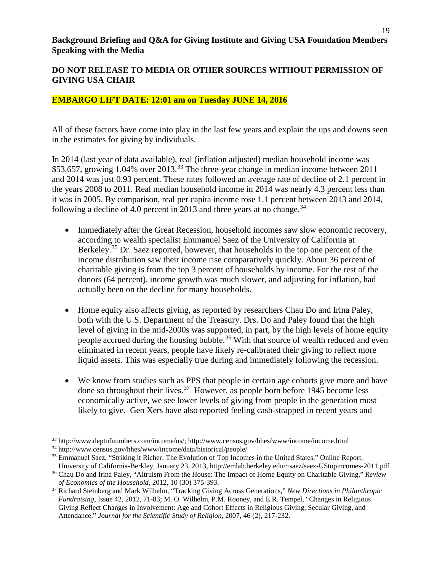#### **DO NOT RELEASE TO MEDIA OR OTHER SOURCES WITHOUT PERMISSION OF GIVING USA CHAIR**

#### **EMBARGO LIFT DATE: 12:01 am on Tuesday JUNE 14, 2016**

All of these factors have come into play in the last few years and explain the ups and downs seen in the estimates for giving by individuals.

In 2014 (last year of data available), real (inflation adjusted) median household income was \$53,657, growing 1.04% over 2013.<sup>[33](#page-18-0)</sup> The three-year change in median income between 2011 and 2014 was just 0.93 percent. These rates followed an average rate of decline of 2.1 percent in the years 2008 to 2011. Real median household income in 2014 was nearly 4.3 percent less than it was in 2005. By comparison, real per capita income rose 1.1 percent between 2013 and 2014, following a decline of 4.0 percent in 2013 and three years at no change.<sup>[34](#page-18-1)</sup>

- Immediately after the Great Recession, household incomes saw slow economic recovery, according to wealth specialist Emmanuel Saez of the University of California at Berkeley.<sup>[35](#page-18-2)</sup> Dr. Saez reported, however, that households in the top one percent of the income distribution saw their income rise comparatively quickly. About 36 percent of charitable giving is from the top 3 percent of households by income. For the rest of the donors (64 percent), income growth was much slower, and adjusting for inflation, had actually been on the decline for many households.
- Home equity also affects giving, as reported by researchers Chau Do and Irina Paley, both with the U.S. Department of the Treasury. Drs. Do and Paley found that the high level of giving in the mid-2000s was supported, in part, by the high levels of home equity people accrued during the housing bubble.<sup>[36](#page-18-3)</sup> With that source of wealth reduced and even eliminated in recent years, people have likely re-calibrated their giving to reflect more liquid assets. This was especially true during and immediately following the recession.
- We know from studies such as PPS that people in certain age cohorts give more and have done so throughout their lives.<sup>37</sup> However, as people born before 1945 become less economically active, we see lower levels of giving from people in the generation most likely to give. Gen Xers have also reported feeling cash-strapped in recent years and

<span id="page-18-0"></span><sup>33</sup> http://www.deptofnumbers.com/income/us/; http://www.census.gov/hhes/www/income/income.html

<span id="page-18-1"></span><sup>34</sup> http://www.census.gov/hhes/www/income/data/historical/people/

<span id="page-18-2"></span><sup>&</sup>lt;sup>35</sup> Emmanuel Saez, "Striking it Richer: The Evolution of Top Incomes in the United States," Online Report, University of California-Berkley, January 23, 2013, http://emlab.berkeley.edu/~saez/saez-UStopincomes-2011.pdf

<span id="page-18-3"></span><sup>36</sup> Chau Do and Irina Paley, "Altruism From the House: The Impact of Home Equity on Charitable Giving," *Review* 

<span id="page-18-4"></span>*of Economics of the Household*, 2012, 10 (30) 375-393. 37 Richard Steinberg and Mark Wilhelm, "Tracking Giving Across Generations," *New Directions in Philanthropic Fundraising*, Issue 42, 2012, 71-83; M. O. Wilhelm, P.M. Rooney, and E.R. Tempel, "Changes in Religious Giving Reflect Changes in Involvement: Age and Cohort Effects in Religious Giving, Secular Giving, and Attendance," *Journal for the Scientific Study of Religion,* 2007, 46 (2), 217-232.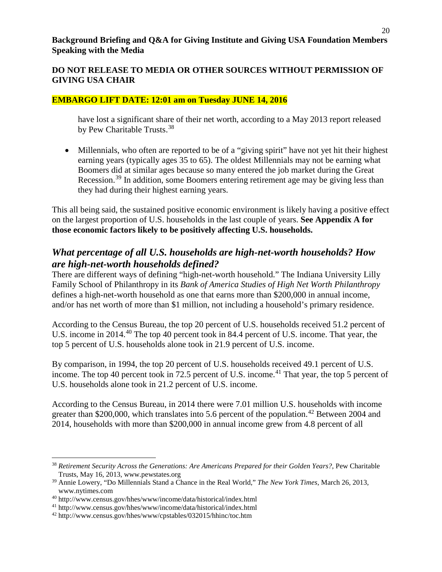#### **DO NOT RELEASE TO MEDIA OR OTHER SOURCES WITHOUT PERMISSION OF GIVING USA CHAIR**

#### **EMBARGO LIFT DATE: 12:01 am on Tuesday JUNE 14, 2016**

have lost a significant share of their net worth, according to a May 2013 report released by Pew Charitable Trusts.<sup>[38](#page-19-0)</sup>

• Millennials, who often are reported to be of a "giving spirit" have not yet hit their highest earning years (typically ages 35 to 65). The oldest Millennials may not be earning what Boomers did at similar ages because so many entered the job market during the Great Recession.<sup>[39](#page-19-1)</sup> In addition, some Boomers entering retirement age may be giving less than they had during their highest earning years.

This all being said, the sustained positive economic environment is likely having a positive effect on the largest proportion of U.S. households in the last couple of years. **See Appendix A for those economic factors likely to be positively affecting U.S. households.**

## *What percentage of all U.S. households are high-net-worth households? How are high-net-worth households defined?*

There are different ways of defining "high-net-worth household." The Indiana University Lilly Family School of Philanthropy in its *Bank of America Studies of High Net Worth Philanthropy* defines a high-net-worth household as one that earns more than \$200,000 in annual income, and/or has net worth of more than \$1 million, not including a household's primary residence.

According to the Census Bureau, the top 20 percent of U.S. households received 51.2 percent of U.S. income in 2014.<sup>[40](#page-19-2)</sup> The top 40 percent took in 84.4 percent of U.S. income. That year, the top 5 percent of U.S. households alone took in 21.9 percent of U.S. income.

By comparison, in 1994, the top 20 percent of U.S. households received 49.1 percent of U.S. income. The top 40 percent took in  $72.5$  percent of U.S. income.<sup>[41](#page-19-3)</sup> That year, the top 5 percent of U.S. households alone took in 21.2 percent of U.S. income.

According to the Census Bureau, in 2014 there were 7.01 million U.S. households with income greater than \$200,000, which translates into 5.6 percent of the population.<sup>[42](#page-19-4)</sup> Between 2004 and 2014, households with more than \$200,000 in annual income grew from 4.8 percent of all

<span id="page-19-0"></span><sup>38</sup> *Retirement Security Across the Generations: Are Americans Prepared for their Golden Years?*, Pew Charitable Trusts, May 16, 2013, www.pewstates.org

<span id="page-19-1"></span><sup>39</sup> Annie Lowery, "Do Millennials Stand a Chance in the Real World," *The New York Times*, March 26, 2013, www.nytimes.com

<span id="page-19-2"></span><sup>40</sup> http://www.census.gov/hhes/www/income/data/historical/index.html

<span id="page-19-3"></span><sup>41</sup> http://www.census.gov/hhes/www/income/data/historical/index.html

<span id="page-19-4"></span><sup>42</sup> http://www.census.gov/hhes/www/cpstables/032015/hhinc/toc.htm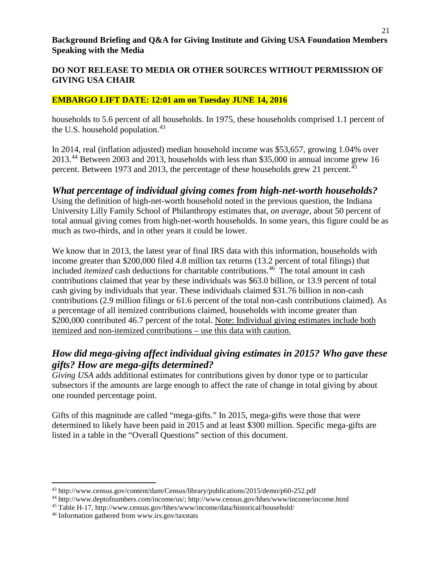### **DO NOT RELEASE TO MEDIA OR OTHER SOURCES WITHOUT PERMISSION OF GIVING USA CHAIR**

#### **EMBARGO LIFT DATE: 12:01 am on Tuesday JUNE 14, 2016**

households to 5.6 percent of all households. In 1975, these households comprised 1.1 percent of the U.S. household population. $43$ 

In 2014, real (inflation adjusted) median household income was \$53,657, growing 1.04% over 2013.[44](#page-20-1) Between 2003 and 2013, households with less than \$35,000 in annual income grew 16 percent. Between 1973 and 2013, the percentage of these households grew 21 percent.<sup>[45](#page-20-2)</sup>

### *What percentage of individual giving comes from high-net-worth households?*

Using the definition of high-net-worth household noted in the previous question, the Indiana University Lilly Family School of Philanthropy estimates that, *on average*, about 50 percent of total annual giving comes from high-net-worth households. In some years, this figure could be as much as two-thirds, and in other years it could be lower.

We know that in 2013, the latest year of final IRS data with this information, households with income greater than \$200,000 filed 4.8 million tax returns (13.2 percent of total filings) that included *itemized* cash deductions for charitable contributions.<sup>[46](#page-20-3)</sup> The total amount in cash contributions claimed that year by these individuals was \$63.0 billion, or 13.9 percent of total cash giving by individuals that year. These individuals claimed \$31.76 billion in non-cash contributions (2.9 million filings or 61.6 percent of the total non-cash contributions claimed). As a percentage of all itemized contributions claimed, households with income greater than \$200,000 contributed 46.7 percent of the total. Note: Individual giving estimates include both itemized and non-itemized contributions – use this data with caution.

## *How did mega-giving affect individual giving estimates in 2015? Who gave these gifts? How are mega-gifts determined?*

*Giving USA* adds additional estimates for contributions given by donor type or to particular subsectors if the amounts are large enough to affect the rate of change in total giving by about one rounded percentage point.

Gifts of this magnitude are called "mega-gifts." In 2015, mega-gifts were those that were determined to likely have been paid in 2015 and at least \$300 million. Specific mega-gifts are listed in a table in the "Overall Questions" section of this document.

<span id="page-20-0"></span><sup>43</sup> http://www.census.gov/content/dam/Census/library/publications/2015/demo/p60-252.pdf

<span id="page-20-1"></span><sup>44</sup> http://www.deptofnumbers.com/income/us/; http://www.census.gov/hhes/www/income/income.html

<span id="page-20-2"></span><sup>45</sup> Table H-17, http://www.census.gov/hhes/www/income/data/historical/household/

<span id="page-20-3"></span><sup>46</sup> Information gathered from www.irs.gov/taxstats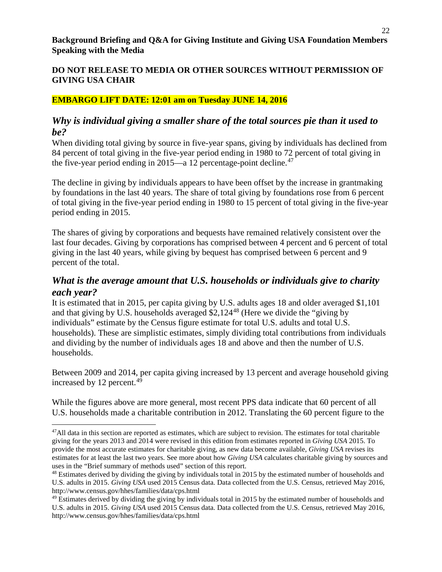### **EMBARGO LIFT DATE: 12:01 am on Tuesday JUNE 14, 2016**

## *Why is individual giving a smaller share of the total sources pie than it used to be?*

When dividing total giving by source in five-year spans, giving by individuals has declined from 84 percent of total giving in the five-year period ending in 1980 to 72 percent of total giving in the five-year period ending in 2015—a 12 percentage-point decline.<sup>[47](#page-21-0)</sup>

The decline in giving by individuals appears to have been offset by the increase in grantmaking by foundations in the last 40 years. The share of total giving by foundations rose from 6 percent of total giving in the five-year period ending in 1980 to 15 percent of total giving in the five-year period ending in 2015.

The shares of giving by corporations and bequests have remained relatively consistent over the last four decades. Giving by corporations has comprised between 4 percent and 6 percent of total giving in the last 40 years, while giving by bequest has comprised between 6 percent and 9 percent of the total.

## *What is the average amount that U.S. households or individuals give to charity each year?*

It is estimated that in 2015, per capita giving by U.S. adults ages 18 and older averaged \$1,101 and that giving by U.S. households averaged \$2,124[48](#page-21-1) (Here we divide the "giving by individuals" estimate by the Census figure estimate for total U.S. adults and total U.S. households). These are simplistic estimates, simply dividing total contributions from individuals and dividing by the number of individuals ages 18 and above and then the number of U.S. households.

Between 2009 and 2014, per capita giving increased by 13 percent and average household giving increased by 12 percent.<sup>[49](#page-21-2)</sup>

While the figures above are more general, most recent PPS data indicate that 60 percent of all U.S. households made a charitable contribution in 2012. Translating the 60 percent figure to the

l

<span id="page-21-0"></span> $47$ All data in this section are reported as estimates, which are subject to revision. The estimates for total charitable giving for the years 2013 and 2014 were revised in this edition from estimates reported in *Giving USA* 2015. To provide the most accurate estimates for charitable giving, as new data become available, *Giving USA* revises its estimates for at least the last two years. See more about how *Giving USA* calculates charitable giving by sources and uses in the "Brief summary of methods used" section of this report.

<span id="page-21-1"></span><sup>&</sup>lt;sup>48</sup> Estimates derived by dividing the giving by individuals total in 2015 by the estimated number of households and U.S. adults in 2015. *Giving USA* used 2015 Census data. Data collected from the U.S. Census, retrieved May 2016, http://www.census.gov/hhes/families/data/cps.html

<span id="page-21-2"></span><sup>&</sup>lt;sup>49</sup> Estimates derived by dividing the giving by individuals total in 2015 by the estimated number of households and U.S. adults in 2015. *Giving USA* used 2015 Census data. Data collected from the U.S. Census, retrieved May 2016, http://www.census.gov/hhes/families/data/cps.html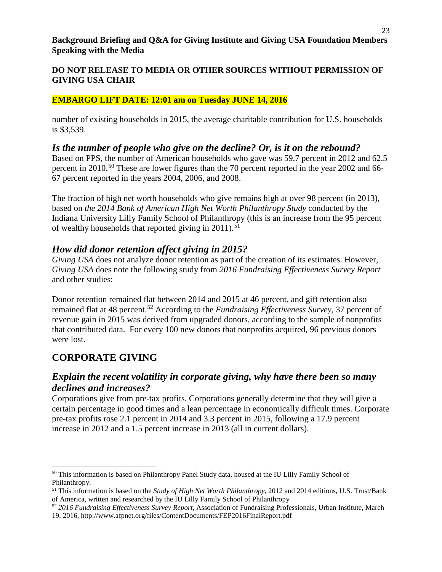### **EMBARGO LIFT DATE: 12:01 am on Tuesday JUNE 14, 2016**

number of existing households in 2015, the average charitable contribution for U.S. households is \$3,539.

## *Is the number of people who give on the decline? Or, is it on the rebound?*

Based on PPS, the number of American households who gave was 59.7 percent in 2012 and 62.5 percent in 2010.<sup>[50](#page-22-0)</sup> These are lower figures than the 70 percent reported in the year 2002 and 66-67 percent reported in the years 2004, 2006, and 2008.

The fraction of high net worth households who give remains high at over 98 percent (in 2013), based on *the 2014 Bank of American High Net Worth Philanthropy Study* conducted by the Indiana University Lilly Family School of Philanthropy (this is an increase from the 95 percent of wealthy households that reported giving in  $2011$ ).<sup>[51](#page-22-1)</sup>

## *How did donor retention affect giving in 2015?*

*Giving USA* does not analyze donor retention as part of the creation of its estimates. However, *Giving USA* does note the following study from *2016 Fundraising Effectiveness Survey Report* and other studies:

Donor retention remained flat between 2014 and 2015 at 46 percent, and gift retention also remained flat at 48 percent.[52](#page-22-2) According to the *Fundraising Effectiveness Survey,* 37 percent of revenue gain in 2015 was derived from upgraded donors, according to the sample of nonprofits that contributed data. For every 100 new donors that nonprofits acquired, 96 previous donors were lost.

## **CORPORATE GIVING**

 $\overline{\phantom{a}}$ 

## *Explain the recent volatility in corporate giving, why have there been so many declines and increases?*

Corporations give from pre-tax profits. Corporations generally determine that they will give a certain percentage in good times and a lean percentage in economically difficult times. Corporate pre-tax profits rose 2.1 percent in 2014 and 3.3 percent in 2015, following a 17.9 percent increase in 2012 and a 1.5 percent increase in 2013 (all in current dollars).

<span id="page-22-0"></span><sup>50</sup> This information is based on Philanthropy Panel Study data, housed at the IU Lilly Family School of Philanthropy.

<span id="page-22-1"></span><sup>51</sup> This information is based on the *Study of High Net Worth Philanthropy*, 2012 and 2014 editions, U.S. Trust/Bank of America, written and researched by the IU Lilly Family School of Philanthropy

<span id="page-22-2"></span><sup>52</sup> *2016 Fundraising Effectiveness Survey Report,* Association of Fundraising Professionals, Urban Institute, March 19, 2016, http://www.afpnet.org/files/ContentDocuments/FEP2016FinalReport.pdf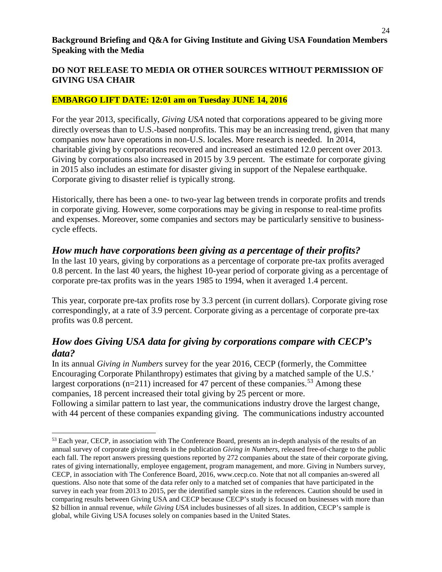### **EMBARGO LIFT DATE: 12:01 am on Tuesday JUNE 14, 2016**

For the year 2013, specifically, *Giving USA* noted that corporations appeared to be giving more directly overseas than to U.S.-based nonprofits. This may be an increasing trend, given that many companies now have operations in non-U.S. locales. More research is needed. In 2014, charitable giving by corporations recovered and increased an estimated 12.0 percent over 2013. Giving by corporations also increased in 2015 by 3.9 percent. The estimate for corporate giving in 2015 also includes an estimate for disaster giving in support of the Nepalese earthquake. Corporate giving to disaster relief is typically strong.

Historically, there has been a one- to two-year lag between trends in corporate profits and trends in corporate giving. However, some corporations may be giving in response to real-time profits and expenses. Moreover, some companies and sectors may be particularly sensitive to businesscycle effects.

## *How much have corporations been giving as a percentage of their profits?*

In the last 10 years, giving by corporations as a percentage of corporate pre-tax profits averaged 0.8 percent. In the last 40 years, the highest 10-year period of corporate giving as a percentage of corporate pre-tax profits was in the years 1985 to 1994, when it averaged 1.4 percent.

This year, corporate pre-tax profits rose by 3.3 percent (in current dollars). Corporate giving rose correspondingly, at a rate of 3.9 percent. Corporate giving as a percentage of corporate pre-tax profits was 0.8 percent.

## *How does Giving USA data for giving by corporations compare with CECP's data?*

In its annual *Giving in Numbers* survey for the year 2016, CECP (formerly, the Committee Encouraging Corporate Philanthropy) estimates that giving by a matched sample of the U.S.' largest corporations (n=211) increased for 47 percent of these companies.<sup>[53](#page-23-0)</sup> Among these companies, 18 percent increased their total giving by 25 percent or more. Following a similar pattern to last year, the communications industry drove the largest change, with 44 percent of these companies expanding giving. The communications industry accounted

<span id="page-23-0"></span><sup>53</sup> Each year, CECP, in association with The Conference Board, presents an in-depth analysis of the results of an annual survey of corporate giving trends in the publication *Giving in Numbers*, released free-of-charge to the public each fall. The report answers pressing questions reported by 272 companies about the state of their corporate giving, rates of giving internationally, employee engagement, program management, and more. Giving in Numbers survey, CECP, in association with The Conference Board, 2016, www.cecp.co. Note that not all companies an-swered all questions. Also note that some of the data refer only to a matched set of companies that have participated in the survey in each year from 2013 to 2015, per the identified sample sizes in the references. Caution should be used in comparing results between Giving USA and CECP because CECP's study is focused on businesses with more than \$2 billion in annual revenue, *while Giving USA* includes businesses of all sizes. In addition, CECP's sample is global, while Giving USA focuses solely on companies based in the United States.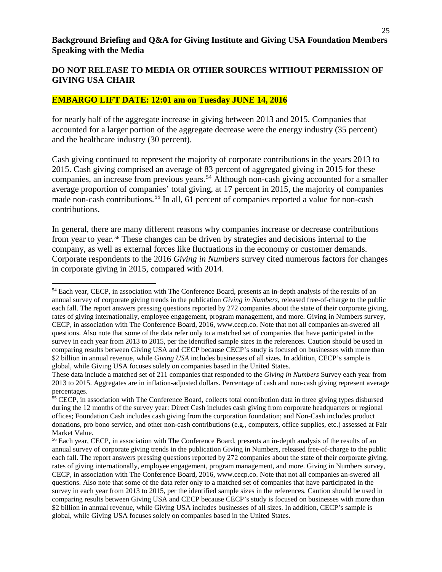#### **EMBARGO LIFT DATE: 12:01 am on Tuesday JUNE 14, 2016**

 $\overline{a}$ 

for nearly half of the aggregate increase in giving between 2013 and 2015. Companies that accounted for a larger portion of the aggregate decrease were the energy industry (35 percent) and the healthcare industry (30 percent).

Cash giving continued to represent the majority of corporate contributions in the years 2013 to 2015. Cash giving comprised an average of 83 percent of aggregated giving in 2015 for these companies, an increase from previous years. [54](#page-24-0) Although non-cash giving accounted for a smaller average proportion of companies' total giving, at 17 percent in 2015, the majority of companies made non-cash contributions.<sup>[55](#page-24-1)</sup> In all, 61 percent of companies reported a value for non-cash contributions.

In general, there are many different reasons why companies increase or decrease contributions from year to year.[56](#page-24-2) These changes can be driven by strategies and decisions internal to the company, as well as external forces like fluctuations in the economy or customer demands. Corporate respondents to the 2016 *Giving in Numbers* survey cited numerous factors for changes in corporate giving in 2015, compared with 2014.

<span id="page-24-0"></span><sup>54</sup> Each year, CECP, in association with The Conference Board, presents an in-depth analysis of the results of an annual survey of corporate giving trends in the publication *Giving in Numbers*, released free-of-charge to the public each fall. The report answers pressing questions reported by 272 companies about the state of their corporate giving, rates of giving internationally, employee engagement, program management, and more. Giving in Numbers survey, CECP, in association with The Conference Board, 2016, www.cecp.co. Note that not all companies an-swered all questions. Also note that some of the data refer only to a matched set of companies that have participated in the survey in each year from 2013 to 2015, per the identified sample sizes in the references. Caution should be used in comparing results between Giving USA and CECP because CECP's study is focused on businesses with more than \$2 billion in annual revenue, while *Giving USA* includes businesses of all sizes. In addition, CECP's sample is global, while Giving USA focuses solely on companies based in the United States.

These data include a matched set of 211 companies that responded to the *Giving in Numbers* Survey each year from 2013 to 2015. Aggregates are in inflation-adjusted dollars. Percentage of cash and non-cash giving represent average percentages.

<span id="page-24-1"></span><sup>&</sup>lt;sup>55</sup> CECP, in association with The Conference Board, collects total contribution data in three giving types disbursed during the 12 months of the survey year: Direct Cash includes cash giving from corporate headquarters or regional offices; Foundation Cash includes cash giving from the corporation foundation; and Non-Cash includes product donations, pro bono service, and other non-cash contributions (e.g., computers, office supplies, etc.) assessed at Fair Market Value.

<span id="page-24-2"></span><sup>56</sup> Each year, CECP, in association with The Conference Board, presents an in-depth analysis of the results of an annual survey of corporate giving trends in the publication Giving in Numbers, released free-of-charge to the public each fall. The report answers pressing questions reported by 272 companies about the state of their corporate giving, rates of giving internationally, employee engagement, program management, and more. Giving in Numbers survey, CECP, in association with The Conference Board, 2016, www.cecp.co. Note that not all companies an-swered all questions. Also note that some of the data refer only to a matched set of companies that have participated in the survey in each year from 2013 to 2015, per the identified sample sizes in the references. Caution should be used in comparing results between Giving USA and CECP because CECP's study is focused on businesses with more than \$2 billion in annual revenue, while Giving USA includes businesses of all sizes. In addition, CECP's sample is global, while Giving USA focuses solely on companies based in the United States.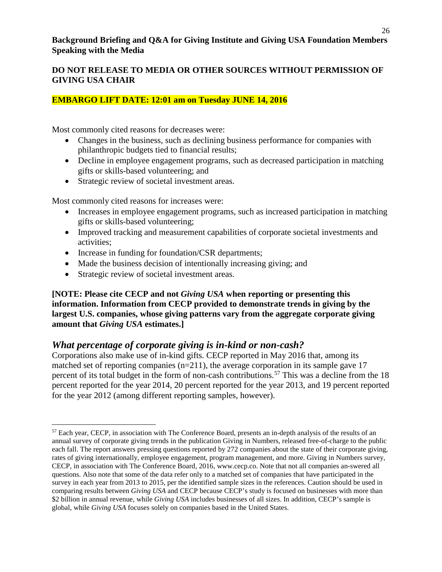### **DO NOT RELEASE TO MEDIA OR OTHER SOURCES WITHOUT PERMISSION OF GIVING USA CHAIR**

### **EMBARGO LIFT DATE: 12:01 am on Tuesday JUNE 14, 2016**

Most commonly cited reasons for decreases were:

- Changes in the business, such as declining business performance for companies with philanthropic budgets tied to financial results;
- Decline in employee engagement programs, such as decreased participation in matching gifts or skills-based volunteering; and
- Strategic review of societal investment areas.

Most commonly cited reasons for increases were:

- Increases in employee engagement programs, such as increased participation in matching gifts or skills-based volunteering;
- Improved tracking and measurement capabilities of corporate societal investments and activities;
- Increase in funding for foundation/CSR departments;
- Made the business decision of intentionally increasing giving; and
- Strategic review of societal investment areas.

l

#### **[NOTE: Please cite CECP and not** *Giving USA* **when reporting or presenting this information. Information from CECP provided to demonstrate trends in giving by the largest U.S. companies, whose giving patterns vary from the aggregate corporate giving amount that** *Giving USA* **estimates.]**

### *What percentage of corporate giving is in-kind or non-cash?*

Corporations also make use of in-kind gifts. CECP reported in May 2016 that, among its matched set of reporting companies (n=211), the average corporation in its sample gave 17 percent of its total budget in the form of non-cash contributions.<sup>[57](#page-25-0)</sup> This was a decline from the 18 percent reported for the year 2014, 20 percent reported for the year 2013, and 19 percent reported for the year 2012 (among different reporting samples, however).

<span id="page-25-0"></span><sup>&</sup>lt;sup>57</sup> Each year, CECP, in association with The Conference Board, presents an in-depth analysis of the results of an annual survey of corporate giving trends in the publication Giving in Numbers, released free-of-charge to the public each fall. The report answers pressing questions reported by 272 companies about the state of their corporate giving, rates of giving internationally, employee engagement, program management, and more. Giving in Numbers survey, CECP, in association with The Conference Board, 2016, www.cecp.co. Note that not all companies an-swered all questions. Also note that some of the data refer only to a matched set of companies that have participated in the survey in each year from 2013 to 2015, per the identified sample sizes in the references. Caution should be used in comparing results between *Giving USA* and CECP because CECP's study is focused on businesses with more than \$2 billion in annual revenue, while *Giving USA* includes businesses of all sizes. In addition, CECP's sample is global, while *Giving USA* focuses solely on companies based in the United States.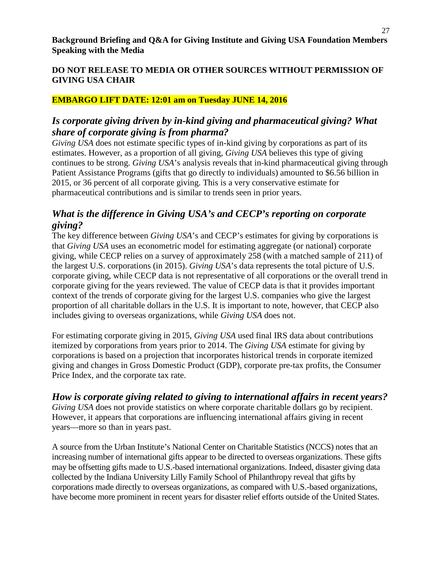### **EMBARGO LIFT DATE: 12:01 am on Tuesday JUNE 14, 2016**

## *Is corporate giving driven by in-kind giving and pharmaceutical giving? What share of corporate giving is from pharma?*

*Giving USA* does not estimate specific types of in-kind giving by corporations as part of its estimates. However, as a proportion of all giving, *Giving USA* believes this type of giving continues to be strong. *Giving USA*'s analysis reveals that in-kind pharmaceutical giving through Patient Assistance Programs (gifts that go directly to individuals) amounted to \$6.56 billion in 2015, or 36 percent of all corporate giving. This is a very conservative estimate for pharmaceutical contributions and is similar to trends seen in prior years.

## *What is the difference in Giving USA's and CECP's reporting on corporate giving?*

The key difference between *Giving USA*'s and CECP's estimates for giving by corporations is that *Giving USA* uses an econometric model for estimating aggregate (or national) corporate giving, while CECP relies on a survey of approximately 258 (with a matched sample of 211) of the largest U.S. corporations (in 2015). *Giving USA*'s data represents the total picture of U.S. corporate giving, while CECP data is not representative of all corporations or the overall trend in corporate giving for the years reviewed. The value of CECP data is that it provides important context of the trends of corporate giving for the largest U.S. companies who give the largest proportion of all charitable dollars in the U.S. It is important to note, however, that CECP also includes giving to overseas organizations, while *Giving USA* does not.

For estimating corporate giving in 2015, *Giving USA* used final IRS data about contributions itemized by corporations from years prior to 2014. The *Giving USA* estimate for giving by corporations is based on a projection that incorporates historical trends in corporate itemized giving and changes in Gross Domestic Product (GDP), corporate pre-tax profits, the Consumer Price Index, and the corporate tax rate.

## *How is corporate giving related to giving to international affairs in recent years?*

*Giving USA* does not provide statistics on where corporate charitable dollars go by recipient. However, it appears that corporations are influencing international affairs giving in recent years—more so than in years past.

A source from the Urban Institute's National Center on Charitable Statistics (NCCS) notes that an increasing number of international gifts appear to be directed to overseas organizations. These gifts may be offsetting gifts made to U.S.-based international organizations. Indeed, disaster giving data collected by the Indiana University Lilly Family School of Philanthropy reveal that gifts by corporations made directly to overseas organizations, as compared with U.S.-based organizations, have become more prominent in recent years for disaster relief efforts outside of the United States.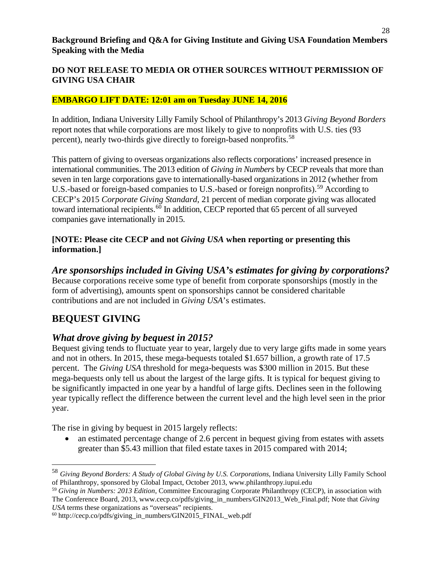### **EMBARGO LIFT DATE: 12:01 am on Tuesday JUNE 14, 2016**

In addition, Indiana University Lilly Family School of Philanthropy's 2013 *Giving Beyond Borders* report notes that while corporations are most likely to give to nonprofits with U.S. ties (93 percent), nearly two-thirds give directly to foreign-based nonprofits.[58](#page-27-0)

This pattern of giving to overseas organizations also reflects corporations' increased presence in international communities. The 2013 edition of *Giving in Numbers* by CECP reveals that more than seven in ten large corporations gave to internationally-based organizations in 2012 (whether from U.S.-based or foreign-based companies to U.S.-based or foreign nonprofits).<sup>[59](#page-27-1)</sup> According to CECP's 2015 *Corporate Giving Standard*, 21 percent of median corporate giving was allocated toward international recipients.<sup>[60](#page-27-2)</sup> In addition, CECP reported that 65 percent of all surveyed companies gave internationally in 2015.

#### **[NOTE: Please cite CECP and not** *Giving USA* **when reporting or presenting this information.]**

*Are sponsorships included in Giving USA'***s** *estimates for giving by corporations?* Because corporations receive some type of benefit from corporate sponsorships (mostly in the form of advertising), amounts spent on sponsorships cannot be considered charitable contributions and are not included in *Giving USA*'s estimates.

## **BEQUEST GIVING**

l

## *What drove giving by bequest in 2015?*

Bequest giving tends to fluctuate year to year, largely due to very large gifts made in some years and not in others. In 2015, these mega-bequests totaled \$1.657 billion, a growth rate of 17.5 percent. The *Giving USA* threshold for mega-bequests was \$300 million in 2015. But these mega-bequests only tell us about the largest of the large gifts. It is typical for bequest giving to be significantly impacted in one year by a handful of large gifts. Declines seen in the following year typically reflect the difference between the current level and the high level seen in the prior year.

The rise in giving by bequest in 2015 largely reflects:

• an estimated percentage change of 2.6 percent in bequest giving from estates with assets greater than \$5.43 million that filed estate taxes in 2015 compared with 2014;

<span id="page-27-0"></span><sup>58</sup> *Giving Beyond Borders: A Study of Global Giving by U.S. Corporations*, Indiana University Lilly Family School of Philanthropy, sponsored by Global Impact, October 2013, www.philanthropy.iupui.edu

<span id="page-27-1"></span><sup>59</sup> *Giving in Numbers: 2013 Edition*, Committee Encouraging Corporate Philanthropy (CECP), in association with The Conference Board, 2013, www.cecp.co/pdfs/giving\_in\_numbers/GIN2013\_Web\_Final.pdf; Note that *Giving USA* terms these organizations as "overseas" recipients.

<span id="page-27-2"></span><sup>60</sup> http://cecp.co/pdfs/giving\_in\_numbers/GIN2015\_FINAL\_web.pdf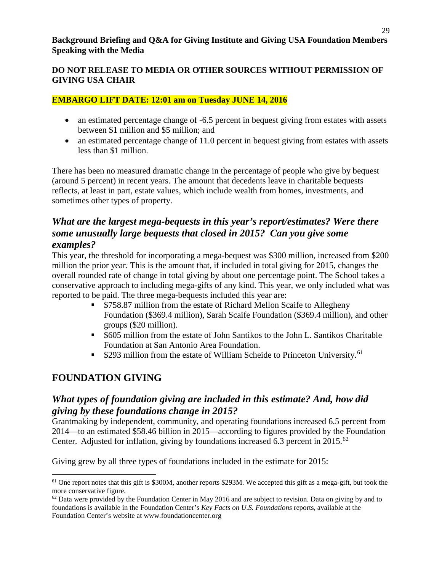### **DO NOT RELEASE TO MEDIA OR OTHER SOURCES WITHOUT PERMISSION OF GIVING USA CHAIR**

### **EMBARGO LIFT DATE: 12:01 am on Tuesday JUNE 14, 2016**

- an estimated percentage change of  $-6.5$  percent in bequest giving from estates with assets between \$1 million and \$5 million; and
- an estimated percentage change of 11.0 percent in bequest giving from estates with assets less than \$1 million.

There has been no measured dramatic change in the percentage of people who give by bequest (around 5 percent) in recent years. The amount that decedents leave in charitable bequests reflects, at least in part, estate values, which include wealth from homes, investments, and sometimes other types of property.

## *What are the largest mega-bequests in this year's report/estimates? Were there some unusually large bequests that closed in 2015? Can you give some examples?*

This year, the threshold for incorporating a mega-bequest was \$300 million, increased from \$200 million the prior year. This is the amount that, if included in total giving for 2015, changes the overall rounded rate of change in total giving by about one percentage point. The School takes a conservative approach to including mega-gifts of any kind. This year, we only included what was reported to be paid. The three mega-bequests included this year are:

- \$758.87 million from the estate of Richard Mellon Scaife to Allegheny Foundation (\$369.4 million), Sarah Scaife Foundation (\$369.4 million), and other groups (\$20 million).
- \$605 million from the estate of John Santikos to the John L. Santikos Charitable Foundation at San Antonio Area Foundation.
- **S293 million from the estate of William Scheide to Princeton University.**<sup>[61](#page-28-0)</sup>

## **FOUNDATION GIVING**

## *What types of foundation giving are included in this estimate? And, how did giving by these foundations change in 2015?*

Grantmaking by independent, community, and operating foundations increased 6.5 percent from 2014—to an estimated \$58.46 billion in 2015—according to figures provided by the Foundation Center. Adjusted for inflation, giving by foundations increased 6.3 percent in  $2015$ .<sup>[62](#page-28-1)</sup>

Giving grew by all three types of foundations included in the estimate for 2015:

<span id="page-28-0"></span>l  $<sup>61</sup>$  One report notes that this gift is \$300M, another reports \$293M. We accepted this gift as a mega-gift, but took the</sup> more conservative figure.

<span id="page-28-1"></span> $62$  Data were provided by the Foundation Center in May 2016 and are subject to revision. Data on giving by and to foundations is available in the Foundation Center's *Key Facts on U.S. Foundations* reports, available at the Foundation Center's website at www.foundationcenter.org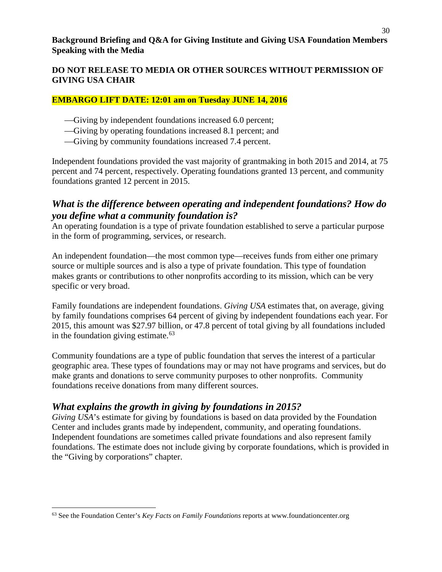### **EMBARGO LIFT DATE: 12:01 am on Tuesday JUNE 14, 2016**

- Giving by independent foundations increased 6.0 percent;
- Giving by operating foundations increased 8.1 percent; and
- Giving by community foundations increased 7.4 percent.

Independent foundations provided the vast majority of grantmaking in both 2015 and 2014, at 75 percent and 74 percent, respectively. Operating foundations granted 13 percent, and community foundations granted 12 percent in 2015.

### *What is the difference between operating and independent foundations? How do you define what a community foundation is?*

An operating foundation is a type of private foundation established to serve a particular purpose in the form of programming, services, or research.

An independent foundation—the most common type—receives funds from either one primary source or multiple sources and is also a type of private foundation. This type of foundation makes grants or contributions to other nonprofits according to its mission, which can be very specific or very broad.

Family foundations are independent foundations. *Giving USA* estimates that, on average, giving by family foundations comprises 64 percent of giving by independent foundations each year. For 2015, this amount was \$27.97 billion, or 47.8 percent of total giving by all foundations included in the foundation giving estimate.<sup>[63](#page-29-0)</sup>

Community foundations are a type of public foundation that serves the interest of a particular geographic area. These types of foundations may or may not have programs and services, but do make grants and donations to serve community purposes to other nonprofits. Community foundations receive donations from many different sources.

## *What explains the growth in giving by foundations in 2015?*

 $\overline{a}$ 

*Giving USA*'s estimate for giving by foundations is based on data provided by the Foundation Center and includes grants made by independent, community, and operating foundations. Independent foundations are sometimes called private foundations and also represent family foundations. The estimate does not include giving by corporate foundations, which is provided in the "Giving by corporations" chapter.

<span id="page-29-0"></span><sup>63</sup> See the Foundation Center's *Key Facts on Family Foundations* reports at www.foundationcenter.org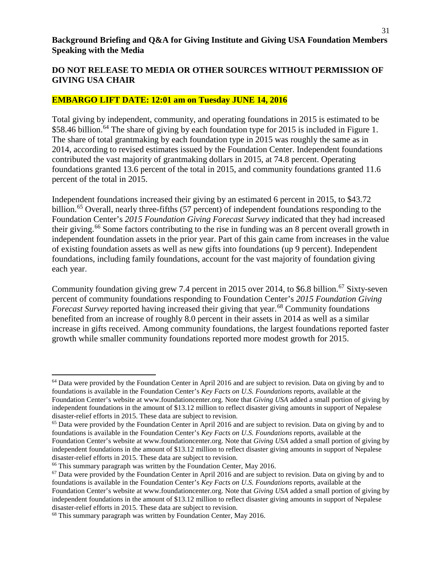31

#### **DO NOT RELEASE TO MEDIA OR OTHER SOURCES WITHOUT PERMISSION OF GIVING USA CHAIR**

#### **EMBARGO LIFT DATE: 12:01 am on Tuesday JUNE 14, 2016**

Total giving by independent, community, and operating foundations in 2015 is estimated to be \$58.46 billion.<sup>[64](#page-30-0)</sup> The share of giving by each foundation type for 2015 is included in Figure 1. The share of total grantmaking by each foundation type in 2015 was roughly the same as in 2014, according to revised estimates issued by the Foundation Center. Independent foundations contributed the vast majority of grantmaking dollars in 2015, at 74.8 percent. Operating foundations granted 13.6 percent of the total in 2015, and community foundations granted 11.6 percent of the total in 2015.

Independent foundations increased their giving by an estimated 6 percent in 2015, to \$43.72 billion.<sup>[65](#page-30-1)</sup> Overall, nearly three-fifths (57 percent) of independent foundations responding to the Foundation Center's *2015 Foundation Giving Forecast Survey* indicated that they had increased their giving.<sup>[66](#page-30-2)</sup> Some factors contributing to the rise in funding was an 8 percent overall growth in independent foundation assets in the prior year. Part of this gain came from increases in the value of existing foundation assets as well as new gifts into foundations (up 9 percent). Independent foundations, including family foundations, account for the vast majority of foundation giving each year.

Community foundation giving grew 7.4 percent in 2015 over 2014, to \$6.8 billion.<sup>[67](#page-30-3)</sup> Sixty-seven percent of community foundations responding to Foundation Center's *2015 Foundation Giving Forecast Survey* reported having increased their giving that year.<sup>[68](#page-30-4)</sup> Community foundations benefited from an increase of roughly 8.0 percent in their assets in 2014 as well as a similar increase in gifts received. Among community foundations, the largest foundations reported faster growth while smaller community foundations reported more modest growth for 2015.

l

<span id="page-30-0"></span> $64$  Data were provided by the Foundation Center in April 2016 and are subject to revision. Data on giving by and to foundations is available in the Foundation Center's *Key Facts on U.S. Foundations* reports, available at the Foundation Center's website at www.foundationcenter.org. Note that *Giving USA* added a small portion of giving by independent foundations in the amount of \$13.12 million to reflect disaster giving amounts in support of Nepalese disaster-relief efforts in 2015. These data are subject to revision.

<span id="page-30-1"></span><sup>&</sup>lt;sup>65</sup> Data were provided by the Foundation Center in April 2016 and are subject to revision. Data on giving by and to foundations is available in the Foundation Center's *Key Facts on U.S. Foundations* reports, available at the Foundation Center's website at www.foundationcenter.org. Note that *Giving USA* added a small portion of giving by independent foundations in the amount of \$13.12 million to reflect disaster giving amounts in support of Nepalese disaster-relief efforts in 2015. These data are subject to revision.

<span id="page-30-2"></span><sup>&</sup>lt;sup>66</sup> This summary paragraph was written by the Foundation Center, May 2016.

<span id="page-30-3"></span> $67$  Data were provided by the Foundation Center in April 2016 and are subject to revision. Data on giving by and to foundations is available in the Foundation Center's *Key Facts on U.S. Foundations* reports, available at the Foundation Center's website at www.foundationcenter.org. Note that *Giving USA* added a small portion of giving by independent foundations in the amount of \$13.12 million to reflect disaster giving amounts in support of Nepalese disaster-relief efforts in 2015. These data are subject to revision.

<span id="page-30-4"></span><sup>&</sup>lt;sup>68</sup> This summary paragraph was written by Foundation Center, May 2016.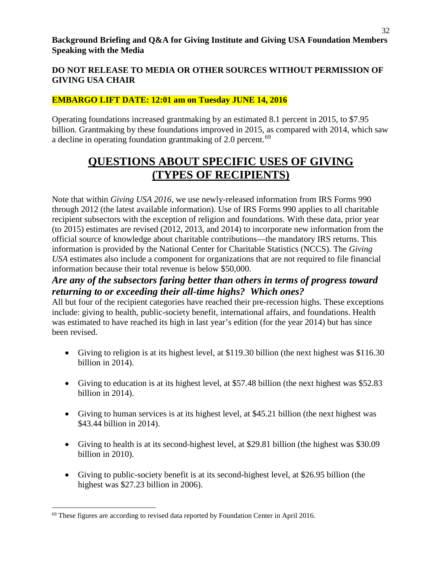### **EMBARGO LIFT DATE: 12:01 am on Tuesday JUNE 14, 2016**

Operating foundations increased grantmaking by an estimated 8.1 percent in 2015, to \$7.95 billion. Grantmaking by these foundations improved in 2015, as compared with 2014, which saw a decline in operating foundation grantmaking of 2.0 percent.<sup>[69](#page-31-0)</sup>

# **QUESTIONS ABOUT SPECIFIC USES OF GIVING (TYPES OF RECIPIENTS)**

Note that within *Giving USA 2016*, we use newly-released information from IRS Forms 990 through 2012 (the latest available information). Use of IRS Forms 990 applies to all charitable recipient subsectors with the exception of religion and foundations. With these data, prior year (to 2015) estimates are revised (2012, 2013, and 2014) to incorporate new information from the official source of knowledge about charitable contributions—the mandatory IRS returns. This information is provided by the National Center for Charitable Statistics (NCCS). The *Giving USA* estimates also include a component for organizations that are not required to file financial information because their total revenue is below \$50,000.

## *Are any of the subsectors faring better than others in terms of progress toward returning to or exceeding their all-time highs? Which ones?*

All but four of the recipient categories have reached their pre-recession highs. These exceptions include: giving to health, public-society benefit, international affairs, and foundations. Health was estimated to have reached its high in last year's edition (for the year 2014) but has since been revised.

- Giving to religion is at its highest level, at \$119.30 billion (the next highest was \$116.30 billion in 2014).
- Giving to education is at its highest level, at \$57.48 billion (the next highest was \$52.83) billion in 2014).
- Giving to human services is at its highest level, at \$45.21 billion (the next highest was \$43.44 billion in 2014).
- Giving to health is at its second-highest level, at \$29.81 billion (the highest was \$30.09 billion in 2010).
- Giving to public-society benefit is at its second-highest level, at \$26.95 billion (the highest was \$27.23 billion in 2006).

<span id="page-31-0"></span><sup>69</sup> These figures are according to revised data reported by Foundation Center in April 2016.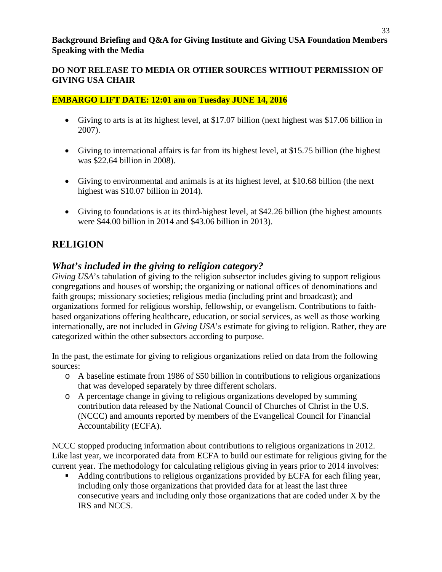#### **DO NOT RELEASE TO MEDIA OR OTHER SOURCES WITHOUT PERMISSION OF GIVING USA CHAIR**

#### **EMBARGO LIFT DATE: 12:01 am on Tuesday JUNE 14, 2016**

- Giving to arts is at its highest level, at \$17.07 billion (next highest was \$17.06 billion in 2007).
- Giving to international affairs is far from its highest level, at \$15.75 billion (the highest was \$22.64 billion in 2008).
- Giving to environmental and animals is at its highest level, at \$10.68 billion (the next highest was \$10.07 billion in 2014).
- Giving to foundations is at its third-highest level, at \$42.26 billion (the highest amounts were \$44.00 billion in 2014 and \$43.06 billion in 2013).

## **RELIGION**

## *What's included in the giving to religion category?*

*Giving USA*'s tabulation of giving to the religion subsector includes giving to support religious congregations and houses of worship; the organizing or national offices of denominations and faith groups; missionary societies; religious media (including print and broadcast); and organizations formed for religious worship, fellowship, or evangelism. Contributions to faithbased organizations offering healthcare, education, or social services, as well as those working internationally, are not included in *Giving USA*'s estimate for giving to religion. Rather, they are categorized within the other subsectors according to purpose.

In the past, the estimate for giving to religious organizations relied on data from the following sources:

- o A baseline estimate from 1986 of \$50 billion in contributions to religious organizations that was developed separately by three different scholars.
- o A percentage change in giving to religious organizations developed by summing contribution data released by the National Council of Churches of Christ in the U.S. (NCCC) and amounts reported by members of the Evangelical Council for Financial Accountability (ECFA).

NCCC stopped producing information about contributions to religious organizations in 2012. Like last year, we incorporated data from ECFA to build our estimate for religious giving for the current year. The methodology for calculating religious giving in years prior to 2014 involves:

Adding contributions to religious organizations provided by ECFA for each filing year, including only those organizations that provided data for at least the last three consecutive years and including only those organizations that are coded under X by the IRS and NCCS.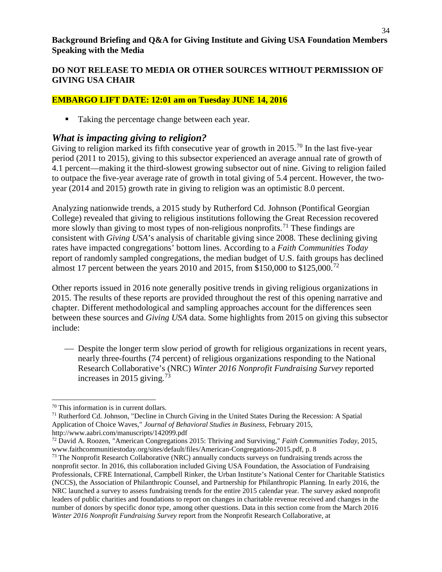### **DO NOT RELEASE TO MEDIA OR OTHER SOURCES WITHOUT PERMISSION OF GIVING USA CHAIR**

#### **EMBARGO LIFT DATE: 12:01 am on Tuesday JUNE 14, 2016**

■ Taking the percentage change between each year.

### *What is impacting giving to religion?*

Giving to religion marked its fifth consecutive year of growth in 2015.<sup>[70](#page-33-0)</sup> In the last five-year period (2011 to 2015), giving to this subsector experienced an average annual rate of growth of 4.1 percent—making it the third-slowest growing subsector out of nine. Giving to religion failed to outpace the five-year average rate of growth in total giving of 5.4 percent. However, the twoyear (2014 and 2015) growth rate in giving to religion was an optimistic 8.0 percent.

Analyzing nationwide trends, a 2015 study by Rutherford Cd. Johnson (Pontifical Georgian College) revealed that giving to religious institutions following the Great Recession recovered more slowly than giving to most types of non-religious nonprofits.<sup>[71](#page-33-1)</sup> These findings are consistent with *Giving USA*'s analysis of charitable giving since 2008. These declining giving rates have impacted congregations' bottom lines. According to a *Faith Communities Today* report of randomly sampled congregations, the median budget of U.S. faith groups has declined almost 17 percent between the years 2010 and 2015, from \$150,000 to \$125,000.<sup>[72](#page-33-2)</sup>

Other reports issued in 2016 note generally positive trends in giving religious organizations in 2015. The results of these reports are provided throughout the rest of this opening narrative and chapter. Different methodological and sampling approaches account for the differences seen between these sources and *Giving USA* data. Some highlights from 2015 on giving this subsector include:

 Despite the longer term slow period of growth for religious organizations in recent years, nearly three-fourths (74 percent) of religious organizations responding to the National Research Collaborative's (NRC) *Winter 2016 Nonprofit Fundraising Survey* reported increases in 2015 giving.<sup>[73](#page-33-3)</sup>

l

<span id="page-33-1"></span><span id="page-33-0"></span><sup>&</sup>lt;sup>70</sup> This information is in current dollars.<br><sup>71</sup> Rutherford Cd. Johnson, "Decline in Church Giving in the United States During the Recession: A Spatial Application of Choice Waves," *Journal of Behavioral Studies in Business*, February 2015, http://www.aabri.com/manuscripts/142099.pdf

<span id="page-33-2"></span><sup>72</sup> David A. Roozen, "American Congregations 2015: Thriving and Surviving," *Faith Communities Today*, 2015, www.faithcommunitiestoday.org/sites/default/files/American-Congregations-2015.pdf, p. 8

<span id="page-33-3"></span> $<sup>73</sup>$  The Nonprofit Research Collaborative (NRC) annually conducts surveys on fundraising trends across the</sup> nonprofit sector. In 2016, this collaboration included Giving USA Foundation, the Association of Fundraising Professionals, CFRE International, Campbell Rinker, the Urban Institute's National Center for Charitable Statistics (NCCS), the Association of Philanthropic Counsel, and Partnership for Philanthropic Planning. In early 2016, the NRC launched a survey to assess fundraising trends for the entire 2015 calendar year. The survey asked nonprofit leaders of public charities and foundations to report on changes in charitable revenue received and changes in the number of donors by specific donor type, among other questions. Data in this section come from the March 2016 *Winter 2016 Nonprofit Fundraising Survey* report from the Nonprofit Research Collaborative, at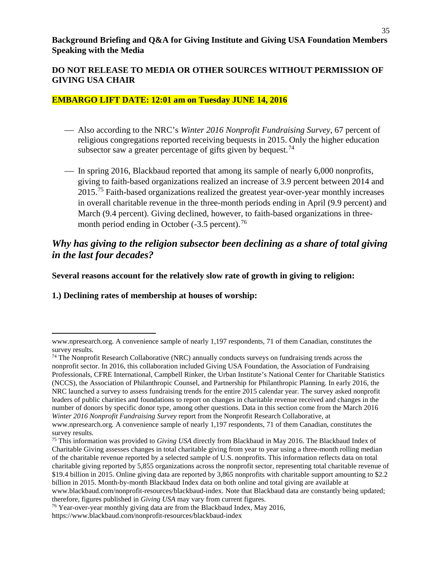#### **DO NOT RELEASE TO MEDIA OR OTHER SOURCES WITHOUT PERMISSION OF GIVING USA CHAIR**

#### **EMBARGO LIFT DATE: 12:01 am on Tuesday JUNE 14, 2016**

- Also according to the NRC's *Winter 2016 Nonprofit Fundraising Survey*, 67 percent of religious congregations reported receiving bequests in 2015. Only the higher education subsector saw a greater percentage of gifts given by bequest.<sup>[74](#page-34-0)</sup>
- In spring 2016, Blackbaud reported that among its sample of nearly 6,000 nonprofits, giving to faith-based organizations realized an increase of 3.9 percent between 2014 and 2015.<sup>[75](#page-34-1)</sup> Faith-based organizations realized the greatest year-over-year monthly increases in overall charitable revenue in the three-month periods ending in April (9.9 percent) and March (9.4 percent). Giving declined, however, to faith-based organizations in threemonth period ending in October  $(-3.5 \text{ percent})$ .<sup>[76](#page-34-2)</sup>

### *Why has giving to the religion subsector been declining as a share of total giving in the last four decades?*

**Several reasons account for the relatively slow rate of growth in giving to religion:**

**1.) Declining rates of membership at houses of worship:**

www.npresearch.org. A convenience sample of nearly 1,197 respondents, 71 of them Canadian, constitutes the survey results.

<span id="page-34-0"></span><sup>74</sup> The Nonprofit Research Collaborative (NRC) annually conducts surveys on fundraising trends across the nonprofit sector. In 2016, this collaboration included Giving USA Foundation, the Association of Fundraising Professionals, CFRE International, Campbell Rinker, the Urban Institute's National Center for Charitable Statistics (NCCS), the Association of Philanthropic Counsel, and Partnership for Philanthropic Planning. In early 2016, the NRC launched a survey to assess fundraising trends for the entire 2015 calendar year. The survey asked nonprofit leaders of public charities and foundations to report on changes in charitable revenue received and changes in the number of donors by specific donor type, among other questions. Data in this section come from the March 2016 *Winter 2016 Nonprofit Fundraising Survey* report from the Nonprofit Research Collaborative, at www.npresearch.org. A convenience sample of nearly 1,197 respondents, 71 of them Canadian, constitutes the

survey results.

<span id="page-34-1"></span><sup>75</sup> This information was provided to *Giving USA* directly from Blackbaud in May 2016. The Blackbaud Index of Charitable Giving assesses changes in total charitable giving from year to year using a three-month rolling median of the charitable revenue reported by a selected sample of U.S. nonprofits. This information reflects data on total charitable giving reported by 5,855 organizations across the nonprofit sector, representing total charitable revenue of \$19.4 billion in 2015. Online giving data are reported by 3,865 nonprofits with charitable support amounting to \$2.2 billion in 2015. Month-by-month Blackbaud Index data on both online and total giving are available at www.blackbaud.com/nonprofit-resources/blackbaud-index. Note that Blackbaud data are constantly being updated; therefore, figures published in *Giving USA* may vary from current figures.

<span id="page-34-2"></span><sup>&</sup>lt;sup>76</sup> Year-over-year monthly giving data are from the Blackbaud Index, May 2016,

https://www.blackbaud.com/nonprofit-resources/blackbaud-index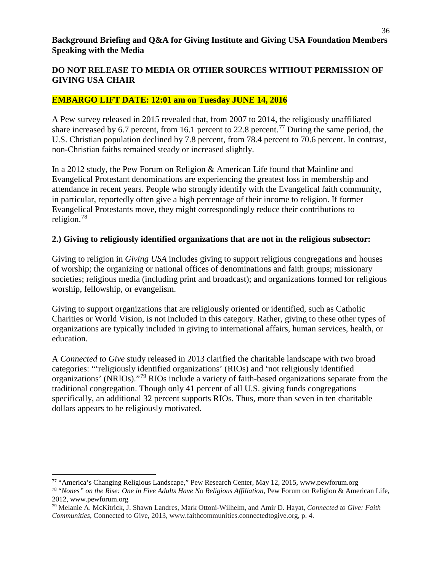#### **EMBARGO LIFT DATE: 12:01 am on Tuesday JUNE 14, 2016**

A Pew survey released in 2015 revealed that, from 2007 to 2014, the religiously unaffiliated share increased by 6.7 percent, from 16.1 percent to 22.8 percent.<sup>[77](#page-35-0)</sup> During the same period, the U.S. Christian population declined by 7.8 percent, from 78.4 percent to 70.6 percent. In contrast, non-Christian faiths remained steady or increased slightly.

In a 2012 study, the Pew Forum on Religion & American Life found that Mainline and Evangelical Protestant denominations are experiencing the greatest loss in membership and attendance in recent years. People who strongly identify with the Evangelical faith community, in particular, reportedly often give a high percentage of their income to religion. If former Evangelical Protestants move, they might correspondingly reduce their contributions to religion.[78](#page-35-1) 

#### **2.) Giving to religiously identified organizations that are not in the religious subsector:**

Giving to religion in *Giving USA* includes giving to support religious congregations and houses of worship; the organizing or national offices of denominations and faith groups; missionary societies; religious media (including print and broadcast); and organizations formed for religious worship, fellowship, or evangelism.

Giving to support organizations that are religiously oriented or identified, such as Catholic Charities or World Vision, is not included in this category. Rather, giving to these other types of organizations are typically included in giving to international affairs, human services, health, or education.

A *Connected to Give* study released in 2013 clarified the charitable landscape with two broad categories: "'religiously identified organizations' (RIOs) and 'not religiously identified organizations' (NRIOs)."[79](#page-35-2) RIOs include a variety of faith-based organizations separate from the traditional congregation. Though only 41 percent of all U.S. giving funds congregations specifically, an additional 32 percent supports RIOs. Thus, more than seven in ten charitable dollars appears to be religiously motivated.

l

<span id="page-35-0"></span><sup>77</sup> "America's Changing Religious Landscape," Pew Research Center, May 12, 2015, www.pewforum.org

<span id="page-35-1"></span><sup>78</sup> "*Nones" on the Rise: One in Five Adults Have No Religious Affiliation*, Pew Forum on Religion & American Life, 2012, www.pewforum.org

<span id="page-35-2"></span><sup>79</sup> Melanie A. McKitrick, J. Shawn Landres, Mark Ottoni-Wilhelm, and Amir D. Hayat, *Connected to Give: Faith Communities*, Connected to Give, 2013, www.faithcommunities.connectedtogive.org, p. 4.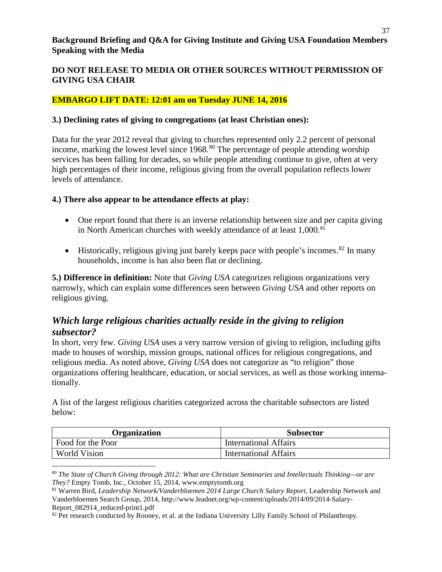#### **DO NOT RELEASE TO MEDIA OR OTHER SOURCES WITHOUT PERMISSION OF GIVING USA CHAIR**

#### **EMBARGO LIFT DATE: 12:01 am on Tuesday JUNE 14, 2016**

#### **3.) Declining rates of giving to congregations (at least Christian ones):**

Data for the year 2012 reveal that giving to churches represented only 2.2 percent of personal income, marking the lowest level since 1968.<sup>[80](#page-36-0)</sup> The percentage of people attending worship services has been falling for decades, so while people attending continue to give, often at very high percentages of their income, religious giving from the overall population reflects lower levels of attendance.

#### **4.) There also appear to be attendance effects at play:**

 $\overline{\phantom{a}}$ 

- One report found that there is an inverse relationship between size and per capita giving in North American churches with weekly attendance of at least 1,000.<sup>[81](#page-36-1)</sup>
- Historically, religious giving just barely keeps pace with people's incomes.  $82$  In many households, income is has also been flat or declining.

**5.) Difference in definition:** Note that *Giving USA* categorizes religious organizations very narrowly, which can explain some differences seen between *Giving USA* and other reports on religious giving.

## *Which large religious charities actually reside in the giving to religion subsector?*

In short, very few. *Giving USA* uses a very narrow version of giving to religion, including gifts made to houses of worship, mission groups, national offices for religious congregations, and religious media. As noted above, *Giving USA* does not categorize as "to religion" those organizations offering healthcare, education, or social services, as well as those working internationally.

A list of the largest religious charities categorized across the charitable subsectors are listed below:

| <b>Organization</b> | <b>Subsector</b>             |
|---------------------|------------------------------|
| Food for the Poor   | <b>International Affairs</b> |
| <b>World Vision</b> | <b>International Affairs</b> |

<span id="page-36-0"></span><sup>80</sup> *The State of Church Giving through 2012: What are Christian Seminaries and Intellectuals Thinking—or are They?* Empty Tomb, Inc., October 15, 2014, www.emptytomb.org

<span id="page-36-1"></span><sup>81</sup> Warren Bird, *Leadership Network/Vanderbloemen 2014 Large Church Salary Report*, Leadership Network and Vanderbloemen Search Group, 2014, http://www.leadnet.org/wp-content/uploads/2014/09/2014-Salary-Report 082914 reduced-print1.pdf

<span id="page-36-2"></span><sup>82</sup> Per research conducted by Rooney, et al. at the Indiana University Lilly Family School of Philanthropy.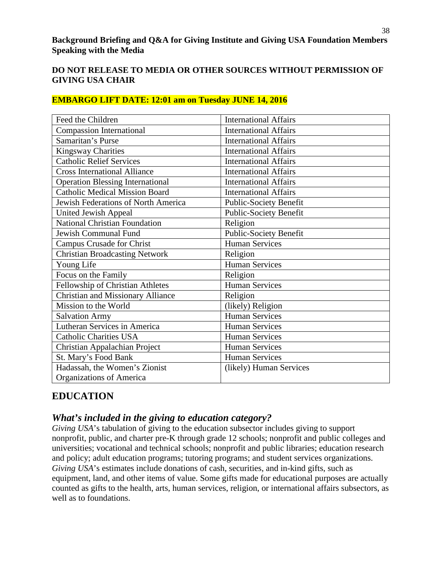| Feed the Children                        | <b>International Affairs</b>  |
|------------------------------------------|-------------------------------|
| <b>Compassion International</b>          | <b>International Affairs</b>  |
| Samaritan's Purse                        | <b>International Affairs</b>  |
| <b>Kingsway Charities</b>                | <b>International Affairs</b>  |
| <b>Catholic Relief Services</b>          | <b>International Affairs</b>  |
| <b>Cross International Alliance</b>      | <b>International Affairs</b>  |
| <b>Operation Blessing International</b>  | <b>International Affairs</b>  |
| <b>Catholic Medical Mission Board</b>    | <b>International Affairs</b>  |
| Jewish Federations of North America      | <b>Public-Society Benefit</b> |
| United Jewish Appeal                     | <b>Public-Society Benefit</b> |
| <b>National Christian Foundation</b>     | Religion                      |
| Jewish Communal Fund                     | Public-Society Benefit        |
| <b>Campus Crusade for Christ</b>         | <b>Human Services</b>         |
| <b>Christian Broadcasting Network</b>    | Religion                      |
| Young Life                               | <b>Human Services</b>         |
| Focus on the Family                      | Religion                      |
| Fellowship of Christian Athletes         | <b>Human Services</b>         |
| <b>Christian and Missionary Alliance</b> | Religion                      |
| Mission to the World                     | (likely) Religion             |
| <b>Salvation Army</b>                    | <b>Human Services</b>         |
| Lutheran Services in America             | <b>Human Services</b>         |
| <b>Catholic Charities USA</b>            | <b>Human Services</b>         |
| Christian Appalachian Project            | <b>Human Services</b>         |
| St. Mary's Food Bank                     | <b>Human Services</b>         |
| Hadassah, the Women's Zionist            | (likely) Human Services       |
| Organizations of America                 |                               |

## **EMBARGO LIFT DATE: 12:01 am on Tuesday JUNE 14, 2016**

# **EDUCATION**

## *What's included in the giving to education category?*

*Giving USA*'s tabulation of giving to the education subsector includes giving to support nonprofit, public, and charter pre-K through grade 12 schools; nonprofit and public colleges and universities; vocational and technical schools; nonprofit and public libraries; education research and policy; adult education programs; tutoring programs; and student services organizations. *Giving USA*'s estimates include donations of cash, securities, and in-kind gifts, such as equipment, land, and other items of value. Some gifts made for educational purposes are actually counted as gifts to the health, arts, human services, religion, or international affairs subsectors, as well as to foundations.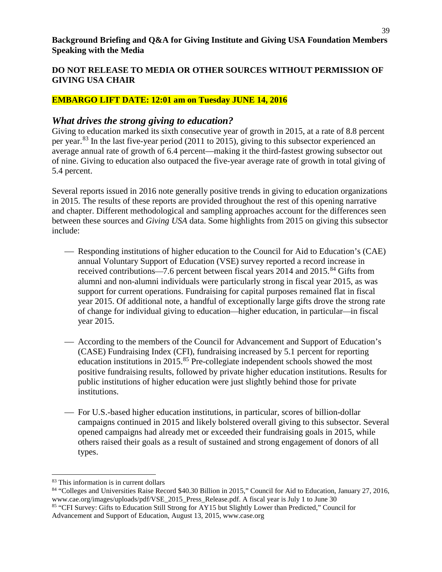#### **EMBARGO LIFT DATE: 12:01 am on Tuesday JUNE 14, 2016**

## *What drives the strong giving to education?*

Giving to education marked its sixth consecutive year of growth in 2015, at a rate of 8.8 percent per year.[83](#page-38-0) In the last five-year period (2011 to 2015), giving to this subsector experienced an average annual rate of growth of 6.4 percent—making it the third-fastest growing subsector out of nine. Giving to education also outpaced the five-year average rate of growth in total giving of 5.4 percent.

Several reports issued in 2016 note generally positive trends in giving to education organizations in 2015. The results of these reports are provided throughout the rest of this opening narrative and chapter. Different methodological and sampling approaches account for the differences seen between these sources and *Giving USA* data. Some highlights from 2015 on giving this subsector include:

- Responding institutions of higher education to the Council for Aid to Education's (CAE) annual Voluntary Support of Education (VSE) survey reported a record increase in received contributions-7.6 percent between fiscal years 2014 and 2015.<sup>[84](#page-38-1)</sup> Gifts from alumni and non-alumni individuals were particularly strong in fiscal year 2015, as was support for current operations. Fundraising for capital purposes remained flat in fiscal year 2015. Of additional note, a handful of exceptionally large gifts drove the strong rate of change for individual giving to education—higher education, in particular—in fiscal year 2015.
- According to the members of the Council for Advancement and Support of Education's (CASE) Fundraising Index (CFI), fundraising increased by 5.1 percent for reporting education institutions in 2015.<sup>[85](#page-38-2)</sup> Pre-collegiate independent schools showed the most positive fundraising results, followed by private higher education institutions. Results for public institutions of higher education were just slightly behind those for private institutions.
- For U.S.-based higher education institutions, in particular, scores of billion-dollar campaigns continued in 2015 and likely bolstered overall giving to this subsector. Several opened campaigns had already met or exceeded their fundraising goals in 2015, while others raised their goals as a result of sustained and strong engagement of donors of all types.

l

<span id="page-38-0"></span><sup>83</sup> This information is in current dollars

<span id="page-38-2"></span><span id="page-38-1"></span><sup>84</sup> "Colleges and Universities Raise Record \$40.30 Billion in 2015," Council for Aid to Education, January 27, 2016, www.cae.org/images/uploads/pdf/VSE\_2015\_Press\_Release.pdf. A fiscal year is July 1 to June 30 <sup>85</sup> "CFI Survey: Gifts to Education Still Strong for AY15 but Slightly Lower than Predicted," Council for Advancement and Support of Education, August 13, 2015, www.case.org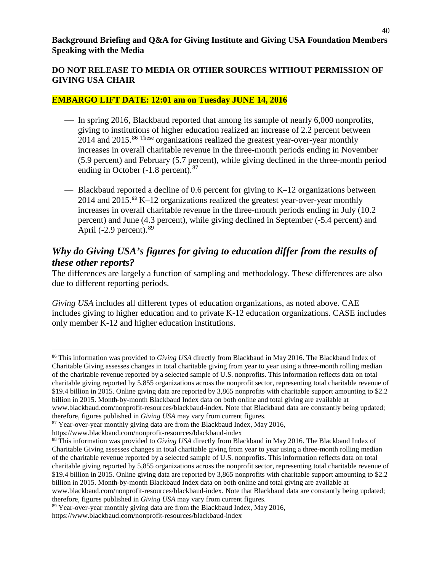#### **EMBARGO LIFT DATE: 12:01 am on Tuesday JUNE 14, 2016**

- In spring 2016, Blackbaud reported that among its sample of nearly 6,000 nonprofits, giving to institutions of higher education realized an increase of 2.2 percent between 2014 and 2015.<sup>[86](#page-39-0) These</sup> organizations realized the greatest year-over-year monthly increases in overall charitable revenue in the three-month periods ending in November (5.9 percent) and February (5.7 percent), while giving declined in the three-month period ending in October  $(-1.8 \text{ percent})$ .<sup>[87](#page-39-1)</sup>
- $\equiv$  Blackbaud reported a decline of 0.6 percent for giving to K–12 organizations between 2014 and 2015.[88](#page-39-2) K–12 organizations realized the greatest year-over-year monthly increases in overall charitable revenue in the three-month periods ending in July (10.2 percent) and June (4.3 percent), while giving declined in September (-5.4 percent) and April  $(-2.9$  percent). <sup>[89](#page-39-3)</sup>

# *Why do Giving USA's figures for giving to education differ from the results of these other reports?*

The differences are largely a function of sampling and methodology. These differences are also due to different reporting periods.

*Giving USA* includes all different types of education organizations, as noted above. CAE includes giving to higher education and to private K-12 education organizations. CASE includes only member K-12 and higher education institutions.

<span id="page-39-0"></span>l <sup>86</sup> This information was provided to *Giving USA* directly from Blackbaud in May 2016. The Blackbaud Index of Charitable Giving assesses changes in total charitable giving from year to year using a three-month rolling median of the charitable revenue reported by a selected sample of U.S. nonprofits. This information reflects data on total charitable giving reported by 5,855 organizations across the nonprofit sector, representing total charitable revenue of \$19.4 billion in 2015. Online giving data are reported by 3,865 nonprofits with charitable support amounting to \$2.2 billion in 2015. Month-by-month Blackbaud Index data on both online and total giving are available at www.blackbaud.com/nonprofit-resources/blackbaud-index. Note that Blackbaud data are constantly being updated; therefore, figures published in *Giving USA* may vary from current figures.

<span id="page-39-1"></span><sup>&</sup>lt;sup>87</sup> Year-over-year monthly giving data are from the Blackbaud Index, May 2016,

https://www.blackbaud.com/nonprofit-resources/blackbaud-index

<span id="page-39-2"></span><sup>88</sup> This information was provided to *Giving USA* directly from Blackbaud in May 2016. The Blackbaud Index of Charitable Giving assesses changes in total charitable giving from year to year using a three-month rolling median of the charitable revenue reported by a selected sample of U.S. nonprofits. This information reflects data on total charitable giving reported by 5,855 organizations across the nonprofit sector, representing total charitable revenue of \$19.4 billion in 2015. Online giving data are reported by 3,865 nonprofits with charitable support amounting to \$2.2 billion in 2015. Month-by-month Blackbaud Index data on both online and total giving are available at www.blackbaud.com/nonprofit-resources/blackbaud-index. Note that Blackbaud data are constantly being updated; therefore, figures published in *Giving USA* may vary from current figures.

<span id="page-39-3"></span> $89$  Year-over-year monthly giving data are from the Blackbaud Index, May 2016,

https://www.blackbaud.com/nonprofit-resources/blackbaud-index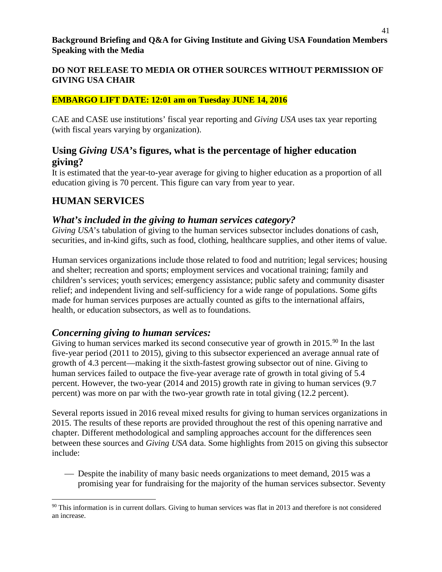#### **EMBARGO LIFT DATE: 12:01 am on Tuesday JUNE 14, 2016**

CAE and CASE use institutions' fiscal year reporting and *Giving USA* uses tax year reporting (with fiscal years varying by organization).

## **Using** *Giving USA***'s figures, what is the percentage of higher education giving?**

It is estimated that the year-to-year average for giving to higher education as a proportion of all education giving is 70 percent. This figure can vary from year to year.

# **HUMAN SERVICES**

l

## *What's included in the giving to human services category?*

*Giving USA*'s tabulation of giving to the human services subsector includes donations of cash, securities, and in-kind gifts, such as food, clothing, healthcare supplies, and other items of value.

Human services organizations include those related to food and nutrition; legal services; housing and shelter; recreation and sports; employment services and vocational training; family and children's services; youth services; emergency assistance; public safety and community disaster relief; and independent living and self-sufficiency for a wide range of populations. Some gifts made for human services purposes are actually counted as gifts to the international affairs, health, or education subsectors, as well as to foundations.

## *Concerning giving to human services:*

Giving to human services marked its second consecutive year of growth in 2015.<sup>[90](#page-40-0)</sup> In the last five-year period (2011 to 2015), giving to this subsector experienced an average annual rate of growth of 4.3 percent—making it the sixth-fastest growing subsector out of nine. Giving to human services failed to outpace the five-year average rate of growth in total giving of 5.4 percent. However, the two-year (2014 and 2015) growth rate in giving to human services (9.7 percent) was more on par with the two-year growth rate in total giving (12.2 percent).

Several reports issued in 2016 reveal mixed results for giving to human services organizations in 2015. The results of these reports are provided throughout the rest of this opening narrative and chapter. Different methodological and sampling approaches account for the differences seen between these sources and *Giving USA* data. Some highlights from 2015 on giving this subsector include:

 Despite the inability of many basic needs organizations to meet demand, 2015 was a promising year for fundraising for the majority of the human services subsector. Seventy

<span id="page-40-0"></span> $90$  This information is in current dollars. Giving to human services was flat in 2013 and therefore is not considered an increase.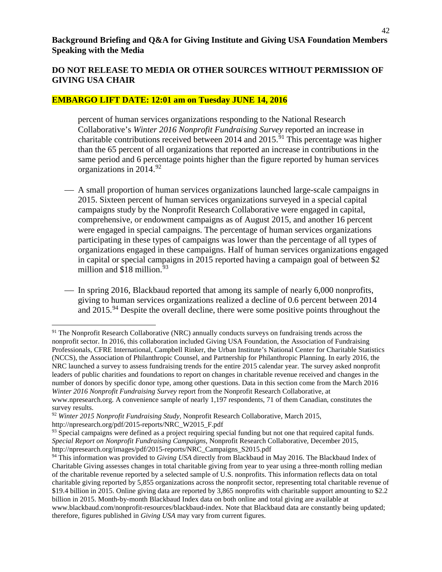#### **EMBARGO LIFT DATE: 12:01 am on Tuesday JUNE 14, 2016**

percent of human services organizations responding to the National Research Collaborative's *Winter 2016 Nonprofit Fundraising Survey* reported an increase in charitable contributions received between 2014 and  $2015$ .<sup>[91](#page-41-0)</sup> This percentage was higher than the 65 percent of all organizations that reported an increase in contributions in the same period and 6 percentage points higher than the figure reported by human services organizations in  $2014.^{92}$  $2014.^{92}$  $2014.^{92}$ 

- A small proportion of human services organizations launched large-scale campaigns in 2015. Sixteen percent of human services organizations surveyed in a special capital campaigns study by the Nonprofit Research Collaborative were engaged in capital, comprehensive, or endowment campaigns as of August 2015, and another 16 percent were engaged in special campaigns. The percentage of human services organizations participating in these types of campaigns was lower than the percentage of all types of organizations engaged in these campaigns. Half of human services organizations engaged in capital or special campaigns in 2015 reported having a campaign goal of between \$2 million and  $$18$  million.<sup>[93](#page-41-2)</sup>
- In spring 2016, Blackbaud reported that among its sample of nearly 6,000 nonprofits, giving to human services organizations realized a decline of 0.6 percent between 2014 and  $2015.^{94}$  $2015.^{94}$  $2015.^{94}$  Despite the overall decline, there were some positive points throughout the

l

<span id="page-41-0"></span><sup>&</sup>lt;sup>91</sup> The Nonprofit Research Collaborative (NRC) annually conducts surveys on fundraising trends across the nonprofit sector. In 2016, this collaboration included Giving USA Foundation, the Association of Fundraising Professionals, CFRE International, Campbell Rinker, the Urban Institute's National Center for Charitable Statistics (NCCS), the Association of Philanthropic Counsel, and Partnership for Philanthropic Planning. In early 2016, the NRC launched a survey to assess fundraising trends for the entire 2015 calendar year. The survey asked nonprofit leaders of public charities and foundations to report on changes in charitable revenue received and changes in the number of donors by specific donor type, among other questions. Data in this section come from the March 2016 *Winter 2016 Nonprofit Fundraising Survey* report from the Nonprofit Research Collaborative, at www.npresearch.org. A convenience sample of nearly 1,197 respondents, 71 of them Canadian, constitutes the survey results.

<span id="page-41-1"></span><sup>92</sup> *Winter 2015 Nonprofit Fundraising Study,* Nonprofit Research Collaborative, March 2015, http://npresearch.org/pdf/2015-reports/NRC\_W2015\_F.pdf

<span id="page-41-2"></span> $93$  Special campaigns were defined as a project requiring special funding but not one that required capital funds. *Special Report on Nonprofit Fundraising Campaigns,* Nonprofit Research Collaborative, December 2015, http://npresearch.org/images/pdf/2015-reports/NRC\_Campaigns\_S2015.pdf

<span id="page-41-3"></span><sup>94</sup> This information was provided to *Giving USA* directly from Blackbaud in May 2016. The Blackbaud Index of Charitable Giving assesses changes in total charitable giving from year to year using a three-month rolling median of the charitable revenue reported by a selected sample of U.S. nonprofits. This information reflects data on total charitable giving reported by 5,855 organizations across the nonprofit sector, representing total charitable revenue of \$19.4 billion in 2015. Online giving data are reported by 3,865 nonprofits with charitable support amounting to \$2.2 billion in 2015. Month-by-month Blackbaud Index data on both online and total giving are available at www.blackbaud.com/nonprofit-resources/blackbaud-index. Note that Blackbaud data are constantly being updated; therefore, figures published in *Giving USA* may vary from current figures.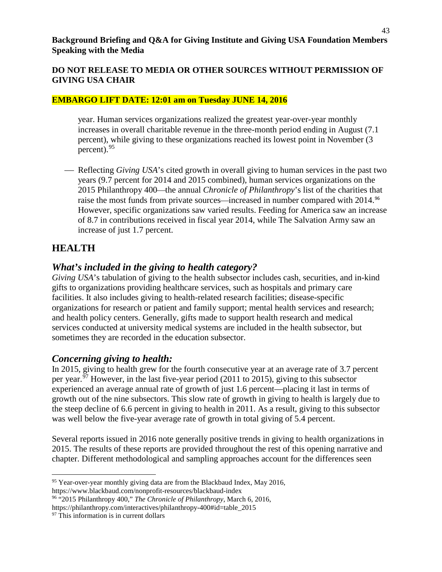#### **DO NOT RELEASE TO MEDIA OR OTHER SOURCES WITHOUT PERMISSION OF GIVING USA CHAIR**

#### **EMBARGO LIFT DATE: 12:01 am on Tuesday JUNE 14, 2016**

year. Human services organizations realized the greatest year-over-year monthly increases in overall charitable revenue in the three-month period ending in August (7.1 percent), while giving to these organizations reached its lowest point in November (3 percent).[95](#page-42-0)

 Reflecting *Giving USA*'s cited growth in overall giving to human services in the past two years (9.7 percent for 2014 and 2015 combined), human services organizations on the 2015 Philanthropy 400—the annual *Chronicle of Philanthropy*'s list of the charities that raise the most funds from private sources—increased in number compared with 2014.[96](#page-42-1) However, specific organizations saw varied results. Feeding for America saw an increase of 8.7 in contributions received in fiscal year 2014, while The Salvation Army saw an increase of just 1.7 percent.

# **HEALTH**

## *What's included in the giving to health category?*

*Giving USA*'s tabulation of giving to the health subsector includes cash, securities, and in-kind gifts to organizations providing healthcare services, such as hospitals and primary care facilities. It also includes giving to health-related research facilities; disease-specific organizations for research or patient and family support; mental health services and research; and health policy centers. Generally, gifts made to support health research and medical services conducted at university medical systems are included in the health subsector, but sometimes they are recorded in the education subsector.

## *Concerning giving to health:*

In 2015, giving to health grew for the fourth consecutive year at an average rate of 3.7 percent per year.<sup>[97](#page-42-2)</sup> However, in the last five-year period (2011 to 2015), giving to this subsector experienced an average annual rate of growth of just 1.6 percent—placing it last in terms of growth out of the nine subsectors. This slow rate of growth in giving to health is largely due to the steep decline of 6.6 percent in giving to health in 2011. As a result, giving to this subsector was well below the five-year average rate of growth in total giving of 5.4 percent.

Several reports issued in 2016 note generally positive trends in giving to health organizations in 2015. The results of these reports are provided throughout the rest of this opening narrative and chapter. Different methodological and sampling approaches account for the differences seen

<span id="page-42-0"></span>l  $95$  Year-over-year monthly giving data are from the Blackbaud Index, May 2016, https://www.blackbaud.com/nonprofit-resources/blackbaud-index

<span id="page-42-1"></span><sup>96</sup> "2015 Philanthropy 400," *The Chronicle of Philanthropy*, March 6, 2016,

https://philanthropy.com/interactives/philanthropy-400#id=table\_2015

<span id="page-42-2"></span><sup>&</sup>lt;sup>97</sup> This information is in current dollars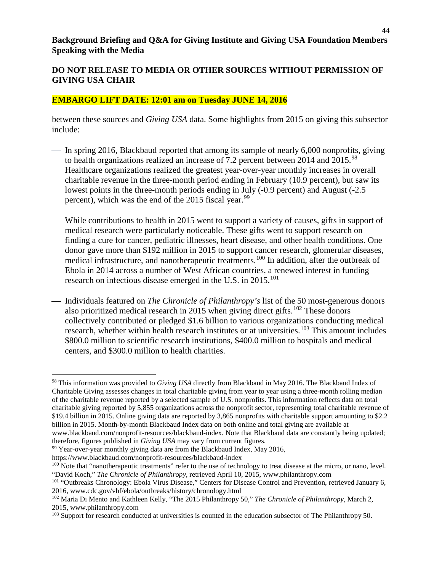#### **DO NOT RELEASE TO MEDIA OR OTHER SOURCES WITHOUT PERMISSION OF GIVING USA CHAIR**

#### **EMBARGO LIFT DATE: 12:01 am on Tuesday JUNE 14, 2016**

between these sources and *Giving USA* data. Some highlights from 2015 on giving this subsector include:

- $\sim$  In spring 2016, Blackbaud reported that among its sample of nearly 6,000 nonprofits, giving to health organizations realized an increase of 7.2 percent between 2014 and 2015.<sup>[98](#page-43-0)</sup> Healthcare organizations realized the greatest year-over-year monthly increases in overall charitable revenue in the three-month period ending in February (10.9 percent), but saw its lowest points in the three-month periods ending in July (-0.9 percent) and August (-2.5 percent), which was the end of the 2015 fiscal year.<sup>[99](#page-43-1)</sup>
- While contributions to health in 2015 went to support a variety of causes, gifts in support of medical research were particularly noticeable. These gifts went to support research on finding a cure for cancer, pediatric illnesses, heart disease, and other health conditions. One donor gave more than \$192 million in 2015 to support cancer research, glomerular diseases, medical infrastructure, and nanotherapeutic treatments.<sup>[100](#page-43-2)</sup> In addition, after the outbreak of Ebola in 2014 across a number of West African countries, a renewed interest in funding research on infectious disease emerged in the U.S. in  $2015$ <sup>[101](#page-43-3)</sup>
- Individuals featured on *The Chronicle of Philanthropy's* list of the 50 most-generous donors also prioritized medical research in 2015 when giving direct gifts.<sup>[102](#page-43-4)</sup> These donors collectively contributed or pledged \$1.6 billion to various organizations conducting medical research, whether within health research institutes or at universities.<sup>[103](#page-43-5)</sup> This amount includes \$800.0 million to scientific research institutions, \$400.0 million to hospitals and medical centers, and \$300.0 million to health charities.

therefore, figures published in *Giving USA* may vary from current figures.

l

<span id="page-43-0"></span><sup>98</sup> This information was provided to *Giving USA* directly from Blackbaud in May 2016. The Blackbaud Index of Charitable Giving assesses changes in total charitable giving from year to year using a three-month rolling median of the charitable revenue reported by a selected sample of U.S. nonprofits. This information reflects data on total charitable giving reported by 5,855 organizations across the nonprofit sector, representing total charitable revenue of \$19.4 billion in 2015. Online giving data are reported by 3,865 nonprofits with charitable support amounting to \$2.2 billion in 2015. Month-by-month Blackbaud Index data on both online and total giving are available at www.blackbaud.com/nonprofit-resources/blackbaud-index. Note that Blackbaud data are constantly being updated;

<span id="page-43-1"></span><sup>&</sup>lt;sup>99</sup> Year-over-year monthly giving data are from the Blackbaud Index, May 2016,

https://www.blackbaud.com/nonprofit-resources/blackbaud-index

<span id="page-43-2"></span><sup>&</sup>lt;sup>100</sup> Note that "nanotherapeutic treatments" refer to the use of technology to treat disease at the micro, or nano, level. "David Koch," *The Chronicle of Philanthropy,* retrieved April 10, 2015, www.philanthropy.com

<span id="page-43-3"></span><sup>&</sup>lt;sup>101</sup> "Outbreaks Chronology: Ebola Virus Disease," Centers for Disease Control and Prevention, retrieved January 6, 2016, www.cdc.gov/vhf/ebola/outbreaks/history/chronology.html 102 Maria Di Mento and Kathleen Kelly, "The 2015 Philanthropy 50," *The Chronicle of Philanthropy*, March 2,

<span id="page-43-4"></span><sup>2015,</sup> www.philanthropy.com

<span id="page-43-5"></span><sup>&</sup>lt;sup>103</sup> Support for research conducted at universities is counted in the education subsector of The Philanthropy 50.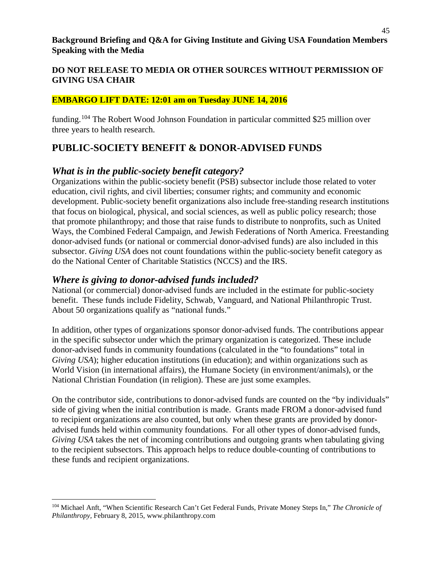#### **EMBARGO LIFT DATE: 12:01 am on Tuesday JUNE 14, 2016**

funding.[104](#page-44-0) The Robert Wood Johnson Foundation in particular committed \$25 million over three years to health research.

# **PUBLIC-SOCIETY BENEFIT & DONOR-ADVISED FUNDS**

## *What is in the public-society benefit category?*

Organizations within the public-society benefit (PSB) subsector include those related to voter education, civil rights, and civil liberties; consumer rights; and community and economic development. Public-society benefit organizations also include free-standing research institutions that focus on biological, physical, and social sciences, as well as public policy research; those that promote philanthropy; and those that raise funds to distribute to nonprofits, such as United Ways, the Combined Federal Campaign, and Jewish Federations of North America. Freestanding donor-advised funds (or national or commercial donor-advised funds) are also included in this subsector. *Giving USA* does not count foundations within the public-society benefit category as do the National Center of Charitable Statistics (NCCS) and the IRS.

## *Where is giving to donor-advised funds included?*

National (or commercial) donor-advised funds are included in the estimate for public-society benefit. These funds include Fidelity, Schwab, Vanguard, and National Philanthropic Trust. About 50 organizations qualify as "national funds."

In addition, other types of organizations sponsor donor-advised funds. The contributions appear in the specific subsector under which the primary organization is categorized. These include donor-advised funds in community foundations (calculated in the "to foundations" total in *Giving USA*); higher education institutions (in education); and within organizations such as World Vision (in international affairs), the Humane Society (in environment/animals), or the National Christian Foundation (in religion). These are just some examples.

On the contributor side, contributions to donor-advised funds are counted on the "by individuals" side of giving when the initial contribution is made. Grants made FROM a donor-advised fund to recipient organizations are also counted, but only when these grants are provided by donoradvised funds held within community foundations. For all other types of donor-advised funds, *Giving USA* takes the net of incoming contributions and outgoing grants when tabulating giving to the recipient subsectors. This approach helps to reduce double-counting of contributions to these funds and recipient organizations.

<span id="page-44-0"></span>l <sup>104</sup> Michael Anft, "When Scientific Research Can't Get Federal Funds, Private Money Steps In," *The Chronicle of Philanthropy,* February 8, 2015, www.philanthropy.com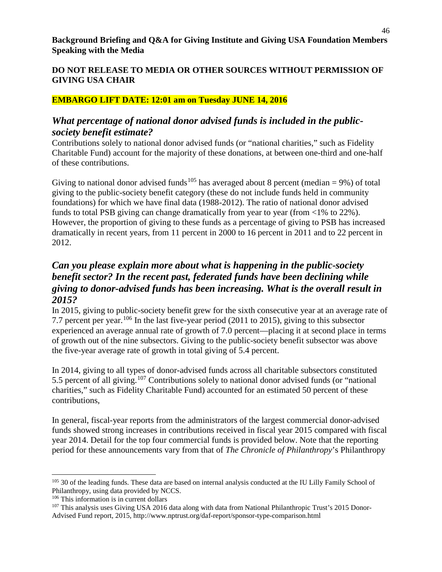## **EMBARGO LIFT DATE: 12:01 am on Tuesday JUNE 14, 2016**

## *What percentage of national donor advised funds is included in the publicsociety benefit estimate?*

Contributions solely to national donor advised funds (or "national charities," such as Fidelity Charitable Fund) account for the majority of these donations, at between one-third and one-half of these contributions.

Giving to national donor advised funds<sup>[105](#page-45-0)</sup> has averaged about 8 percent (median = 9%) of total giving to the public-society benefit category (these do not include funds held in community foundations) for which we have final data (1988-2012). The ratio of national donor advised funds to total PSB giving can change dramatically from year to year (from <1% to 22%). However, the proportion of giving to these funds as a percentage of giving to PSB has increased dramatically in recent years, from 11 percent in 2000 to 16 percent in 2011 and to 22 percent in 2012.

# *Can you please explain more about what is happening in the public-society benefit sector? In the recent past, federated funds have been declining while giving to donor-advised funds has been increasing. What is the overall result in 2015?*

In 2015, giving to public-society benefit grew for the sixth consecutive year at an average rate of 7.7 percent per year.[106](#page-45-1) In the last five-year period (2011 to 2015), giving to this subsector experienced an average annual rate of growth of 7.0 percent—placing it at second place in terms of growth out of the nine subsectors. Giving to the public-society benefit subsector was above the five-year average rate of growth in total giving of 5.4 percent.

In 2014, giving to all types of donor-advised funds across all charitable subsectors constituted 5.5 percent of all giving.[107](#page-45-2) Contributions solely to national donor advised funds (or "national charities," such as Fidelity Charitable Fund) accounted for an estimated 50 percent of these contributions,

In general, fiscal-year reports from the administrators of the largest commercial donor-advised funds showed strong increases in contributions received in fiscal year 2015 compared with fiscal year 2014. Detail for the top four commercial funds is provided below. Note that the reporting period for these announcements vary from that of *The Chronicle of Philanthropy*'s Philanthropy

<span id="page-45-0"></span>l <sup>105</sup> 30 of the leading funds. These data are based on internal analysis conducted at the IU Lilly Family School of Philanthropy, using data provided by NCCS.

<span id="page-45-1"></span><sup>106</sup> This information is in current dollars

<span id="page-45-2"></span><sup>&</sup>lt;sup>107</sup> This analysis uses Giving USA 2016 data along with data from National Philanthropic Trust's 2015 Donor-Advised Fund report, 2015, http://www.nptrust.org/daf-report/sponsor-type-comparison.html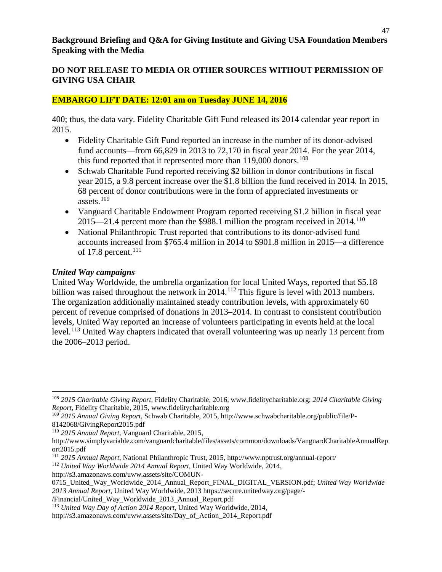#### **DO NOT RELEASE TO MEDIA OR OTHER SOURCES WITHOUT PERMISSION OF GIVING USA CHAIR**

#### **EMBARGO LIFT DATE: 12:01 am on Tuesday JUNE 14, 2016**

400; thus, the data vary. Fidelity Charitable Gift Fund released its 2014 calendar year report in 2015.

- Fidelity Charitable Gift Fund reported an increase in the number of its donor-advised fund accounts—from  $66,829$  in 2013 to 72,170 in fiscal year 2014. For the year 2014, this fund reported that it represented more than  $119,000$  donors.<sup>[108](#page-46-0)</sup>
- Schwab Charitable Fund reported receiving \$2 billion in donor contributions in fiscal year 2015, a 9.8 percent increase over the \$1.8 billion the fund received in 2014. In 2015, 68 percent of donor contributions were in the form of appreciated investments or assets. $109$
- Vanguard Charitable Endowment Program reported receiving \$1.2 billion in fiscal year 2015—21.4 percent more than the \$988.1 million the program received in 2014.<sup>[110](#page-46-2)</sup>
- National Philanthropic Trust reported that contributions to its donor-advised fund accounts increased from \$765.4 million in 2014 to \$901.8 million in 2015—a difference of 17.8 percent. $111$

#### *United Way campaigns*

 $\overline{\phantom{a}}$ 

United Way Worldwide, the umbrella organization for local United Ways, reported that \$5.18 billion was raised throughout the network in  $2014$ .<sup>[112](#page-46-4)</sup> This figure is level with 2013 numbers. The organization additionally maintained steady contribution levels, with approximately 60 percent of revenue comprised of donations in 2013–2014. In contrast to consistent contribution levels, United Way reported an increase of volunteers participating in events held at the local level.<sup>[113](#page-46-5)</sup> United Way chapters indicated that overall volunteering was up nearly 13 percent from the 2006–2013 period.

/Financial/United\_Way\_Worldwide\_2013\_Annual\_Report.pdf

<span id="page-46-0"></span><sup>108</sup> *2015 Charitable Giving Report,* Fidelity Charitable, 2016, www.fidelitycharitable.org; *2014 Charitable Giving Report,* Fidelity Charitable, 2015, www.fidelitycharitable.org

<span id="page-46-1"></span><sup>109</sup> *2015 Annual Giving Report,* Schwab Charitable, 2015, http://www.schwabcharitable.org/public/file/P-8142068/GivingReport2015.pdf

<span id="page-46-2"></span><sup>110</sup> *2015 Annual Report*, Vanguard Charitable, 2015,

http://www.simplyvariable.com/vanguardcharitable/files/assets/common/downloads/VanguardCharitableAnnualRep ort2015.pdf

<span id="page-46-3"></span><sup>111</sup> *2015 Annual Report*, National Philanthropic Trust, 2015, http://www.nptrust.org/annual-report/

<span id="page-46-4"></span><sup>112</sup> *United Way Worldwide 2014 Annual Report*, United Way Worldwide, 2014,

http://s3.amazonaws.com/uww.assets/site/COMUN-

<sup>0715</sup>\_United\_Way\_Worldwide\_2014\_Annual\_Report\_FINAL\_DIGITAL\_VERSION.pdf; *United Way Worldwide 2013 Annual Report,* United Way Worldwide, 2013 https://secure.unitedway.org/page/-

<span id="page-46-5"></span><sup>113</sup> *United Way Day of Action 2014 Report*, United Way Worldwide, 2014,

http://s3.amazonaws.com/uww.assets/site/Day\_of\_Action\_2014\_Report.pdf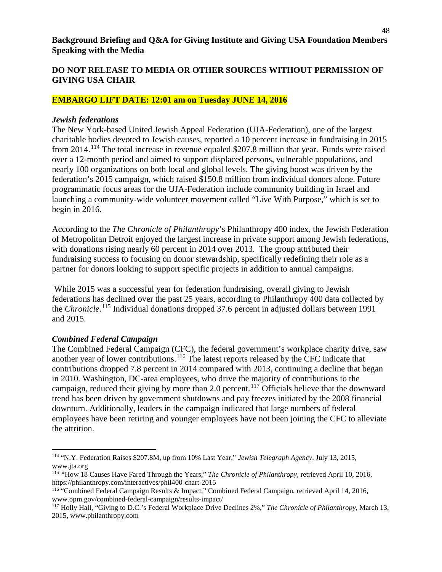#### **EMBARGO LIFT DATE: 12:01 am on Tuesday JUNE 14, 2016**

#### *Jewish federations*

The New York-based United Jewish Appeal Federation (UJA-Federation), one of the largest charitable bodies devoted to Jewish causes, reported a 10 percent increase in fundraising in 2015 from 2014.[114](#page-47-0) The total increase in revenue equaled \$207.8 million that year. Funds were raised over a 12-month period and aimed to support displaced persons, vulnerable populations, and nearly 100 organizations on both local and global levels. The giving boost was driven by the federation's 2015 campaign, which raised \$150.8 million from individual donors alone. Future programmatic focus areas for the UJA-Federation include community building in Israel and launching a community-wide volunteer movement called "Live With Purpose," which is set to begin in 2016.

According to the *The Chronicle of Philanthropy*'s Philanthropy 400 index, the Jewish Federation of Metropolitan Detroit enjoyed the largest increase in private support among Jewish federations, with donations rising nearly 60 percent in 2014 over 2013. The group attributed their fundraising success to focusing on donor stewardship, specifically redefining their role as a partner for donors looking to support specific projects in addition to annual campaigns.

While 2015 was a successful year for federation fundraising, overall giving to Jewish federations has declined over the past 25 years, according to Philanthropy 400 data collected by the *Chronicle*. [115](#page-47-1) Individual donations dropped 37.6 percent in adjusted dollars between 1991 and 2015.

#### *Combined Federal Campaign*

l

The Combined Federal Campaign (CFC), the federal government's workplace charity drive, saw another year of lower contributions.[116](#page-47-2) The latest reports released by the CFC indicate that contributions dropped 7.8 percent in 2014 compared with 2013, continuing a decline that began in 2010. Washington, DC-area employees, who drive the majority of contributions to the campaign, reduced their giving by more than 2.0 percent.<sup>[117](#page-47-3)</sup> Officials believe that the downward trend has been driven by government shutdowns and pay freezes initiated by the 2008 financial downturn. Additionally, leaders in the campaign indicated that large numbers of federal employees have been retiring and younger employees have not been joining the CFC to alleviate the attrition.

<span id="page-47-0"></span><sup>114</sup> "N.Y. Federation Raises \$207.8M, up from 10% Last Year," *Jewish Telegraph Agency,* July 13, 2015, www.jta.org

<span id="page-47-1"></span><sup>115</sup> *"*How 18 Causes Have Fared Through the Years," *The Chronicle of Philanthropy,* retrieved April 10, 2016, https://philanthropy.com/interactives/phil400-chart-2015

<span id="page-47-2"></span><sup>116</sup> "Combined Federal Campaign Results & Impact," Combined Federal Campaign, retrieved April 14, 2016, www.opm.gov/combined-federal-campaign/results-impact/

<span id="page-47-3"></span><sup>117</sup> Holly Hall, "Giving to D.C.'s Federal Workplace Drive Declines 2%," *The Chronicle of Philanthropy,* March 13, 2015, www.philanthropy.com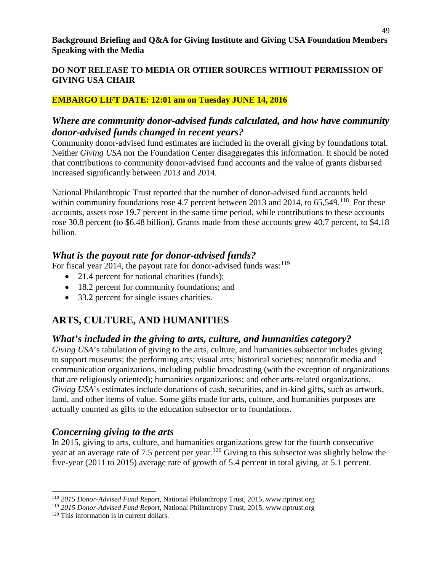## **EMBARGO LIFT DATE: 12:01 am on Tuesday JUNE 14, 2016**

# *Where are community donor-advised funds calculated, and how have community donor-advised funds changed in recent years?*

Community donor-advised fund estimates are included in the overall giving by foundations total. Neither *Giving USA* nor the Foundation Center disaggregates this information. It should be noted that contributions to community donor-advised fund accounts and the value of grants disbursed increased significantly between 2013 and 2014.

National Philanthropic Trust reported that the number of donor-advised fund accounts held within community foundations rose 4.7 percent between 2013 and 2014, to  $65,549$ .<sup>118</sup> For these accounts, assets rose 19.7 percent in the same time period, while contributions to these accounts rose 30.8 percent (to \$6.48 billion). Grants made from these accounts grew 40.7 percent, to \$4.18 billion.

# *What is the payout rate for donor-advised funds?*

For fiscal year 2014, the payout rate for donor-advised funds was:<sup>[119](#page-48-1)</sup>

- 21.4 percent for national charities (funds);
- 18.2 percent for community foundations; and
- 33.2 percent for single issues charities.

# **ARTS, CULTURE, AND HUMANITIES**

# *What's included in the giving to arts, culture, and humanities category?*

*Giving USA*'s tabulation of giving to the arts, culture, and humanities subsector includes giving to support museums; the performing arts; visual arts; historical societies; nonprofit media and communication organizations, including public broadcasting (with the exception of organizations that are religiously oriented); humanities organizations; and other arts-related organizations. *Giving USA*'s estimates include donations of cash, securities, and in-kind gifts, such as artwork, land, and other items of value. Some gifts made for arts, culture, and humanities purposes are actually counted as gifts to the education subsector or to foundations.

# *Concerning giving to the arts*

In 2015, giving to arts, culture, and humanities organizations grew for the fourth consecutive year at an average rate of 7.5 percent per year.<sup>[120](#page-48-2)</sup> Giving to this subsector was slightly below the five-year (2011 to 2015) average rate of growth of 5.4 percent in total giving, at 5.1 percent.

<span id="page-48-0"></span> $\overline{\phantom{a}}$ <sup>118</sup> *2015 Donor-Advised Fund Report*, National Philanthropy Trust, 2015, www.nptrust.org

<span id="page-48-1"></span><sup>119</sup> *2015 Donor-Advised Fund Report*, National Philanthropy Trust, 2015, www.nptrust.org

<span id="page-48-2"></span><sup>120</sup> This information is in current dollars.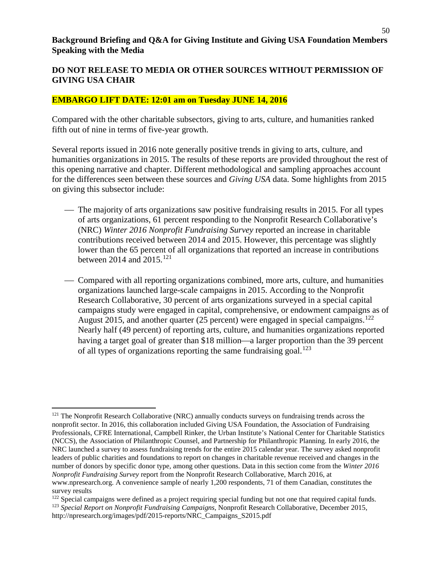#### **DO NOT RELEASE TO MEDIA OR OTHER SOURCES WITHOUT PERMISSION OF GIVING USA CHAIR**

#### **EMBARGO LIFT DATE: 12:01 am on Tuesday JUNE 14, 2016**

Compared with the other charitable subsectors, giving to arts, culture, and humanities ranked fifth out of nine in terms of five-year growth.

Several reports issued in 2016 note generally positive trends in giving to arts, culture, and humanities organizations in 2015. The results of these reports are provided throughout the rest of this opening narrative and chapter. Different methodological and sampling approaches account for the differences seen between these sources and *Giving USA* data. Some highlights from 2015 on giving this subsector include:

- The majority of arts organizations saw positive fundraising results in 2015. For all types of arts organizations, 61 percent responding to the Nonprofit Research Collaborative's (NRC) *Winter 2016 Nonprofit Fundraising Survey* reported an increase in charitable contributions received between 2014 and 2015. However, this percentage was slightly lower than the 65 percent of all organizations that reported an increase in contributions between 2014 and 2015.<sup>[121](#page-49-0)</sup>
- Compared with all reporting organizations combined, more arts, culture, and humanities organizations launched large-scale campaigns in 2015. According to the Nonprofit Research Collaborative, 30 percent of arts organizations surveyed in a special capital campaigns study were engaged in capital, comprehensive, or endowment campaigns as of August 2015, and another quarter (25 percent) were engaged in special campaigns.<sup>[122](#page-49-1)</sup> Nearly half (49 percent) of reporting arts, culture, and humanities organizations reported having a target goal of greater than \$18 million—a larger proportion than the 39 percent of all types of organizations reporting the same fundraising goal.<sup>[123](#page-49-2)</sup>

 $\overline{a}$ 

<span id="page-49-0"></span><sup>&</sup>lt;sup>121</sup> The Nonprofit Research Collaborative (NRC) annually conducts surveys on fundraising trends across the nonprofit sector. In 2016, this collaboration included Giving USA Foundation, the Association of Fundraising Professionals, CFRE International, Campbell Rinker, the Urban Institute's National Center for Charitable Statistics (NCCS), the Association of Philanthropic Counsel, and Partnership for Philanthropic Planning. In early 2016, the NRC launched a survey to assess fundraising trends for the entire 2015 calendar year. The survey asked nonprofit leaders of public charities and foundations to report on changes in charitable revenue received and changes in the number of donors by specific donor type, among other questions. Data in this section come from the *Winter 2016 Nonprofit Fundraising Survey* report from the Nonprofit Research Collaborative, March 2016, at www.npresearch.org. A convenience sample of nearly 1,200 respondents, 71 of them Canadian, constitutes the survey results

<span id="page-49-2"></span><span id="page-49-1"></span><sup>&</sup>lt;sup>122</sup> Special campaigns were defined as a project requiring special funding but not one that required capital funds. <sup>123</sup> *Special Report on Nonprofit Fundraising Campaigns,* Nonprofit Research Collaborative, December 2015, http://npresearch.org/images/pdf/2015-reports/NRC\_Campaigns\_S2015.pdf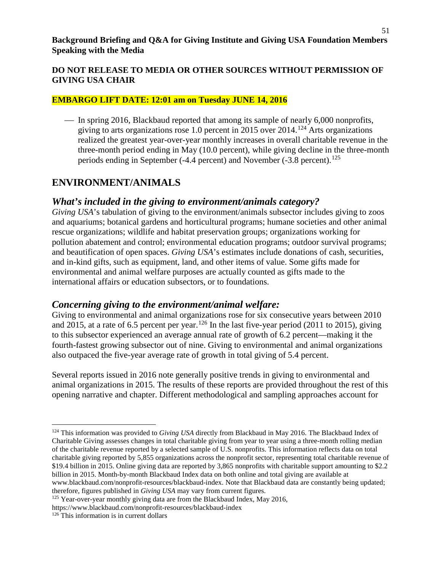## **DO NOT RELEASE TO MEDIA OR OTHER SOURCES WITHOUT PERMISSION OF GIVING USA CHAIR**

#### **EMBARGO LIFT DATE: 12:01 am on Tuesday JUNE 14, 2016**

 In spring 2016, Blackbaud reported that among its sample of nearly 6,000 nonprofits, giving to arts organizations rose 1.0 percent in 2015 over 2014.[124](#page-50-0) Arts organizations realized the greatest year-over-year monthly increases in overall charitable revenue in the three-month period ending in May (10.0 percent), while giving decline in the three-month periods ending in September (-4.4 percent) and November (-3.8 percent).<sup>[125](#page-50-1)</sup>

# **ENVIRONMENT/ANIMALS**

## *What's included in the giving to environment/animals category?*

*Giving USA*'s tabulation of giving to the environment/animals subsector includes giving to zoos and aquariums; botanical gardens and horticultural programs; humane societies and other animal rescue organizations; wildlife and habitat preservation groups; organizations working for pollution abatement and control; environmental education programs; outdoor survival programs; and beautification of open spaces. *Giving USA*'s estimates include donations of cash, securities, and in-kind gifts, such as equipment, land, and other items of value. Some gifts made for environmental and animal welfare purposes are actually counted as gifts made to the international affairs or education subsectors, or to foundations.

## *Concerning giving to the environment/animal welfare:*

Giving to environmental and animal organizations rose for six consecutive years between 2010 and 2015, at a rate of 6.5 percent per year.<sup>[126](#page-50-2)</sup> In the last five-year period (2011 to 2015), giving to this subsector experienced an average annual rate of growth of 6.2 percent—making it the fourth-fastest growing subsector out of nine. Giving to environmental and animal organizations also outpaced the five-year average rate of growth in total giving of 5.4 percent.

Several reports issued in 2016 note generally positive trends in giving to environmental and animal organizations in 2015. The results of these reports are provided throughout the rest of this opening narrative and chapter. Different methodological and sampling approaches account for

l

<span id="page-50-0"></span><sup>124</sup> This information was provided to *Giving USA* directly from Blackbaud in May 2016. The Blackbaud Index of Charitable Giving assesses changes in total charitable giving from year to year using a three-month rolling median of the charitable revenue reported by a selected sample of U.S. nonprofits. This information reflects data on total charitable giving reported by 5,855 organizations across the nonprofit sector, representing total charitable revenue of \$19.4 billion in 2015. Online giving data are reported by 3,865 nonprofits with charitable support amounting to \$2.2 billion in 2015. Month-by-month Blackbaud Index data on both online and total giving are available at www.blackbaud.com/nonprofit-resources/blackbaud-index. Note that Blackbaud data are constantly being updated;

therefore, figures published in *Giving USA* may vary from current figures.

<span id="page-50-1"></span><sup>&</sup>lt;sup>125</sup> Year-over-year monthly giving data are from the Blackbaud Index, May 2016, https://www.blackbaud.com/nonprofit-resources/blackbaud-index

<span id="page-50-2"></span><sup>&</sup>lt;sup>126</sup> This information is in current dollars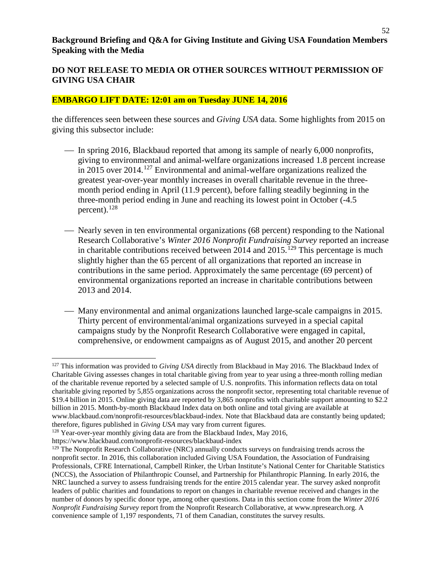#### **EMBARGO LIFT DATE: 12:01 am on Tuesday JUNE 14, 2016**

the differences seen between these sources and *Giving USA* data. Some highlights from 2015 on giving this subsector include:

- In spring 2016, Blackbaud reported that among its sample of nearly 6,000 nonprofits, giving to environmental and animal-welfare organizations increased 1.8 percent increase in 2015 over 2014.<sup>[127](#page-51-0)</sup> Environmental and animal-welfare organizations realized the greatest year-over-year monthly increases in overall charitable revenue in the threemonth period ending in April (11.9 percent), before falling steadily beginning in the three-month period ending in June and reaching its lowest point in October (-4.5 percent). $^{128}$  $^{128}$  $^{128}$
- Nearly seven in ten environmental organizations (68 percent) responding to the National Research Collaborative's *Winter 2016 Nonprofit Fundraising Survey* reported an increase in charitable contributions received between  $2014$  and  $2015$ .<sup>[129](#page-51-2)</sup> This percentage is much slightly higher than the 65 percent of all organizations that reported an increase in contributions in the same period. Approximately the same percentage (69 percent) of environmental organizations reported an increase in charitable contributions between 2013 and 2014.
- Many environmental and animal organizations launched large-scale campaigns in 2015. Thirty percent of environmental/animal organizations surveyed in a special capital campaigns study by the Nonprofit Research Collaborative were engaged in capital, comprehensive, or endowment campaigns as of August 2015, and another 20 percent

 $\overline{a}$ 

<span id="page-51-0"></span><sup>127</sup> This information was provided to *Giving USA* directly from Blackbaud in May 2016. The Blackbaud Index of Charitable Giving assesses changes in total charitable giving from year to year using a three-month rolling median of the charitable revenue reported by a selected sample of U.S. nonprofits. This information reflects data on total charitable giving reported by 5,855 organizations across the nonprofit sector, representing total charitable revenue of \$19.4 billion in 2015. Online giving data are reported by 3,865 nonprofits with charitable support amounting to \$2.2 billion in 2015. Month-by-month Blackbaud Index data on both online and total giving are available at www.blackbaud.com/nonprofit-resources/blackbaud-index. Note that Blackbaud data are constantly being updated; therefore, figures published in *Giving USA* may vary from current figures.

<span id="page-51-1"></span><sup>&</sup>lt;sup>128</sup> Year-over-year monthly giving data are from the Blackbaud Index, May 2016,

https://www.blackbaud.com/nonprofit-resources/blackbaud-index

<span id="page-51-2"></span><sup>&</sup>lt;sup>129</sup> The Nonprofit Research Collaborative (NRC) annually conducts surveys on fundraising trends across the nonprofit sector. In 2016, this collaboration included Giving USA Foundation, the Association of Fundraising Professionals, CFRE International, Campbell Rinker, the Urban Institute's National Center for Charitable Statistics (NCCS), the Association of Philanthropic Counsel, and Partnership for Philanthropic Planning. In early 2016, the NRC launched a survey to assess fundraising trends for the entire 2015 calendar year. The survey asked nonprofit leaders of public charities and foundations to report on changes in charitable revenue received and changes in the number of donors by specific donor type, among other questions. Data in this section come from the *Winter 2016 Nonprofit Fundraising Survey* report from the Nonprofit Research Collaborative, at www.npresearch.org. A convenience sample of 1,197 respondents, 71 of them Canadian, constitutes the survey results.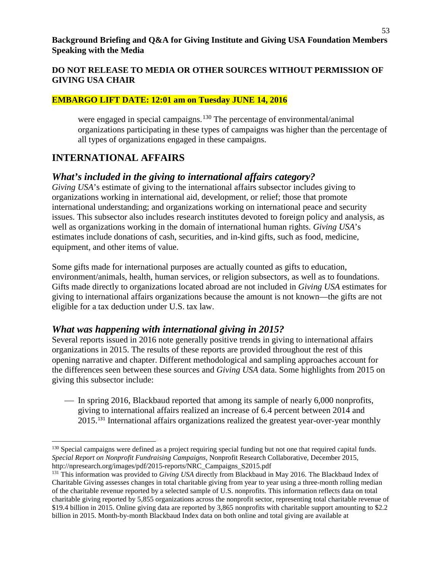#### **EMBARGO LIFT DATE: 12:01 am on Tuesday JUNE 14, 2016**

were engaged in special campaigns.<sup>[130](#page-52-0)</sup> The percentage of environmental/animal organizations participating in these types of campaigns was higher than the percentage of all types of organizations engaged in these campaigns.

# **INTERNATIONAL AFFAIRS**

 $\overline{\phantom{a}}$ 

## *What's included in the giving to international affairs category?*

*Giving USA*'s estimate of giving to the international affairs subsector includes giving to organizations working in international aid, development, or relief; those that promote international understanding; and organizations working on international peace and security issues. This subsector also includes research institutes devoted to foreign policy and analysis, as well as organizations working in the domain of international human rights. *Giving USA*'s estimates include donations of cash, securities, and in-kind gifts, such as food, medicine, equipment, and other items of value.

Some gifts made for international purposes are actually counted as gifts to education, environment/animals, health, human services, or religion subsectors, as well as to foundations. Gifts made directly to organizations located abroad are not included in *Giving USA* estimates for giving to international affairs organizations because the amount is not known—the gifts are not eligible for a tax deduction under U.S. tax law.

## *What was happening with international giving in 2015?*

Several reports issued in 2016 note generally positive trends in giving to international affairs organizations in 2015. The results of these reports are provided throughout the rest of this opening narrative and chapter. Different methodological and sampling approaches account for the differences seen between these sources and *Giving USA* data. Some highlights from 2015 on giving this subsector include:

 In spring 2016, Blackbaud reported that among its sample of nearly 6,000 nonprofits, giving to international affairs realized an increase of 6.4 percent between 2014 and 2015.[131](#page-52-1) International affairs organizations realized the greatest year-over-year monthly

<span id="page-52-0"></span><sup>&</sup>lt;sup>130</sup> Special campaigns were defined as a project requiring special funding but not one that required capital funds. *Special Report on Nonprofit Fundraising Campaigns,* Nonprofit Research Collaborative, December 2015, http://npresearch.org/images/pdf/2015-reports/NRC\_Campaigns\_S2015.pdf

<span id="page-52-1"></span><sup>&</sup>lt;sup>131</sup> This information was provided to *Giving USA* directly from Blackbaud in May 2016. The Blackbaud Index of Charitable Giving assesses changes in total charitable giving from year to year using a three-month rolling median of the charitable revenue reported by a selected sample of U.S. nonprofits. This information reflects data on total charitable giving reported by 5,855 organizations across the nonprofit sector, representing total charitable revenue of \$19.4 billion in 2015. Online giving data are reported by 3,865 nonprofits with charitable support amounting to \$2.2 billion in 2015. Month-by-month Blackbaud Index data on both online and total giving are available at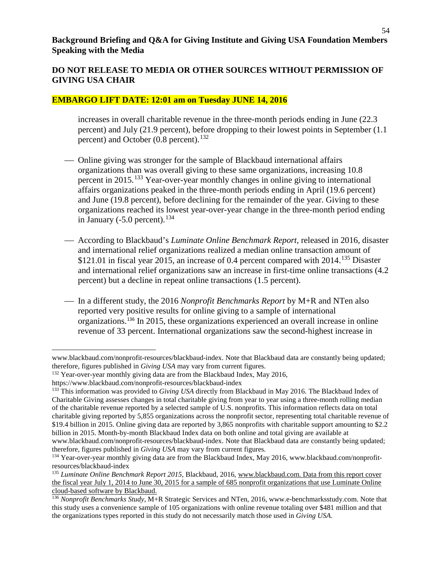#### **EMBARGO LIFT DATE: 12:01 am on Tuesday JUNE 14, 2016**

increases in overall charitable revenue in the three-month periods ending in June (22.3 percent) and July (21.9 percent), before dropping to their lowest points in September (1.1 percent) and October  $(0.8 \text{ percent})$ .<sup>[132](#page-53-0)</sup>

- Online giving was stronger for the sample of Blackbaud international affairs organizations than was overall giving to these same organizations, increasing 10.8 percent in 2015.[133](#page-53-1) Year-over-year monthly changes in online giving to international affairs organizations peaked in the three-month periods ending in April (19.6 percent) and June (19.8 percent), before declining for the remainder of the year. Giving to these organizations reached its lowest year-over-year change in the three-month period ending in January (-5.0 percent).<sup>[134](#page-53-2)</sup>
- According to Blackbaud's *Luminate Online Benchmark Report*, released in 2016, disaster and international relief organizations realized a median online transaction amount of \$121.01 in fiscal year 2015, an increase of 0.4 percent compared with  $2014$ .<sup>[135](#page-53-3)</sup> Disaster and international relief organizations saw an increase in first-time online transactions (4.2 percent) but a decline in repeat online transactions (1.5 percent).
- In a different study, the 2016 *Nonprofit Benchmarks Report* by M+R and NTen also reported very positive results for online giving to a sample of international organizations.[136](#page-53-4) In 2015, these organizations experienced an overall increase in online revenue of 33 percent. International organizations saw the second-highest increase in

l www.blackbaud.com/nonprofit-resources/blackbaud-index. Note that Blackbaud data are constantly being updated; therefore, figures published in *Giving USA* may vary from current figures.

<span id="page-53-0"></span><sup>&</sup>lt;sup>132</sup> Year-over-year monthly giving data are from the Blackbaud Index, May 2016,

https://www.blackbaud.com/nonprofit-resources/blackbaud-index

<span id="page-53-1"></span><sup>133</sup> This information was provided to *Giving USA* directly from Blackbaud in May 2016. The Blackbaud Index of Charitable Giving assesses changes in total charitable giving from year to year using a three-month rolling median of the charitable revenue reported by a selected sample of U.S. nonprofits. This information reflects data on total charitable giving reported by 5,855 organizations across the nonprofit sector, representing total charitable revenue of \$19.4 billion in 2015. Online giving data are reported by 3,865 nonprofits with charitable support amounting to \$2.2 billion in 2015. Month-by-month Blackbaud Index data on both online and total giving are available at www.blackbaud.com/nonprofit-resources/blackbaud-index. Note that Blackbaud data are constantly being updated;

therefore, figures published in *Giving USA* may vary from current figures.

<span id="page-53-2"></span><sup>&</sup>lt;sup>134</sup> Year-over-year monthly giving data are from the Blackbaud Index, May 2016, www.blackbaud.com/nonprofitresources/blackbaud-index

<span id="page-53-3"></span><sup>135</sup> *Luminate Online Benchmark Report 2015*, Blackbaud, 2016, [www.blackbaud.com.](http://www.blackbaud.com/) Data from this report cover the fiscal year July 1, 2014 to June 30, 2015 for a sample of 685 nonprofit organizations that use Luminate Online cloud-based software by Blackbaud.

<span id="page-53-4"></span><sup>&</sup>lt;sup>136</sup> Nonprofit Benchmarks Study, M+R Strategic Services and NTen, 2016, www.e-benchmarksstudy.com. Note that this study uses a convenience sample of 105 organizations with online revenue totaling over \$481 million and that the organizations types reported in this study do not necessarily match those used in *Giving USA*.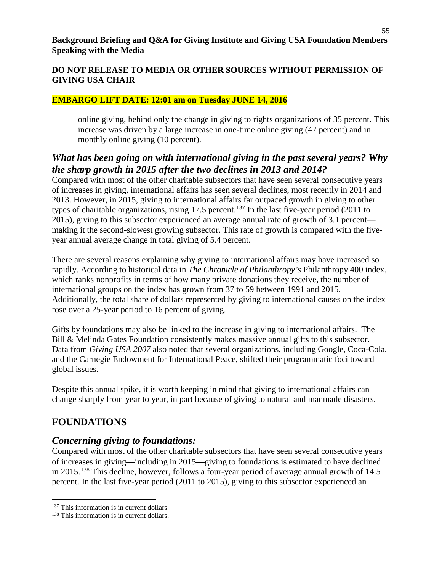#### **EMBARGO LIFT DATE: 12:01 am on Tuesday JUNE 14, 2016**

online giving, behind only the change in giving to rights organizations of 35 percent. This increase was driven by a large increase in one-time online giving (47 percent) and in monthly online giving (10 percent).

# *What has been going on with international giving in the past several years? Why the sharp growth in 2015 after the two declines in 2013 and 2014?*

Compared with most of the other charitable subsectors that have seen several consecutive years of increases in giving, international affairs has seen several declines, most recently in 2014 and 2013. However, in 2015, giving to international affairs far outpaced growth in giving to other types of charitable organizations, rising 17.5 percent.<sup>[137](#page-54-0)</sup> In the last five-year period (2011 to 2015), giving to this subsector experienced an average annual rate of growth of 3.1 percent making it the second-slowest growing subsector. This rate of growth is compared with the fiveyear annual average change in total giving of 5.4 percent.

There are several reasons explaining why giving to international affairs may have increased so rapidly. According to historical data in *The Chronicle of Philanthropy's* Philanthropy 400 index, which ranks nonprofits in terms of how many private donations they receive, the number of international groups on the index has grown from 37 to 59 between 1991 and 2015. Additionally, the total share of dollars represented by giving to international causes on the index rose over a 25-year period to 16 percent of giving.

Gifts by foundations may also be linked to the increase in giving to international affairs. The Bill & Melinda Gates Foundation consistently makes massive annual gifts to this subsector. Data from *Giving USA 2007* also noted that several organizations, including Google, Coca-Cola, and the Carnegie Endowment for International Peace, shifted their programmatic foci toward global issues.

Despite this annual spike, it is worth keeping in mind that giving to international affairs can change sharply from year to year, in part because of giving to natural and manmade disasters.

# **FOUNDATIONS**

l

## *Concerning giving to foundations:*

Compared with most of the other charitable subsectors that have seen several consecutive years of increases in giving—including in 2015—giving to foundations is estimated to have declined in 2015.<sup>[138](#page-54-1)</sup> This decline, however, follows a four-year period of average annual growth of 14.5 percent. In the last five-year period (2011 to 2015), giving to this subsector experienced an

<span id="page-54-0"></span> $137$  This information is in current dollars

<span id="page-54-1"></span><sup>&</sup>lt;sup>138</sup> This information is in current dollars.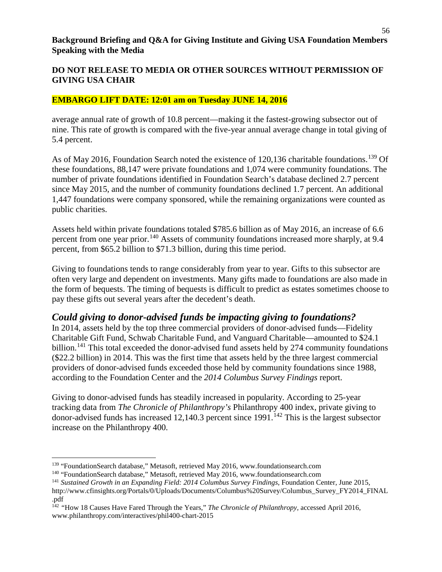#### **DO NOT RELEASE TO MEDIA OR OTHER SOURCES WITHOUT PERMISSION OF GIVING USA CHAIR**

#### **EMBARGO LIFT DATE: 12:01 am on Tuesday JUNE 14, 2016**

average annual rate of growth of 10.8 percent—making it the fastest-growing subsector out of nine. This rate of growth is compared with the five-year annual average change in total giving of 5.4 percent.

As of May 2016, Foundation Search noted the existence of 120,136 charitable foundations.<sup>[139](#page-55-0)</sup> Of these foundations, 88,147 were private foundations and 1,074 were community foundations. The number of private foundations identified in Foundation Search's database declined 2.7 percent since May 2015, and the number of community foundations declined 1.7 percent. An additional 1,447 foundations were company sponsored, while the remaining organizations were counted as public charities.

Assets held within private foundations totaled \$785.6 billion as of May 2016, an increase of 6.6 percent from one year prior.<sup>[140](#page-55-1)</sup> Assets of community foundations increased more sharply, at 9.4 percent, from \$65.2 billion to \$71.3 billion, during this time period.

Giving to foundations tends to range considerably from year to year. Gifts to this subsector are often very large and dependent on investments. Many gifts made to foundations are also made in the form of bequests. The timing of bequests is difficult to predict as estates sometimes choose to pay these gifts out several years after the decedent's death.

## *Could giving to donor-advised funds be impacting giving to foundations?*

In 2014, assets held by the top three commercial providers of donor-advised funds—Fidelity Charitable Gift Fund, Schwab Charitable Fund, and Vanguard Charitable—amounted to \$24.1 billion.<sup>[141](#page-55-2)</sup> This total exceeded the donor-advised fund assets held by 274 community foundations (\$22.2 billion) in 2014. This was the first time that assets held by the three largest commercial providers of donor-advised funds exceeded those held by community foundations since 1988, according to the Foundation Center and the *2014 Columbus Survey Findings* report.

Giving to donor-advised funds has steadily increased in popularity. According to 25-year tracking data from *The Chronicle of Philanthropy's* Philanthropy 400 index, private giving to donor-advised funds has increased  $12,140.3$  percent since  $1991$ .<sup>[142](#page-55-3)</sup> This is the largest subsector increase on the Philanthropy 400.

 $\overline{a}$ 

<span id="page-55-0"></span><sup>&</sup>lt;sup>139</sup> "FoundationSearch database," Metasoft, retrieved May 2016, www.foundationsearch.com <sup>140</sup> "FoundationSearch database," Metasoft, retrieved May 2016, www.foundationsearch.com

<span id="page-55-1"></span>

<span id="page-55-2"></span><sup>141</sup> *Sustained Growth in an Expanding Field: 2014 Columbus Survey Findings*, Foundation Center, June 2015, http://www.cfinsights.org/Portals/0/Uploads/Documents/Columbus%20Survey/Columbus\_Survey\_FY2014\_FINAL .pdf

<span id="page-55-3"></span><sup>142</sup> *"*How 18 Causes Have Fared Through the Years," *The Chronicle of Philanthropy,* accessed April 2016, www.philanthropy.com/interactives/phil400-chart-2015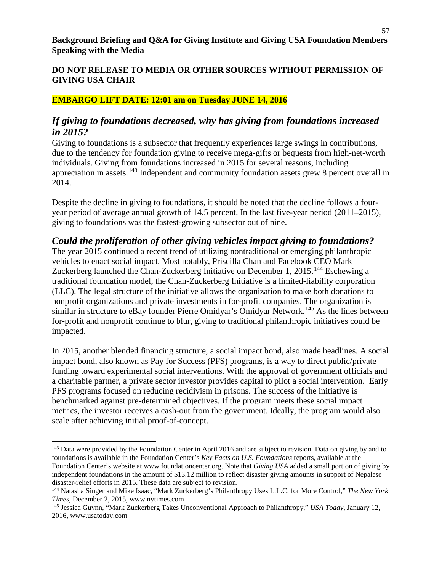## **EMBARGO LIFT DATE: 12:01 am on Tuesday JUNE 14, 2016**

## *If giving to foundations decreased, why has giving from foundations increased in 2015?*

Giving to foundations is a subsector that frequently experiences large swings in contributions, due to the tendency for foundation giving to receive mega-gifts or bequests from high-net-worth individuals. Giving from foundations increased in 2015 for several reasons, including appreciation in assets.[143](#page-56-0) Independent and community foundation assets grew 8 percent overall in 2014.

Despite the decline in giving to foundations, it should be noted that the decline follows a fouryear period of average annual growth of 14.5 percent. In the last five-year period (2011–2015), giving to foundations was the fastest-growing subsector out of nine.

## *Could the proliferation of other giving vehicles impact giving to foundations?*

The year 2015 continued a recent trend of utilizing nontraditional or emerging philanthropic vehicles to enact social impact. Most notably, Priscilla Chan and Facebook CEO Mark Zuckerberg launched the Chan-Zuckerberg Initiative on December 1, 2015.<sup>[144](#page-56-1)</sup> Eschewing a traditional foundation model, the Chan-Zuckerberg Initiative is a limited-liability corporation (LLC). The legal structure of the initiative allows the organization to make both donations to nonprofit organizations and private investments in for-profit companies. The organization is similar in structure to eBay founder Pierre Omidyar's Omidyar Network.<sup>[145](#page-56-2)</sup> As the lines between for-profit and nonprofit continue to blur, giving to traditional philanthropic initiatives could be impacted.

In 2015, another blended financing structure, a social impact bond, also made headlines. A social impact bond, also known as Pay for Success (PFS) programs, is a way to direct public/private funding toward experimental social interventions. With the approval of government officials and a charitable partner, a private sector investor provides capital to pilot a social intervention. Early PFS programs focused on reducing recidivism in prisons. The success of the initiative is benchmarked against pre-determined objectives. If the program meets these social impact metrics, the investor receives a cash-out from the government. Ideally, the program would also scale after achieving initial proof-of-concept.

 $\overline{\phantom{a}}$ 

<span id="page-56-0"></span><sup>&</sup>lt;sup>143</sup> Data were provided by the Foundation Center in April 2016 and are subject to revision. Data on giving by and to foundations is available in the Foundation Center's *Key Facts on U.S. Foundations* reports, available at the Foundation Center's website at www.foundationcenter.org. Note that *Giving USA* added a small portion of giving by independent foundations in the amount of \$13.12 million to reflect disaster giving amounts in support of Nepalese disaster-relief efforts in 2015. These data are subject to revision.

<span id="page-56-1"></span><sup>144</sup> Natasha Singer and Mike Isaac, "Mark Zuckerberg's Philanthropy Uses L.L.C. for More Control," *The New York Times*, December 2, 2015, www.nytimes.com

<span id="page-56-2"></span><sup>145</sup> Jessica Guynn, "Mark Zuckerberg Takes Unconventional Approach to Philanthropy," *USA Today,* January 12, 2016, www.usatoday.com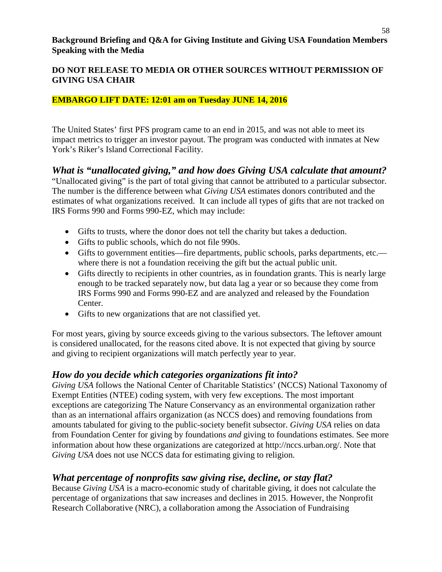## **EMBARGO LIFT DATE: 12:01 am on Tuesday JUNE 14, 2016**

The United States' first PFS program came to an end in 2015, and was not able to meet its impact metrics to trigger an investor payout. The program was conducted with inmates at New York's Riker's Island Correctional Facility.

## *What is "unallocated giving," and how does Giving USA calculate that amount?*

"Unallocated giving" is the part of total giving that cannot be attributed to a particular subsector. The number is the difference between what *Giving USA* estimates donors contributed and the estimates of what organizations received. It can include all types of gifts that are not tracked on IRS Forms 990 and Forms 990-EZ, which may include:

- Gifts to trusts, where the donor does not tell the charity but takes a deduction.
- Gifts to public schools, which do not file 990s.
- Gifts to government entities—fire departments, public schools, parks departments, etc. where there is not a foundation receiving the gift but the actual public unit.
- Gifts directly to recipients in other countries, as in foundation grants. This is nearly large enough to be tracked separately now, but data lag a year or so because they come from IRS Forms 990 and Forms 990-EZ and are analyzed and released by the Foundation Center.
- Gifts to new organizations that are not classified yet.

For most years, giving by source exceeds giving to the various subsectors. The leftover amount is considered unallocated, for the reasons cited above. It is not expected that giving by source and giving to recipient organizations will match perfectly year to year.

## *How do you decide which categories organizations fit into?*

*Giving USA* follows the National Center of Charitable Statistics' (NCCS) National Taxonomy of Exempt Entities (NTEE) coding system, with very few exceptions. The most important exceptions are categorizing The Nature Conservancy as an environmental organization rather than as an international affairs organization (as NCCS does) and removing foundations from amounts tabulated for giving to the public-society benefit subsector. *Giving USA* relies on data from Foundation Center for giving by foundations *and* giving to foundations estimates. See more information about how these organizations are categorized at http://nccs.urban.org/. Note that *Giving USA* does not use NCCS data for estimating giving to religion.

## *What percentage of nonprofits saw giving rise, decline, or stay flat?*

Because *Giving USA* is a macro-economic study of charitable giving, it does not calculate the percentage of organizations that saw increases and declines in 2015. However, the Nonprofit Research Collaborative (NRC), a collaboration among the Association of Fundraising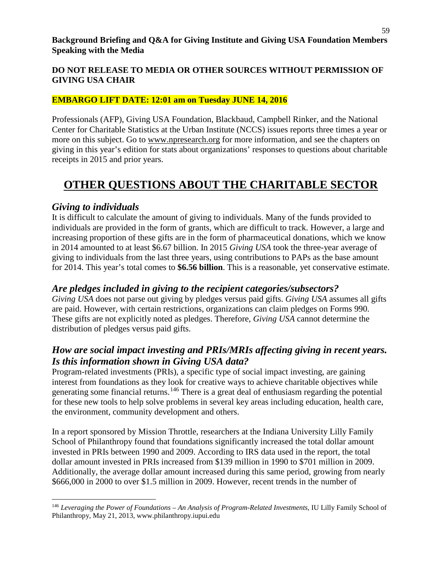## **EMBARGO LIFT DATE: 12:01 am on Tuesday JUNE 14, 2016**

Professionals (AFP), Giving USA Foundation, Blackbaud, Campbell Rinker, and the National Center for Charitable Statistics at the Urban Institute (NCCS) issues reports three times a year or more on this subject. Go to [www.npresearch.org](http://www.npresearch.org/) for more information, and see the chapters on giving in this year's edition for stats about organizations' responses to questions about charitable receipts in 2015 and prior years.

# **OTHER QUESTIONS ABOUT THE CHARITABLE SECTOR**

## *Giving to individuals*

It is difficult to calculate the amount of giving to individuals. Many of the funds provided to individuals are provided in the form of grants, which are difficult to track. However, a large and increasing proportion of these gifts are in the form of pharmaceutical donations, which we know in 2014 amounted to at least \$6.67 billion. In 2015 *Giving USA* took the three-year average of giving to individuals from the last three years, using contributions to PAPs as the base amount for 2014. This year's total comes to **\$6.56 billion**. This is a reasonable, yet conservative estimate.

## *Are pledges included in giving to the recipient categories/subsectors?*

*Giving USA* does not parse out giving by pledges versus paid gifts. *Giving USA* assumes all gifts are paid. However, with certain restrictions, organizations can claim pledges on Forms 990. These gifts are not explicitly noted as pledges. Therefore, *Giving USA* cannot determine the distribution of pledges versus paid gifts.

# *How are social impact investing and PRIs/MRIs affecting giving in recent years. Is this information shown in Giving USA data?*

Program-related investments (PRIs), a specific type of social impact investing, are gaining interest from foundations as they look for creative ways to achieve charitable objectives while generating some financial returns.<sup>[146](#page-58-0)</sup> There is a great deal of enthusiasm regarding the potential for these new tools to help solve problems in several key areas including education, health care, the environment, community development and others.

In a report sponsored by Mission Throttle, researchers at the Indiana University Lilly Family School of Philanthropy found that foundations significantly increased the total dollar amount invested in PRIs between 1990 and 2009. According to IRS data used in the report, the total dollar amount invested in PRIs increased from \$139 million in 1990 to \$701 million in 2009. Additionally, the average dollar amount increased during this same period, growing from nearly \$666,000 in 2000 to over \$1.5 million in 2009. However, recent trends in the number of

<span id="page-58-0"></span>l <sup>146</sup> *Leveraging the Power of Foundations – An Analysis of Program-Related Investments*, IU Lilly Family School of Philanthropy, May 21, 2013, www.philanthropy.iupui.edu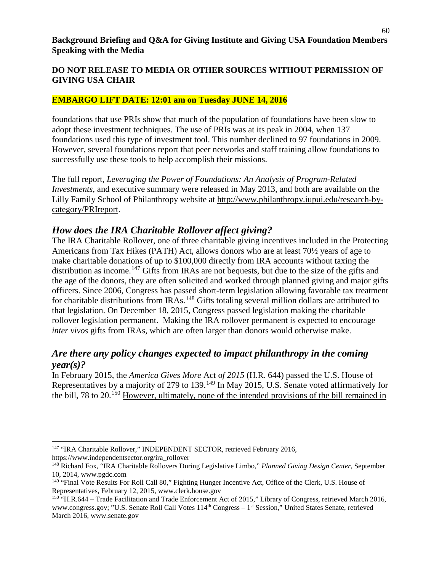#### **EMBARGO LIFT DATE: 12:01 am on Tuesday JUNE 14, 2016**

foundations that use PRIs show that much of the population of foundations have been slow to adopt these investment techniques. The use of PRIs was at its peak in 2004, when 137 foundations used this type of investment tool. This number declined to 97 foundations in 2009. However, several foundations report that peer networks and staff training allow foundations to successfully use these tools to help accomplish their missions.

The full report, *Leveraging the Power of Foundations: An Analysis of Program-Related Investments*, and executive summary were released in May 2013, and both are available on the Lilly Family School of Philanthropy website at [http://www.philanthropy.iupui.edu/research-by](http://www.philanthropy.iupui.edu/research-by-category/PRIreport)[category/PRIreport.](http://www.philanthropy.iupui.edu/research-by-category/PRIreport)

## *How does the IRA Charitable Rollover affect giving?*

The IRA Charitable Rollover, one of three charitable giving incentives included in the Protecting Americans from Tax Hikes (PATH) Act, allows donors who are at least 70½ years of age to make charitable donations of up to \$100,000 directly from IRA accounts without taxing the distribution as income.<sup>[147](#page-59-0)</sup> Gifts from IRAs are not bequests, but due to the size of the gifts and the age of the donors, they are often solicited and worked through planned giving and major gifts officers. Since 2006, Congress has passed short-term legislation allowing favorable tax treatment for charitable distributions from IRAs.<sup>[148](#page-59-1)</sup> Gifts totaling several million dollars are attributed to that legislation. On December 18, 2015, Congress passed legislation making the charitable rollover legislation permanent. Making the IRA rollover permanent is expected to encourage *inter vivos* gifts from IRAs, which are often larger than donors would otherwise make.

## *Are there any policy changes expected to impact philanthropy in the coming year(s)?*

In February 2015, the *America Gives More* Act o*f 2015* (H.R. 644) passed the U.S. House of Representatives by a majority of 279 to 139.<sup>[149](#page-59-2)</sup> In May 2015, U.S. Senate voted affirmatively for the bill, 78 to 20.<sup>[150](#page-59-3)</sup> However, ultimately, none of the intended provisions of the bill remained in

 $\overline{\phantom{a}}$ 

<span id="page-59-0"></span><sup>&</sup>lt;sup>147</sup> "IRA Charitable Rollover," INDEPENDENT SECTOR, retrieved February 2016, https://www.independentsector.org/ira\_rollover

<span id="page-59-1"></span><sup>148</sup> Richard Fox, "IRA Charitable Rollovers During Legislative Limbo," *Planned Giving Design Center*, September 10, 2014, www.pgdc.com

<span id="page-59-2"></span><sup>&</sup>lt;sup>149</sup> "Final Vote Results For Roll Call 80," Fighting Hunger Incentive Act, Office of the Clerk, U.S. House of Representatives, February 12, 2015, www.clerk.house.gov

<span id="page-59-3"></span><sup>&</sup>lt;sup>150</sup> ["H.R.644](https://www.congress.gov/bill/114th-congress/house-bill/644/actions?q=%7B%22search%22%3A%5B%22%5C%22hr644%5C%22%22%5D%7D&resultIndex=1) – Trade Facilitation and Trade Enforcement Act of 2015," Library of Congress, retrieved March 2016, www.congress.gov; "U.S. Senate Roll Call Votes 114<sup>th</sup> Congress – 1<sup>st</sup> Session," United States Senate, retrieved March 2016, www.senate.gov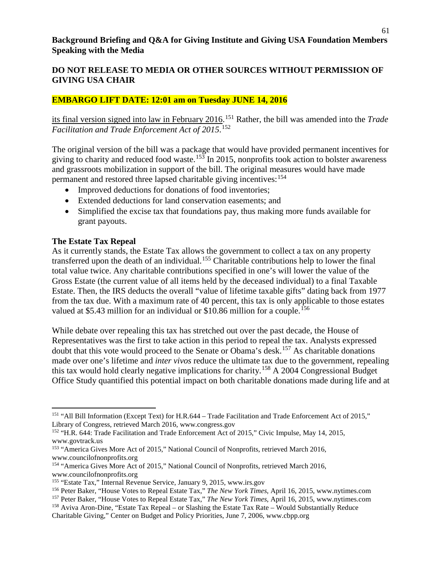#### **DO NOT RELEASE TO MEDIA OR OTHER SOURCES WITHOUT PERMISSION OF GIVING USA CHAIR**

#### **EMBARGO LIFT DATE: 12:01 am on Tuesday JUNE 14, 2016**

its final version signed into law in February 2016. [151](#page-60-0) Rather, the bill was amended into the *Trade Facilitation and Trade Enforcement Act of 2015*. [152](#page-60-1)

The original version of the bill was a package that would have provided permanent incentives for giving to charity and reduced food waste.<sup>[153](#page-60-2)</sup> In 2015, nonprofits took action to bolster awareness and grassroots mobilization in support of the bill. The original measures would have made permanent and restored three lapsed charitable giving incentives: <sup>[154](#page-60-3)</sup>

- Improved deductions for donations of food inventories;
- Extended deductions for land conservation easements; and
- Simplified the excise tax that foundations pay, thus making more funds available for grant payouts.

#### **The Estate Tax Repeal**

 $\overline{a}$ 

As it currently stands, the Estate Tax allows the government to collect a tax on any property transferred upon the death of an individual.<sup>[155](#page-60-4)</sup> Charitable contributions help to lower the final total value twice. Any charitable contributions specified in one's will lower the value of the Gross Estate (the current value of all items held by the deceased individual) to a final Taxable Estate. Then, the IRS deducts the overall "value of lifetime taxable gifts" dating back from 1977 from the tax due. With a maximum rate of 40 percent, this tax is only applicable to those estates valued at \$5.43 million for an individual or \$10.86 million for a couple.<sup>[156](#page-60-5)</sup>

While debate over repealing this tax has stretched out over the past decade, the House of Representatives was the first to take action in this period to repeal the tax. Analysts expressed doubt that this vote would proceed to the Senate or Obama's desk.<sup>[157](#page-60-6)</sup> As charitable donations made over one's lifetime and *inter vivos* reduce the ultimate tax due to the government, repealing this tax would hold clearly negative implications for charity.[158](#page-60-7) A 2004 Congressional Budget Office Study quantified this potential impact on both charitable donations made during life and at

<span id="page-60-0"></span><sup>151</sup> "All Bill Information (Except Text) for H.R.644 – Trade Facilitation and Trade Enforcement Act of 2015," Library of Congress, retrieved March 2016, www.congress.gov

<span id="page-60-1"></span><sup>&</sup>lt;sup>152</sup> "H.R. 644: Trade Facilitation and Trade Enforcement Act of 2015," Civic Impulse, May 14, 2015, www.govtrack.us

<span id="page-60-2"></span><sup>&</sup>lt;sup>153</sup> "America Gives More Act of 2015," National Council of Nonprofits, retrieved March 2016, www.councilofnonprofits.org

<span id="page-60-3"></span><sup>154</sup> "America Gives More Act of 2015," National Council of Nonprofits, retrieved March 2016, www.councilofnonprofits.org

<span id="page-60-4"></span><sup>155</sup> "Estate Tax," Internal Revenue Service, January 9, 2015, www.irs.gov

<span id="page-60-5"></span><sup>156</sup> Peter Baker, "House Votes to Repeal Estate Tax," *The New York Times*, April 16, 2015, www.nytimes.com

<span id="page-60-6"></span><sup>157</sup> Peter Baker, "House Votes to Repeal Estate Tax," *The New York Times*, April 16, 2015, www.nytimes.com

<span id="page-60-7"></span><sup>158</sup> Aviva Aron-Dine, "Estate Tax Repeal – or Slashing the Estate Tax Rate – Would Substantially Reduce Charitable Giving," Center on Budget and Policy Priorities, June 7, 2006, www.cbpp.org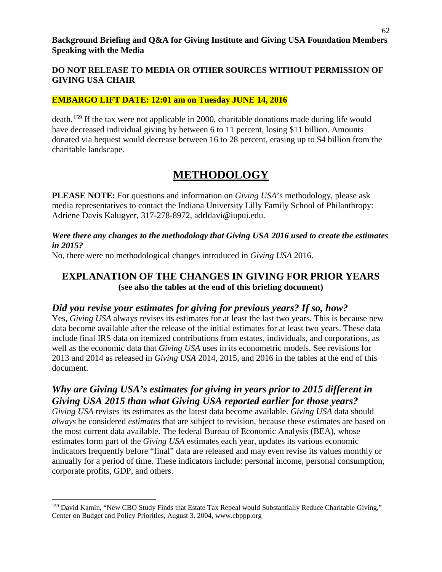#### **EMBARGO LIFT DATE: 12:01 am on Tuesday JUNE 14, 2016**

death.<sup>[159](#page-61-0)</sup> If the tax were not applicable in 2000, charitable donations made during life would have decreased individual giving by between 6 to 11 percent, losing \$11 billion. Amounts donated via bequest would decrease between 16 to 28 percent, erasing up to \$4 billion from the charitable landscape.

# **METHODOLOGY**

**PLEASE NOTE:** For questions and information on *Giving USA*'s methodology, please ask media representatives to contact the Indiana University Lilly Family School of Philanthropy: Adriene Davis Kalugyer, 317-278-8972, adrldavi@iupui.edu.

#### *Were there any changes to the methodology that Giving USA 2016 used to create the estimates in 2015?*

No, there were no methodological changes introduced in *Giving USA* 2016.

## **EXPLANATION OF THE CHANGES IN GIVING FOR PRIOR YEARS (see also the tables at the end of this briefing document)**

## *Did you revise your estimates for giving for previous years? If so, how?*

Yes, *Giving USA* always revises its estimates for at least the last two years. This is because new data become available after the release of the initial estimates for at least two years. These data include final IRS data on itemized contributions from estates, individuals, and corporations, as well as the economic data that *Giving USA* uses in its econometric models. See revisions for 2013 and 2014 as released in *Giving USA* 2014, 2015, and 2016 in the tables at the end of this document.

## *Why are Giving USA's estimates for giving in years prior to 2015 different in Giving USA 2015 than what Giving USA reported earlier for those years?*

*Giving USA* revises its estimates as the latest data become available. *Giving USA* data should *always* be considered *estimates* that are subject to revision, because these estimates are based on the most current data available. The federal Bureau of Economic Analysis (BEA), whose estimates form part of the *Giving USA* estimates each year, updates its various economic indicators frequently before "final" data are released and may even revise its values monthly or annually for a period of time. These indicators include: personal income, personal consumption, corporate profits, GDP, and others.

l

<span id="page-61-0"></span><sup>&</sup>lt;sup>159</sup> David Kamin, "New CBO Study Finds that Estate Tax Repeal would Substantially Reduce Charitable Giving," Center on Budget and Policy Priorities, August 3, 2004, www.cbppp.org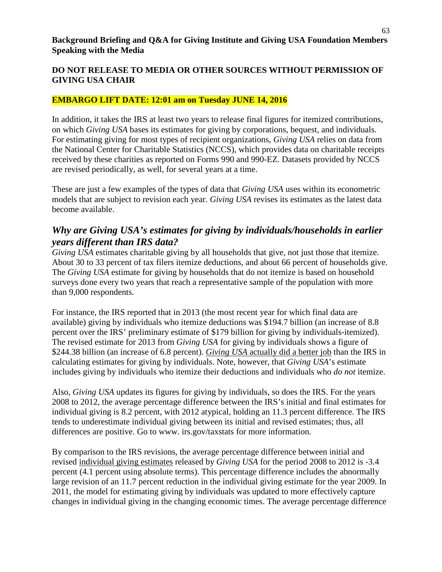#### **EMBARGO LIFT DATE: 12:01 am on Tuesday JUNE 14, 2016**

In addition, it takes the IRS at least two years to release final figures for itemized contributions, on which *Giving USA* bases its estimates for giving by corporations, bequest, and individuals. For estimating giving for most types of recipient organizations, *Giving USA* relies on data from the National Center for Charitable Statistics (NCCS), which provides data on charitable receipts received by these charities as reported on Forms 990 and 990-EZ. Datasets provided by NCCS are revised periodically, as well, for several years at a time.

These are just a few examples of the types of data that *Giving USA* uses within its econometric models that are subject to revision each year. *Giving USA* revises its estimates as the latest data become available.

# *Why are Giving USA's estimates for giving by individuals/households in earlier years different than IRS data?*

*Giving USA* estimates charitable giving by all households that give, not just those that itemize. About 30 to 33 percent of tax filers itemize deductions, and about 66 percent of households give. The *Giving USA* estimate for giving by households that do not itemize is based on household surveys done every two years that reach a representative sample of the population with more than 9,000 respondents.

For instance, the IRS reported that in 2013 (the most recent year for which final data are available) giving by individuals who itemize deductions was \$194.7 billion (an increase of 8.8 percent over the IRS' preliminary estimate of \$179 billion for giving by individuals-itemized). The revised estimate for 2013 from *Giving USA* for giving by individuals shows a figure of \$244.38 billion (an increase of 6.8 percent). *Giving USA* actually did a better job than the IRS in calculating estimates for giving by individuals. Note, however, that *Giving USA*'s estimate includes giving by individuals who itemize their deductions and individuals who *do not* itemize.

Also, *Giving USA* updates its figures for giving by individuals, so does the IRS. For the years 2008 to 2012, the average percentage difference between the IRS's initial and final estimates for individual giving is 8.2 percent, with 2012 atypical, holding an 11.3 percent difference. The IRS tends to underestimate individual giving between its initial and revised estimates; thus, all differences are positive. Go to www. irs.gov/taxstats for more information.

By comparison to the IRS revisions, the average percentage difference between initial and revised individual giving estimates released by *Giving USA* for the period 2008 to 2012 is -3.4 percent (4.1 percent using absolute terms). This percentage difference includes the abnormally large revision of an 11.7 percent reduction in the individual giving estimate for the year 2009. In 2011, the model for estimating giving by individuals was updated to more effectively capture changes in individual giving in the changing economic times. The average percentage difference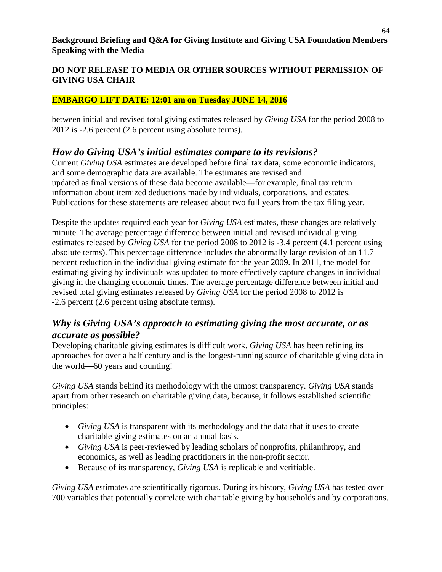## **DO NOT RELEASE TO MEDIA OR OTHER SOURCES WITHOUT PERMISSION OF GIVING USA CHAIR**

#### **EMBARGO LIFT DATE: 12:01 am on Tuesday JUNE 14, 2016**

between initial and revised total giving estimates released by *Giving USA* for the period 2008 to 2012 is -2.6 percent (2.6 percent using absolute terms).

## *How do Giving USA's initial estimates compare to its revisions?*

Current *Giving USA* estimates are developed before final tax data, some economic indicators, and some demographic data are available. The estimates are revised and updated as final versions of these data become available—for example, final tax return information about itemized deductions made by individuals, corporations, and estates. Publications for these statements are released about two full years from the tax filing year.

Despite the updates required each year for *Giving USA* estimates, these changes are relatively minute. The average percentage difference between initial and revised individual giving estimates released by *Giving USA* for the period 2008 to 2012 is -3.4 percent (4.1 percent using absolute terms). This percentage difference includes the abnormally large revision of an 11.7 percent reduction in the individual giving estimate for the year 2009. In 2011, the model for estimating giving by individuals was updated to more effectively capture changes in individual giving in the changing economic times. The average percentage difference between initial and revised total giving estimates released by *Giving USA* for the period 2008 to 2012 is -2.6 percent (2.6 percent using absolute terms).

# *Why is Giving USA's approach to estimating giving the most accurate, or as accurate as possible?*

Developing charitable giving estimates is difficult work. *Giving USA* has been refining its approaches for over a half century and is the longest-running source of charitable giving data in the world— $60$  years and counting!

*Giving USA* stands behind its methodology with the utmost transparency. *Giving USA* stands apart from other research on charitable giving data, because, it follows established scientific principles:

- *Giving USA* is transparent with its methodology and the data that it uses to create charitable giving estimates on an annual basis.
- *Giving USA* is peer-reviewed by leading scholars of nonprofits, philanthropy, and economics, as well as leading practitioners in the non-profit sector.
- Because of its transparency, *Giving USA* is replicable and verifiable.

*Giving USA* estimates are scientifically rigorous. During its history, *Giving USA* has tested over 700 variables that potentially correlate with charitable giving by households and by corporations.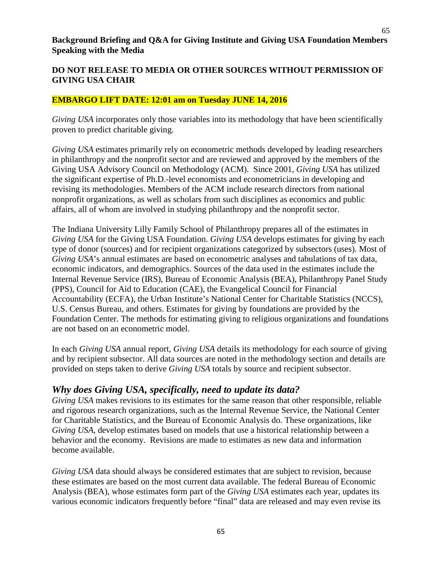65

#### **Background Briefing and Q&A for Giving Institute and Giving USA Foundation Members Speaking with the Media**

## **DO NOT RELEASE TO MEDIA OR OTHER SOURCES WITHOUT PERMISSION OF GIVING USA CHAIR**

#### **EMBARGO LIFT DATE: 12:01 am on Tuesday JUNE 14, 2016**

*Giving USA* incorporates only those variables into its methodology that have been scientifically proven to predict charitable giving.

*Giving USA* estimates primarily rely on econometric methods developed by leading researchers in philanthropy and the nonprofit sector and are reviewed and approved by the members of the Giving USA Advisory Council on Methodology (ACM). Since 2001, *Giving USA* has utilized the significant expertise of Ph.D.-level economists and econometricians in developing and revising its methodologies. Members of the ACM include research directors from national nonprofit organizations, as well as scholars from such disciplines as economics and public affairs, all of whom are involved in studying philanthropy and the nonprofit sector.

The Indiana University Lilly Family School of Philanthropy prepares all of the estimates in *Giving USA* for the Giving USA Foundation. *Giving USA* develops estimates for giving by each type of donor (sources) and for recipient organizations categorized by subsectors (uses). Most of *Giving USA*'s annual estimates are based on econometric analyses and tabulations of tax data, economic indicators, and demographics. Sources of the data used in the estimates include the Internal Revenue Service (IRS), Bureau of Economic Analysis (BEA), Philanthropy Panel Study (PPS), Council for Aid to Education (CAE), the Evangelical Council for Financial Accountability (ECFA), the Urban Institute's National Center for Charitable Statistics (NCCS), U.S. Census Bureau, and others. Estimates for giving by foundations are provided by the Foundation Center. The methods for estimating giving to religious organizations and foundations are not based on an econometric model.

In each *Giving USA* annual report, *Giving USA* details its methodology for each source of giving and by recipient subsector. All data sources are noted in the methodology section and details are provided on steps taken to derive *Giving USA* totals by source and recipient subsector.

## *Why does Giving USA, specifically, need to update its data?*

*Giving USA* makes revisions to its estimates for the same reason that other responsible, reliable and rigorous research organizations, such as the Internal Revenue Service, the National Center for Charitable Statistics, and the Bureau of Economic Analysis do. These organizations, like *Giving USA*, develop estimates based on models that use a historical relationship between a behavior and the economy. Revisions are made to estimates as new data and information become available.

*Giving USA* data should always be considered estimates that are subject to revision, because these estimates are based on the most current data available. The federal Bureau of Economic Analysis (BEA), whose estimates form part of the *Giving USA* estimates each year, updates its various economic indicators frequently before "final" data are released and may even revise its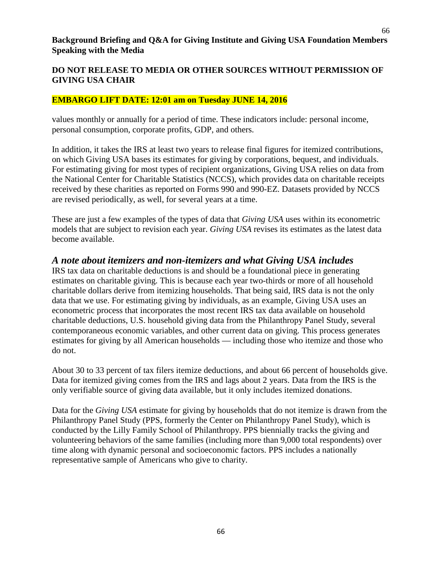66

#### **Background Briefing and Q&A for Giving Institute and Giving USA Foundation Members Speaking with the Media**

## **DO NOT RELEASE TO MEDIA OR OTHER SOURCES WITHOUT PERMISSION OF GIVING USA CHAIR**

#### **EMBARGO LIFT DATE: 12:01 am on Tuesday JUNE 14, 2016**

values monthly or annually for a period of time. These indicators include: personal income, personal consumption, corporate profits, GDP, and others.

In addition, it takes the IRS at least two years to release final figures for itemized contributions, on which Giving USA bases its estimates for giving by corporations, bequest, and individuals. For estimating giving for most types of recipient organizations, Giving USA relies on data from the National Center for Charitable Statistics (NCCS), which provides data on charitable receipts received by these charities as reported on Forms 990 and 990-EZ. Datasets provided by NCCS are revised periodically, as well, for several years at a time.

These are just a few examples of the types of data that *Giving USA* uses within its econometric models that are subject to revision each year. *Giving USA* revises its estimates as the latest data become available.

## *A note about itemizers and non-itemizers and what Giving USA includes*

IRS tax data on charitable deductions is and should be a foundational piece in generating estimates on charitable giving. This is because each year two-thirds or more of all household charitable dollars derive from itemizing households. That being said, IRS data is not the only data that we use. For estimating giving by individuals, as an example, Giving USA uses an econometric process that incorporates the most recent IRS tax data available on household charitable deductions, U.S. household giving data from the Philanthropy Panel Study, several contemporaneous economic variables, and other current data on giving. This process generates estimates for giving by all American households — including those who itemize and those who do not.

About 30 to 33 percent of tax filers itemize deductions, and about 66 percent of households give. Data for itemized giving comes from the IRS and lags about 2 years. Data from the IRS is the only verifiable source of giving data available, but it only includes itemized donations.

Data for the *Giving USA* estimate for giving by households that do not itemize is drawn from the Philanthropy Panel Study (PPS, formerly the Center on Philanthropy Panel Study), which is conducted by the Lilly Family School of Philanthropy. PPS biennially tracks the giving and volunteering behaviors of the same families (including more than 9,000 total respondents) over time along with dynamic personal and socioeconomic factors. PPS includes a nationally representative sample of Americans who give to charity.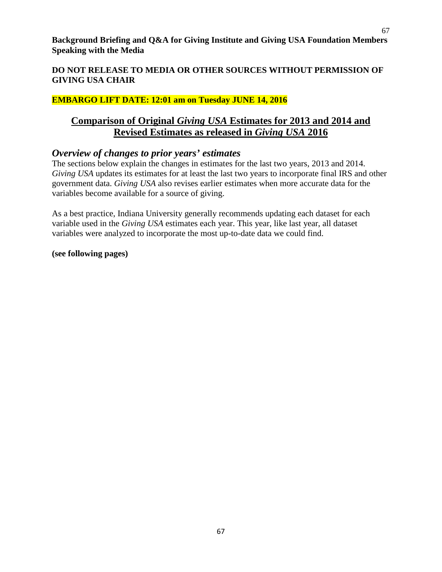#### **DO NOT RELEASE TO MEDIA OR OTHER SOURCES WITHOUT PERMISSION OF GIVING USA CHAIR**

#### **EMBARGO LIFT DATE: 12:01 am on Tuesday JUNE 14, 2016**

## **Comparison of Original** *Giving USA* **Estimates for 2013 and 2014 and Revised Estimates as released in** *Giving USA* **2016**

## *Overview of changes to prior years' estimates*

The sections below explain the changes in estimates for the last two years, 2013 and 2014. *Giving USA* updates its estimates for at least the last two years to incorporate final IRS and other government data. *Giving USA* also revises earlier estimates when more accurate data for the variables become available for a source of giving.

As a best practice, Indiana University generally recommends updating each dataset for each variable used in the *Giving USA* estimates each year. This year, like last year, all dataset variables were analyzed to incorporate the most up-to-date data we could find.

#### **(see following pages)**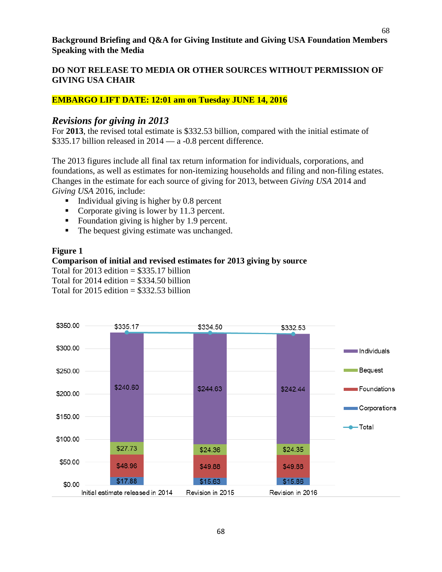#### **EMBARGO LIFT DATE: 12:01 am on Tuesday JUNE 14, 2016**

## *Revisions for giving in 2013*

For **2013**, the revised total estimate is \$332.53 billion, compared with the initial estimate of \$335.17 billion released in 2014 — a -0.8 percent difference.

The 2013 figures include all final tax return information for individuals, corporations, and foundations, as well as estimates for non-itemizing households and filing and non-filing estates. Changes in the estimate for each source of giving for 2013, between *Giving USA* 2014 and *Giving USA* 2016, include:

- Individual giving is higher by 0.8 percent
- Corporate giving is lower by 11.3 percent.
- Foundation giving is higher by 1.9 percent.
- The bequest giving estimate was unchanged.

#### **Figure 1**

#### **Comparison of initial and revised estimates for 2013 giving by source**

Total for 2013 edition  $= $335.17$  billion

Total for  $2014$  edition  $= $334.50$  billion

Total for  $2015$  edition = \$332.53 billion

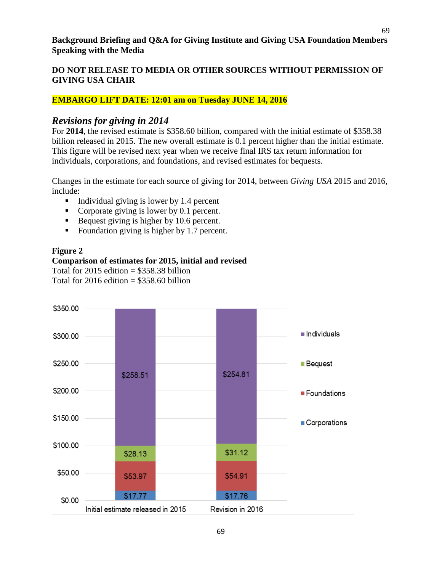#### **EMBARGO LIFT DATE: 12:01 am on Tuesday JUNE 14, 2016**

## *Revisions for giving in 2014*

For **2014**, the revised estimate is \$358.60 billion, compared with the initial estimate of \$358.38 billion released in 2015. The new overall estimate is 0.1 percent higher than the initial estimate. This figure will be revised next year when we receive final IRS tax return information for individuals, corporations, and foundations, and revised estimates for bequests.

Changes in the estimate for each source of giving for 2014, between *Giving USA* 2015 and 2016, include:

- Individual giving is lower by 1.4 percent
- Corporate giving is lower by 0.1 percent.
- Bequest giving is higher by  $10.6$  percent.
- Foundation giving is higher by 1.7 percent.

#### **Figure 2**

#### **Comparison of estimates for 2015, initial and revised** Total for 2015 edition  $=$  \$358.38 billion

Total for  $2016$  edition  $= $358, 60$  billion

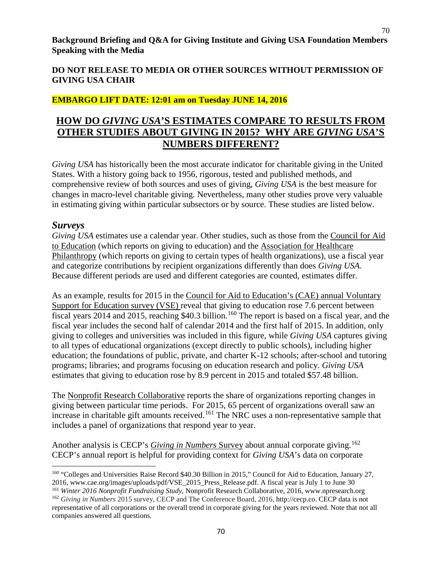#### **DO NOT RELEASE TO MEDIA OR OTHER SOURCES WITHOUT PERMISSION OF GIVING USA CHAIR**

#### **EMBARGO LIFT DATE: 12:01 am on Tuesday JUNE 14, 2016**

# **HOW DO** *GIVING USA***'S ESTIMATES COMPARE TO RESULTS FROM OTHER STUDIES ABOUT GIVING IN 2015? WHY ARE** *GIVING USA***'S NUMBERS DIFFERENT?**

*Giving USA* has historically been the most accurate indicator for charitable giving in the United States. With a history going back to 1956, rigorous, tested and published methods, and comprehensive review of both sources and uses of giving, *Giving USA* is the best measure for changes in macro-level charitable giving. Nevertheless, many other studies prove very valuable in estimating giving within particular subsectors or by source. These studies are listed below.

## *Surveys*

*Giving USA* estimates use a calendar year. Other studies, such as those from the Council for Aid to Education (which reports on giving to education) and the Association for Healthcare Philanthropy (which reports on giving to certain types of health organizations), use a fiscal year and categorize contributions by recipient organizations differently than does *Giving USA*. Because different periods are used and different categories are counted, estimates differ.

As an example, results for 2015 in the Council for Aid to Education's (CAE) annual Voluntary Support for Education survey (VSE) reveal that giving to education rose 7.6 percent between fiscal years 2014 and 2015, reaching \$40.3 billion.<sup>[160](#page-69-0)</sup> The report is based on a fiscal year, and the fiscal year includes the second half of calendar 2014 and the first half of 2015. In addition, only giving to colleges and universities was included in this figure, while *Giving USA* captures giving to all types of educational organizations (except directly to public schools), including higher education; the foundations of public, private, and charter K-12 schools; after-school and tutoring programs; libraries; and programs focusing on education research and policy. *Giving USA* estimates that giving to education rose by 8.9 percent in 2015 and totaled \$57.48 billion.

The Nonprofit Research Collaborative reports the share of organizations reporting changes in giving between particular time periods. For 2015, 65 percent of organizations overall saw an increase in charitable gift amounts received.<sup>[161](#page-69-1)</sup> The NRC uses a non-representative sample that includes a panel of organizations that respond year to year.

Another analysis is CECP's *Giving in Numbers* Survey about annual corporate giving.<sup>[162](#page-69-2)</sup> CECP's annual report is helpful for providing context for *Giving USA*'s data on corporate

- <span id="page-69-0"></span> $\overline{\phantom{a}}$ <sup>160</sup> "Colleges and Universities Raise Record \$40.30 Billion in 2015," Council for Aid to Education, January 27, 2016, www.cae.org/images/uploads/pdf/VSE\_2015\_Press\_Release.pdf. A fiscal year is July 1 to June 30
- <sup>161</sup> *Winter 2016 Nonprofit Fundraising Study,* Nonprofit Research Collaborative, 2016, www.npresearch.org

<span id="page-69-2"></span><span id="page-69-1"></span><sup>162</sup> *Giving in Numbers* 2015 survey, CECP and The Conference Board, 2016, http://cecp.co. CECP data is not representative of all corporations or the overall trend in corporate giving for the years reviewed. Note that not all companies answered all questions.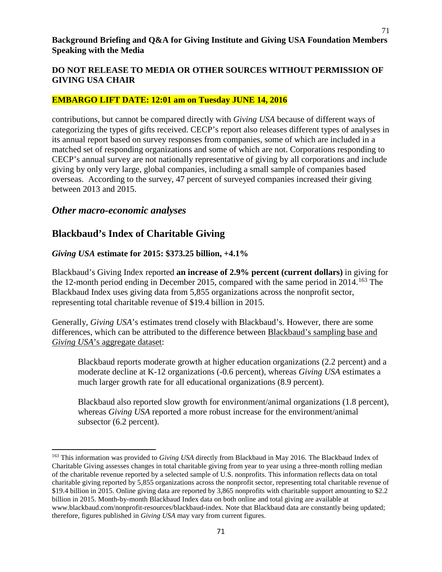#### **DO NOT RELEASE TO MEDIA OR OTHER SOURCES WITHOUT PERMISSION OF GIVING USA CHAIR**

#### **EMBARGO LIFT DATE: 12:01 am on Tuesday JUNE 14, 2016**

contributions, but cannot be compared directly with *Giving USA* because of different ways of categorizing the types of gifts received. CECP's report also releases different types of analyses in its annual report based on survey responses from companies, some of which are included in a matched set of responding organizations and some of which are not. Corporations responding to CECP's annual survey are not nationally representative of giving by all corporations and include giving by only very large, global companies, including a small sample of companies based overseas. According to the survey, 47 percent of surveyed companies increased their giving between 2013 and 2015.

## *Other macro-economic analyses*

l

# **Blackbaud's Index of Charitable Giving**

#### *Giving USA* **estimate for 2015: \$373.25 billion, +4.1%**

Blackbaud's Giving Index reported **an increase of 2.9% percent (current dollars)** in giving for the 12-month period ending in December 2015, compared with the same period in 2014.<sup>[163](#page-70-0)</sup> The Blackbaud Index uses giving data from 5,855 organizations across the nonprofit sector, representing total charitable revenue of \$19.4 billion in 2015.

Generally, *Giving USA*'s estimates trend closely with Blackbaud's. However, there are some differences, which can be attributed to the difference between Blackbaud's sampling base and *Giving USA*'s aggregate dataset:

Blackbaud reports moderate growth at higher education organizations (2.2 percent) and a moderate decline at K-12 organizations (-0.6 percent), whereas *Giving USA* estimates a much larger growth rate for all educational organizations (8.9 percent).

Blackbaud also reported slow growth for environment/animal organizations (1.8 percent), whereas *Giving USA* reported a more robust increase for the environment/animal subsector (6.2 percent).

<span id="page-70-0"></span><sup>163</sup> This information was provided to *Giving USA* directly from Blackbaud in May 2016. The Blackbaud Index of Charitable Giving assesses changes in total charitable giving from year to year using a three-month rolling median of the charitable revenue reported by a selected sample of U.S. nonprofits. This information reflects data on total charitable giving reported by 5,855 organizations across the nonprofit sector, representing total charitable revenue of \$19.4 billion in 2015. Online giving data are reported by 3,865 nonprofits with charitable support amounting to \$2.2 billion in 2015. Month-by-month Blackbaud Index data on both online and total giving are available at www.blackbaud.com/nonprofit-resources/blackbaud-index. Note that Blackbaud data are constantly being updated; therefore, figures published in *Giving USA* may vary from current figures.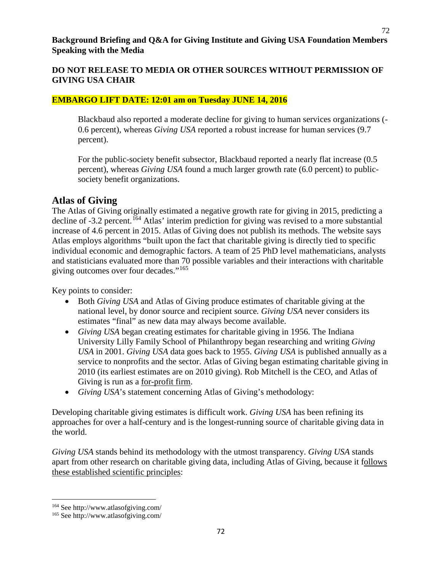## **DO NOT RELEASE TO MEDIA OR OTHER SOURCES WITHOUT PERMISSION OF GIVING USA CHAIR**

## **EMBARGO LIFT DATE: 12:01 am on Tuesday JUNE 14, 2016**

Blackbaud also reported a moderate decline for giving to human services organizations (- 0.6 percent), whereas *Giving USA* reported a robust increase for human services (9.7 percent).

For the public-society benefit subsector, Blackbaud reported a nearly flat increase (0.5 percent), whereas *Giving USA* found a much larger growth rate (6.0 percent) to publicsociety benefit organizations.

## **Atlas of Giving**

The Atlas of Giving originally estimated a negative growth rate for giving in 2015, predicting a decline of -3.2 percent.<sup>[164](#page-71-0)</sup> Atlas' interim prediction for giving was revised to a more substantial increase of 4.6 percent in 2015. Atlas of Giving does not publish its methods. The website says Atlas employs algorithms "built upon the fact that charitable giving is directly tied to specific individual economic and demographic factors. A team of 25 PhD level mathematicians, analysts and statisticians evaluated more than 70 possible variables and their interactions with charitable giving outcomes over four decades."[165](#page-71-1)

Key points to consider:

- Both *Giving USA* and Atlas of Giving produce estimates of charitable giving at the national level, by donor source and recipient source*. Giving USA* never considers its estimates "final" as new data may always become available.
- *Giving USA* began creating estimates for charitable giving in 1956. The Indiana University Lilly Family School of Philanthropy began researching and writing *Giving USA* in 2001. *Giving USA* data goes back to 1955. *Giving USA* is published annually as a service to nonprofits and the sector. Atlas of Giving began estimating charitable giving in 2010 (its earliest estimates are on 2010 giving). Rob Mitchell is the CEO, and Atlas of Giving is run as a for-profit firm.
- *Giving USA*'s statement concerning Atlas of Giving's methodology:

Developing charitable giving estimates is difficult work. *Giving USA* has been refining its approaches for over a half-century and is the longest-running source of charitable giving data in the world.

*Giving USA* stands behind its methodology with the utmost transparency. *Giving USA* stands apart from other research on charitable giving data, including Atlas of Giving, because it follows these established scientific principles:

l

<span id="page-71-0"></span><sup>164</sup> See http://www.atlasofgiving.com/

<span id="page-71-1"></span><sup>165</sup> See http://www.atlasofgiving.com/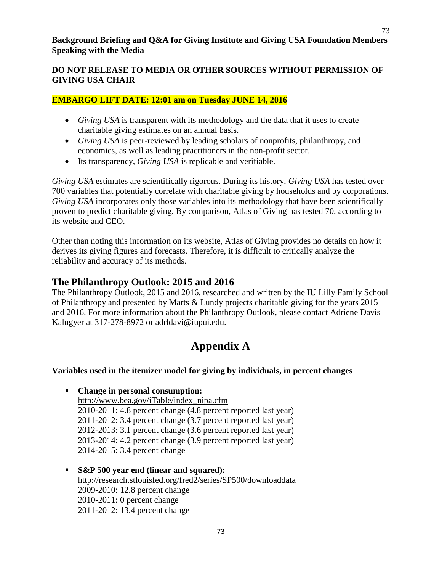#### **Background Briefing and Q&A for Giving Institute and Giving USA Foundation Members Speaking with the Media**

# **DO NOT RELEASE TO MEDIA OR OTHER SOURCES WITHOUT PERMISSION OF GIVING USA CHAIR**

# **EMBARGO LIFT DATE: 12:01 am on Tuesday JUNE 14, 2016**

- *Giving USA* is transparent with its methodology and the data that it uses to create charitable giving estimates on an annual basis.
- *Giving USA* is peer-reviewed by leading scholars of nonprofits, philanthropy, and economics, as well as leading practitioners in the non-profit sector.
- Its transparency, *Giving USA* is replicable and verifiable.

*Giving USA* estimates are scientifically rigorous. During its history, *Giving USA* has tested over 700 variables that potentially correlate with charitable giving by households and by corporations. *Giving USA* incorporates only those variables into its methodology that have been scientifically proven to predict charitable giving. By comparison, Atlas of Giving has tested 70, according to its website and CEO.

Other than noting this information on its website, Atlas of Giving provides no details on how it derives its giving figures and forecasts. Therefore, it is difficult to critically analyze the reliability and accuracy of its methods.

# **The Philanthropy Outlook: 2015 and 2016**

The Philanthropy Outlook, 2015 and 2016, researched and written by the IU Lilly Family School of Philanthropy and presented by Marts & Lundy projects charitable giving for the years 2015 and 2016. For more information about the Philanthropy Outlook, please contact Adriene Davis Kalugyer at 317-278-8972 or adrldavi@iupui.edu.

# **Appendix A**

# **Variables used in the itemizer model for giving by individuals, in percent changes**

- **Change in personal consumption:**  http://www.bea.gov/iTable/index\_nipa.cfm 2010-2011: 4.8 percent change (4.8 percent reported last year) 2011-2012: 3.4 percent change (3.7 percent reported last year) 2012-2013: 3.1 percent change (3.6 percent reported last year) 2013-2014: 4.2 percent change (3.9 percent reported last year) 2014-2015: 3.4 percent change
- **S&P 500 year end (linear and squared):**  http://research.stlouisfed.org/fred2/series/SP500/downloaddata 2009-2010: 12.8 percent change 2010-2011: 0 percent change 2011-2012: 13.4 percent change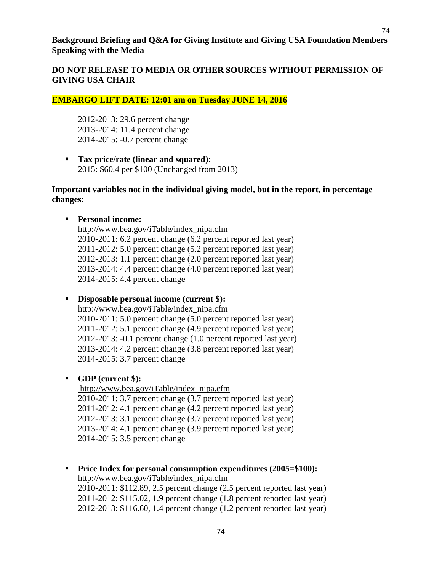**Background Briefing and Q&A for Giving Institute and Giving USA Foundation Members Speaking with the Media**

### **DO NOT RELEASE TO MEDIA OR OTHER SOURCES WITHOUT PERMISSION OF GIVING USA CHAIR**

#### **EMBARGO LIFT DATE: 12:01 am on Tuesday JUNE 14, 2016**

2012-2013: 29.6 percent change 2013-2014: 11.4 percent change 2014-2015: -0.7 percent change

 **Tax price/rate (linear and squared):** 2015: \$60.4 per \$100 (Unchanged from 2013)

#### **Important variables not in the individual giving model, but in the report, in percentage changes:**

#### **Personal income:**

[http://www.bea.gov/iTable/index\\_nipa.cfm](http://www.bea.gov/iTable/index_nipa.cfm) 2010-2011: 6.2 percent change (6.2 percent reported last year) 2011-2012: 5.0 percent change (5.2 percent reported last year) 2012-2013: 1.1 percent change (2.0 percent reported last year) 2013-2014: 4.4 percent change (4.0 percent reported last year) 2014-2015: 4.4 percent change

#### **Disposable personal income (current \$):**

[http://www.bea.gov/iTable/index\\_nipa.cfm](http://www.bea.gov/iTable/index_nipa.cfm) 2010-2011: 5.0 percent change (5.0 percent reported last year) 2011-2012: 5.1 percent change (4.9 percent reported last year) 2012-2013: -0.1 percent change (1.0 percent reported last year) 2013-2014: 4.2 percent change (3.8 percent reported last year) 2014-2015: 3.7 percent change

#### **GDP (current \$):**

[http://www.bea.gov/iTable/index\\_nipa.cfm](http://www.bea.gov/iTable/index_nipa.cfm) 2010-2011: 3.7 percent change (3.7 percent reported last year) 2011-2012: 4.1 percent change (4.2 percent reported last year) 2012-2013: 3.1 percent change (3.7 percent reported last year) 2013-2014: 4.1 percent change (3.9 percent reported last year) 2014-2015: 3.5 percent change

**Price Index for personal consumption expenditures (2005=\$100):** [http://www.bea.gov/iTable/index\\_nipa.cfm](http://www.bea.gov/iTable/index_nipa.cfm) 2010-2011: \$112.89, 2.5 percent change (2.5 percent reported last year) 2011-2012: \$115.02, 1.9 percent change (1.8 percent reported last year) 2012-2013: \$116.60, 1.4 percent change (1.2 percent reported last year)